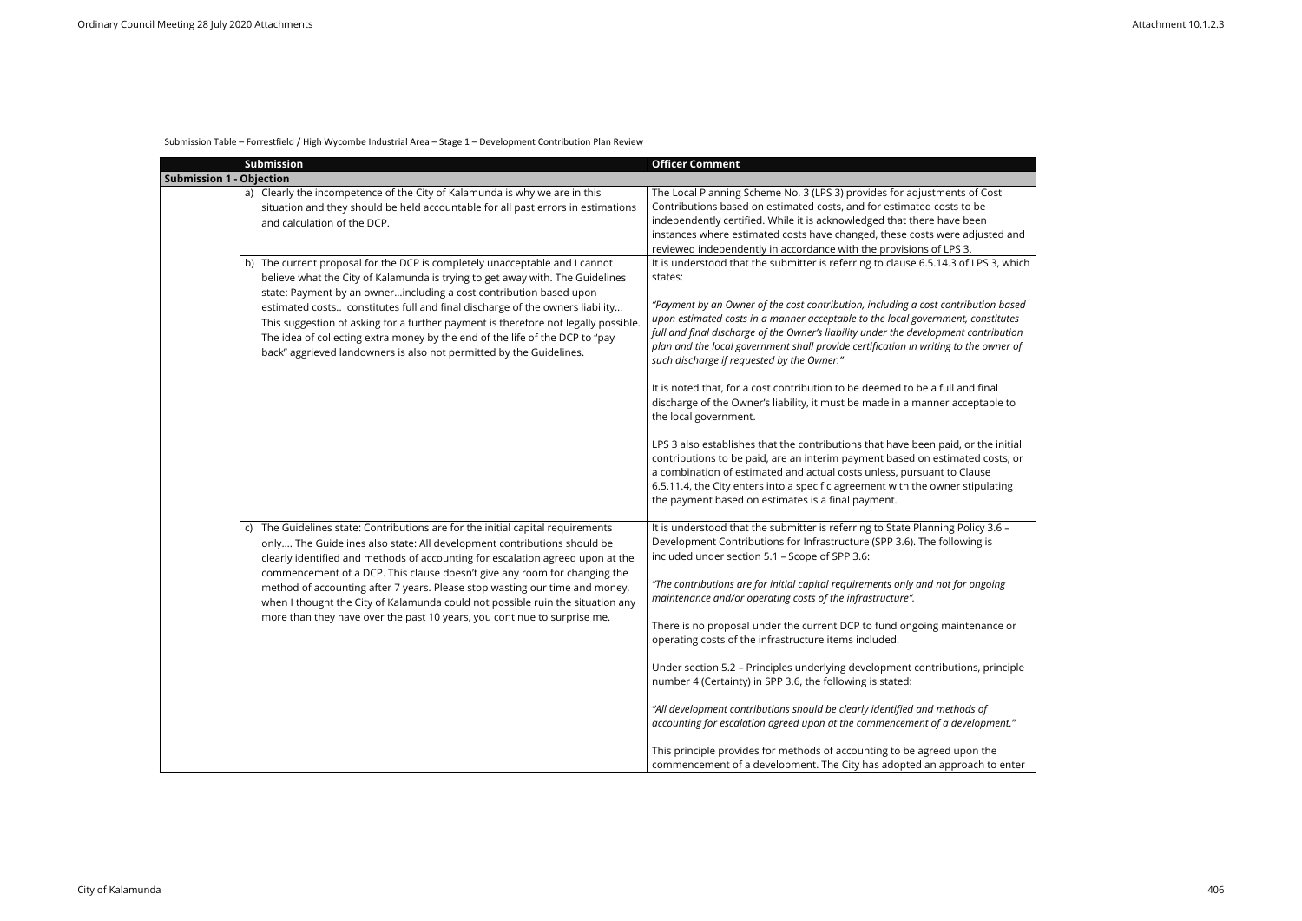## Submission Table – Forrestfield / High Wycombe Industrial Area – Stage 1 – Development Contribution Plan Review

|                                 | Submission                                                                                                                                                                                                                                                                                                                                                                                                                                                                                                                                                             | <b>Officer Comment</b>                                                                                                                                                                                                                                                                                                                                                                                                                                                                                                                                                                                                                                                                                                                                                                                                                                                                                                                                                                                                                                                                    |
|---------------------------------|------------------------------------------------------------------------------------------------------------------------------------------------------------------------------------------------------------------------------------------------------------------------------------------------------------------------------------------------------------------------------------------------------------------------------------------------------------------------------------------------------------------------------------------------------------------------|-------------------------------------------------------------------------------------------------------------------------------------------------------------------------------------------------------------------------------------------------------------------------------------------------------------------------------------------------------------------------------------------------------------------------------------------------------------------------------------------------------------------------------------------------------------------------------------------------------------------------------------------------------------------------------------------------------------------------------------------------------------------------------------------------------------------------------------------------------------------------------------------------------------------------------------------------------------------------------------------------------------------------------------------------------------------------------------------|
| <b>Submission 1 - Objection</b> |                                                                                                                                                                                                                                                                                                                                                                                                                                                                                                                                                                        |                                                                                                                                                                                                                                                                                                                                                                                                                                                                                                                                                                                                                                                                                                                                                                                                                                                                                                                                                                                                                                                                                           |
|                                 | a) Clearly the incompetence of the City of Kalamunda is why we are in this<br>situation and they should be held accountable for all past errors in estimations<br>and calculation of the DCP.                                                                                                                                                                                                                                                                                                                                                                          | The Local Planning Scheme No. 3 (LPS 3) provides for adjustments of Cost<br>Contributions based on estimated costs, and for estimated costs to be<br>independently certified. While it is acknowledged that there have been<br>instances where estimated costs have changed, these costs were adjusted and<br>reviewed independently in accordance with the provisions of LPS 3.                                                                                                                                                                                                                                                                                                                                                                                                                                                                                                                                                                                                                                                                                                          |
|                                 | b) The current proposal for the DCP is completely unacceptable and I cannot<br>believe what the City of Kalamunda is trying to get away with. The Guidelines<br>state: Payment by an ownerincluding a cost contribution based upon<br>estimated costs constitutes full and final discharge of the owners liability<br>This suggestion of asking for a further payment is therefore not legally possible.<br>The idea of collecting extra money by the end of the life of the DCP to "pay<br>back" aggrieved landowners is also not permitted by the Guidelines.        | It is understood that the submitter is referring to clause 6.5.14.3 of LPS 3, which<br>states:<br>"Payment by an Owner of the cost contribution, including a cost contribution based<br>upon estimated costs in a manner acceptable to the local government, constitutes<br>full and final discharge of the Owner's liability under the development contribution<br>plan and the local government shall provide certification in writing to the owner of<br>such discharge if requested by the Owner."<br>It is noted that, for a cost contribution to be deemed to be a full and final<br>discharge of the Owner's liability, it must be made in a manner acceptable to<br>the local government.<br>LPS 3 also establishes that the contributions that have been paid, or the initial<br>contributions to be paid, are an interim payment based on estimated costs, or<br>a combination of estimated and actual costs unless, pursuant to Clause<br>6.5.11.4, the City enters into a specific agreement with the owner stipulating<br>the payment based on estimates is a final payment. |
|                                 | c) The Guidelines state: Contributions are for the initial capital requirements<br>only The Guidelines also state: All development contributions should be<br>clearly identified and methods of accounting for escalation agreed upon at the<br>commencement of a DCP. This clause doesn't give any room for changing the<br>method of accounting after 7 years. Please stop wasting our time and money,<br>when I thought the City of Kalamunda could not possible ruin the situation any<br>more than they have over the past 10 years, you continue to surprise me. | It is understood that the submitter is referring to State Planning Policy 3.6 -<br>Development Contributions for Infrastructure (SPP 3.6). The following is<br>included under section 5.1 - Scope of SPP 3.6:<br>"The contributions are for initial capital requirements only and not for ongoing<br>maintenance and/or operating costs of the infrastructure".<br>There is no proposal under the current DCP to fund ongoing maintenance or<br>operating costs of the infrastructure items included.<br>Under section 5.2 - Principles underlying development contributions, principle<br>number 4 (Certainty) in SPP 3.6, the following is stated:<br>"All development contributions should be clearly identified and methods of<br>accounting for escalation agreed upon at the commencement of a development."<br>This principle provides for methods of accounting to be agreed upon the<br>commencement of a development. The City has adopted an approach to enter                                                                                                                 |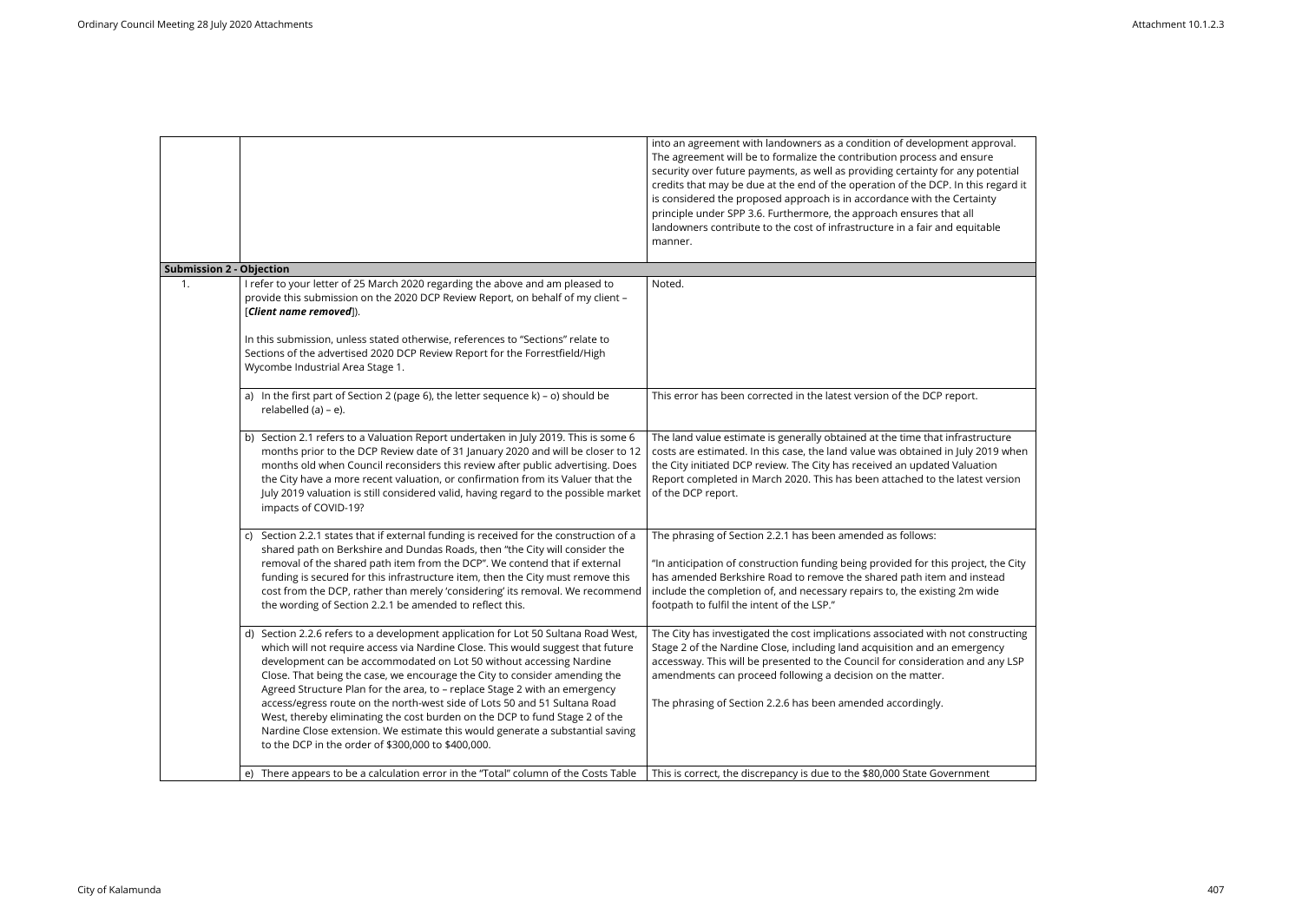|                                 |                                                                                                                                                                                                                                                                                                                                                                                                                                                                                                                                                                                                                                                                                                             | into an agreement with landowners as a condition of development approval.<br>The agreement will be to formalize the contribution process and ensure<br>security over future payments, as well as providing certainty for any potential<br>credits that may be due at the end of the operation of the DCP. In this regard it<br>is considered the proposed approach is in accordance with the Certainty<br>principle under SPP 3.6. Furthermore, the approach ensures that all<br>landowners contribute to the cost of infrastructure in a fair and equitable<br>manner. |
|---------------------------------|-------------------------------------------------------------------------------------------------------------------------------------------------------------------------------------------------------------------------------------------------------------------------------------------------------------------------------------------------------------------------------------------------------------------------------------------------------------------------------------------------------------------------------------------------------------------------------------------------------------------------------------------------------------------------------------------------------------|-------------------------------------------------------------------------------------------------------------------------------------------------------------------------------------------------------------------------------------------------------------------------------------------------------------------------------------------------------------------------------------------------------------------------------------------------------------------------------------------------------------------------------------------------------------------------|
| <b>Submission 2 - Objection</b> |                                                                                                                                                                                                                                                                                                                                                                                                                                                                                                                                                                                                                                                                                                             |                                                                                                                                                                                                                                                                                                                                                                                                                                                                                                                                                                         |
| 1.                              | I refer to your letter of 25 March 2020 regarding the above and am pleased to<br>provide this submission on the 2020 DCP Review Report, on behalf of my client -<br>[Client name removed]).                                                                                                                                                                                                                                                                                                                                                                                                                                                                                                                 | Noted.                                                                                                                                                                                                                                                                                                                                                                                                                                                                                                                                                                  |
|                                 | In this submission, unless stated otherwise, references to "Sections" relate to<br>Sections of the advertised 2020 DCP Review Report for the Forrestfield/High<br>Wycombe Industrial Area Stage 1.                                                                                                                                                                                                                                                                                                                                                                                                                                                                                                          |                                                                                                                                                                                                                                                                                                                                                                                                                                                                                                                                                                         |
|                                 | a) In the first part of Section 2 (page 6), the letter sequence k) - o) should be<br>relabelled (a) - e).                                                                                                                                                                                                                                                                                                                                                                                                                                                                                                                                                                                                   | This error has been corrected in the latest version of the DCP report.                                                                                                                                                                                                                                                                                                                                                                                                                                                                                                  |
|                                 | b) Section 2.1 refers to a Valuation Report undertaken in July 2019. This is some 6<br>months prior to the DCP Review date of 31 January 2020 and will be closer to 12<br>months old when Council reconsiders this review after public advertising. Does<br>the City have a more recent valuation, or confirmation from its Valuer that the<br>July 2019 valuation is still considered valid, having regard to the possible market<br>impacts of COVID-19?                                                                                                                                                                                                                                                  | The land value estimate is generally obtained at the time that infrastructure<br>costs are estimated. In this case, the land value was obtained in July 2019 when<br>the City initiated DCP review. The City has received an updated Valuation<br>Report completed in March 2020. This has been attached to the latest version<br>of the DCP report.                                                                                                                                                                                                                    |
|                                 | c) Section 2.2.1 states that if external funding is received for the construction of a<br>shared path on Berkshire and Dundas Roads, then "the City will consider the<br>removal of the shared path item from the DCP". We contend that if external<br>funding is secured for this infrastructure item, then the City must remove this<br>cost from the DCP, rather than merely 'considering' its removal. We recommend<br>the wording of Section 2.2.1 be amended to reflect this.                                                                                                                                                                                                                         | The phrasing of Section 2.2.1 has been amended as follows:<br>"In anticipation of construction funding being provided for this project, the City<br>has amended Berkshire Road to remove the shared path item and instead<br>include the completion of, and necessary repairs to, the existing 2m wide<br>footpath to fulfil the intent of the LSP."                                                                                                                                                                                                                    |
|                                 | d) Section 2.2.6 refers to a development application for Lot 50 Sultana Road West,<br>which will not require access via Nardine Close. This would suggest that future<br>development can be accommodated on Lot 50 without accessing Nardine<br>Close. That being the case, we encourage the City to consider amending the<br>Agreed Structure Plan for the area, to - replace Stage 2 with an emergency<br>access/egress route on the north-west side of Lots 50 and 51 Sultana Road<br>West, thereby eliminating the cost burden on the DCP to fund Stage 2 of the<br>Nardine Close extension. We estimate this would generate a substantial saving<br>to the DCP in the order of \$300,000 to \$400,000. | The City has investigated the cost implications associated with not constructing<br>Stage 2 of the Nardine Close, including land acquisition and an emergency<br>accessway. This will be presented to the Council for consideration and any LSP<br>amendments can proceed following a decision on the matter.<br>The phrasing of Section 2.2.6 has been amended accordingly.                                                                                                                                                                                            |
|                                 | e) There appears to be a calculation error in the "Total" column of the Costs Table                                                                                                                                                                                                                                                                                                                                                                                                                                                                                                                                                                                                                         | This is correct, the discrepancy is due to the \$80,000 State Government                                                                                                                                                                                                                                                                                                                                                                                                                                                                                                |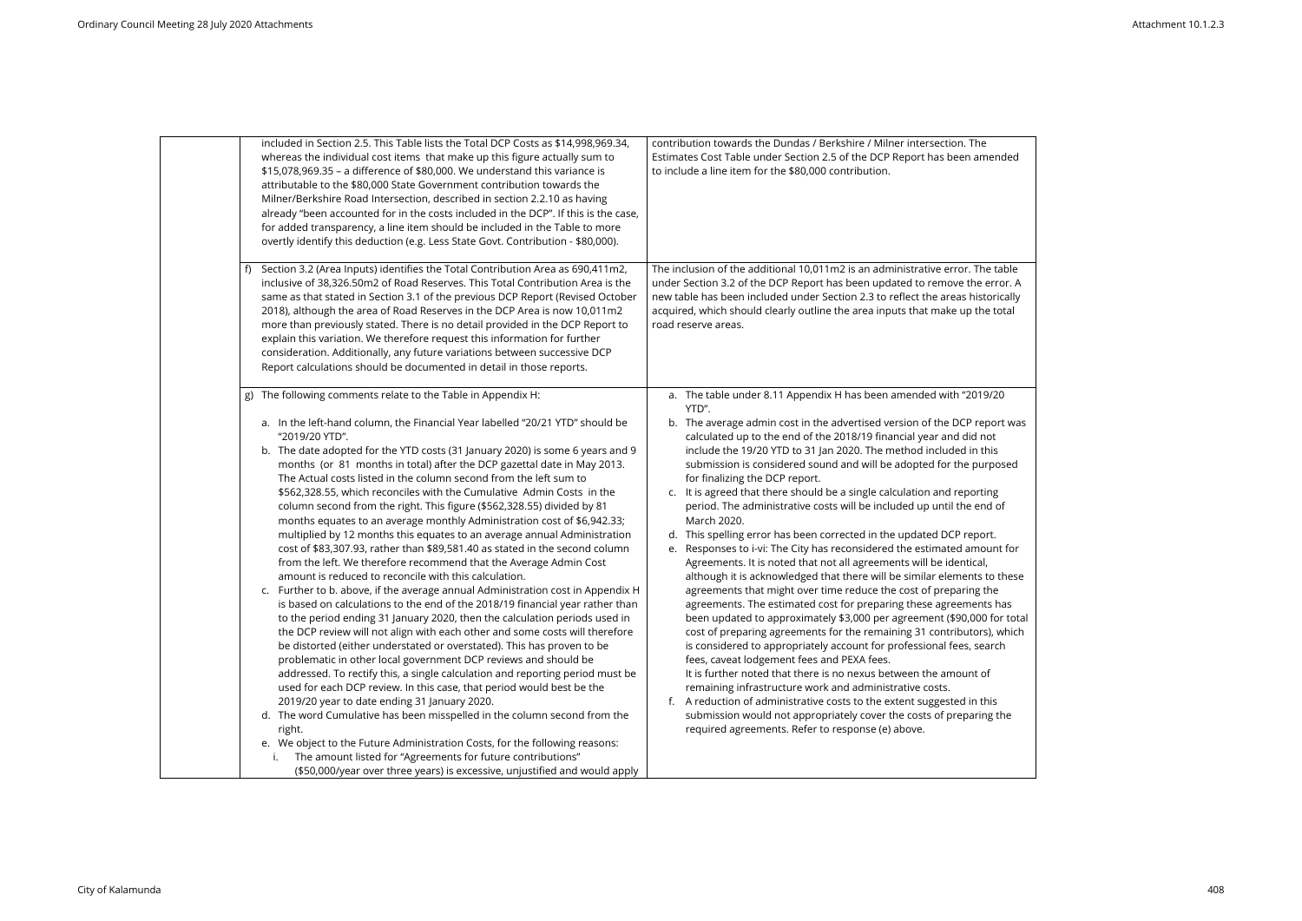| included in Section 2.5. This Table lists the Total DCP Costs as \$14,998,969.34,<br>whereas the individual cost items that make up this figure actually sum to<br>\$15,078,969.35 - a difference of \$80,000. We understand this variance is<br>attributable to the \$80,000 State Government contribution towards the<br>Milner/Berkshire Road Intersection, described in section 2.2.10 as having<br>already "been accounted for in the costs included in the DCP". If this is the case,<br>for added transparency, a line item should be included in the Table to more<br>overtly identify this deduction (e.g. Less State Govt. Contribution - \$80,000).                                                                                                                                                                                                                                                                                                                                                                                                                                                                                                                                                                                                                                                                                                                                                                                                                                                                                                                                                                                                                                                                                                                                                                                                                                                                       | contribution towards the Dundas / Berkshire / Milner intersection. The<br>Estimates Cost Table under Section 2.5 of the DCP Report has been amended<br>to include a line item for the \$80,000 contribution.                                                                                                                                                                                                                                                                                                                                                                                                                                                                                                                                                                                                                                                                                                                                                                                                                                                                                                                                                                                                                                                                                                                                                                                                                                                                                                                                                                                                                                     |
|--------------------------------------------------------------------------------------------------------------------------------------------------------------------------------------------------------------------------------------------------------------------------------------------------------------------------------------------------------------------------------------------------------------------------------------------------------------------------------------------------------------------------------------------------------------------------------------------------------------------------------------------------------------------------------------------------------------------------------------------------------------------------------------------------------------------------------------------------------------------------------------------------------------------------------------------------------------------------------------------------------------------------------------------------------------------------------------------------------------------------------------------------------------------------------------------------------------------------------------------------------------------------------------------------------------------------------------------------------------------------------------------------------------------------------------------------------------------------------------------------------------------------------------------------------------------------------------------------------------------------------------------------------------------------------------------------------------------------------------------------------------------------------------------------------------------------------------------------------------------------------------------------------------------------------------|--------------------------------------------------------------------------------------------------------------------------------------------------------------------------------------------------------------------------------------------------------------------------------------------------------------------------------------------------------------------------------------------------------------------------------------------------------------------------------------------------------------------------------------------------------------------------------------------------------------------------------------------------------------------------------------------------------------------------------------------------------------------------------------------------------------------------------------------------------------------------------------------------------------------------------------------------------------------------------------------------------------------------------------------------------------------------------------------------------------------------------------------------------------------------------------------------------------------------------------------------------------------------------------------------------------------------------------------------------------------------------------------------------------------------------------------------------------------------------------------------------------------------------------------------------------------------------------------------------------------------------------------------|
| Section 3.2 (Area Inputs) identifies the Total Contribution Area as 690,411m2,<br>inclusive of 38,326.50m2 of Road Reserves. This Total Contribution Area is the<br>same as that stated in Section 3.1 of the previous DCP Report (Revised October<br>2018), although the area of Road Reserves in the DCP Area is now 10,011m2<br>more than previously stated. There is no detail provided in the DCP Report to<br>explain this variation. We therefore request this information for further<br>consideration. Additionally, any future variations between successive DCP<br>Report calculations should be documented in detail in those reports.                                                                                                                                                                                                                                                                                                                                                                                                                                                                                                                                                                                                                                                                                                                                                                                                                                                                                                                                                                                                                                                                                                                                                                                                                                                                                   | The inclusion of the additional 10,011m2 is an administrative error. The table<br>under Section 3.2 of the DCP Report has been updated to remove the error. A<br>new table has been included under Section 2.3 to reflect the areas historically<br>acquired, which should clearly outline the area inputs that make up the total<br>road reserve areas.                                                                                                                                                                                                                                                                                                                                                                                                                                                                                                                                                                                                                                                                                                                                                                                                                                                                                                                                                                                                                                                                                                                                                                                                                                                                                         |
| The following comments relate to the Table in Appendix H:<br>g)<br>a. In the left-hand column, the Financial Year labelled "20/21 YTD" should be<br>"2019/20 YTD".<br>b. The date adopted for the YTD costs (31 January 2020) is some 6 years and 9<br>months (or 81 months in total) after the DCP gazettal date in May 2013.<br>The Actual costs listed in the column second from the left sum to<br>\$562,328.55, which reconciles with the Cumulative Admin Costs in the<br>column second from the right. This figure (\$562,328.55) divided by 81<br>months equates to an average monthly Administration cost of \$6,942.33;<br>multiplied by 12 months this equates to an average annual Administration<br>cost of \$83,307.93, rather than \$89,581.40 as stated in the second column<br>from the left. We therefore recommend that the Average Admin Cost<br>amount is reduced to reconcile with this calculation.<br>c. Further to b. above, if the average annual Administration cost in Appendix H<br>is based on calculations to the end of the 2018/19 financial year rather than<br>to the period ending 31 January 2020, then the calculation periods used in<br>the DCP review will not align with each other and some costs will therefore<br>be distorted (either understated or overstated). This has proven to be<br>problematic in other local government DCP reviews and should be<br>addressed. To rectify this, a single calculation and reporting period must be<br>used for each DCP review. In this case, that period would best be the<br>2019/20 year to date ending 31 January 2020.<br>d. The word Cumulative has been misspelled in the column second from the<br>right.<br>e. We object to the Future Administration Costs, for the following reasons:<br>The amount listed for "Agreements for future contributions"<br>(\$50,000/year over three years) is excessive, unjustified and would apply | a. The table under 8.11 Appendix H has been amended with "2019/20<br>YTD".<br>b. The average admin cost in the advertised version of the DCP report was<br>calculated up to the end of the 2018/19 financial year and did not<br>include the 19/20 YTD to 31 Jan 2020. The method included in this<br>submission is considered sound and will be adopted for the purposed<br>for finalizing the DCP report.<br>c. It is agreed that there should be a single calculation and reporting<br>period. The administrative costs will be included up until the end of<br>March 2020.<br>d. This spelling error has been corrected in the updated DCP report.<br>Responses to i-vi: The City has reconsidered the estimated amount for<br>e.<br>Agreements. It is noted that not all agreements will be identical,<br>although it is acknowledged that there will be similar elements to these<br>agreements that might over time reduce the cost of preparing the<br>agreements. The estimated cost for preparing these agreements has<br>been updated to approximately \$3,000 per agreement (\$90,000 for total<br>cost of preparing agreements for the remaining 31 contributors), which<br>is considered to appropriately account for professional fees, search<br>fees, caveat lodgement fees and PEXA fees.<br>It is further noted that there is no nexus between the amount of<br>remaining infrastructure work and administrative costs.<br>f. A reduction of administrative costs to the extent suggested in this<br>submission would not appropriately cover the costs of preparing the<br>required agreements. Refer to response (e) above. |

| e<br>nended                                                                                            |  |
|--------------------------------------------------------------------------------------------------------|--|
| าe table<br>error. A<br>torically<br>າe total                                                          |  |
| 9/20                                                                                                   |  |
| eport was<br>not<br>this<br>irposed                                                                    |  |
| ting<br>nd of                                                                                          |  |
| ort.<br>ount for<br>I,<br>to these<br>the<br>ıts has<br>0 for total<br><sup>.</sup> s), which<br>earch |  |
| οf                                                                                                     |  |
| this<br>ng the                                                                                         |  |
|                                                                                                        |  |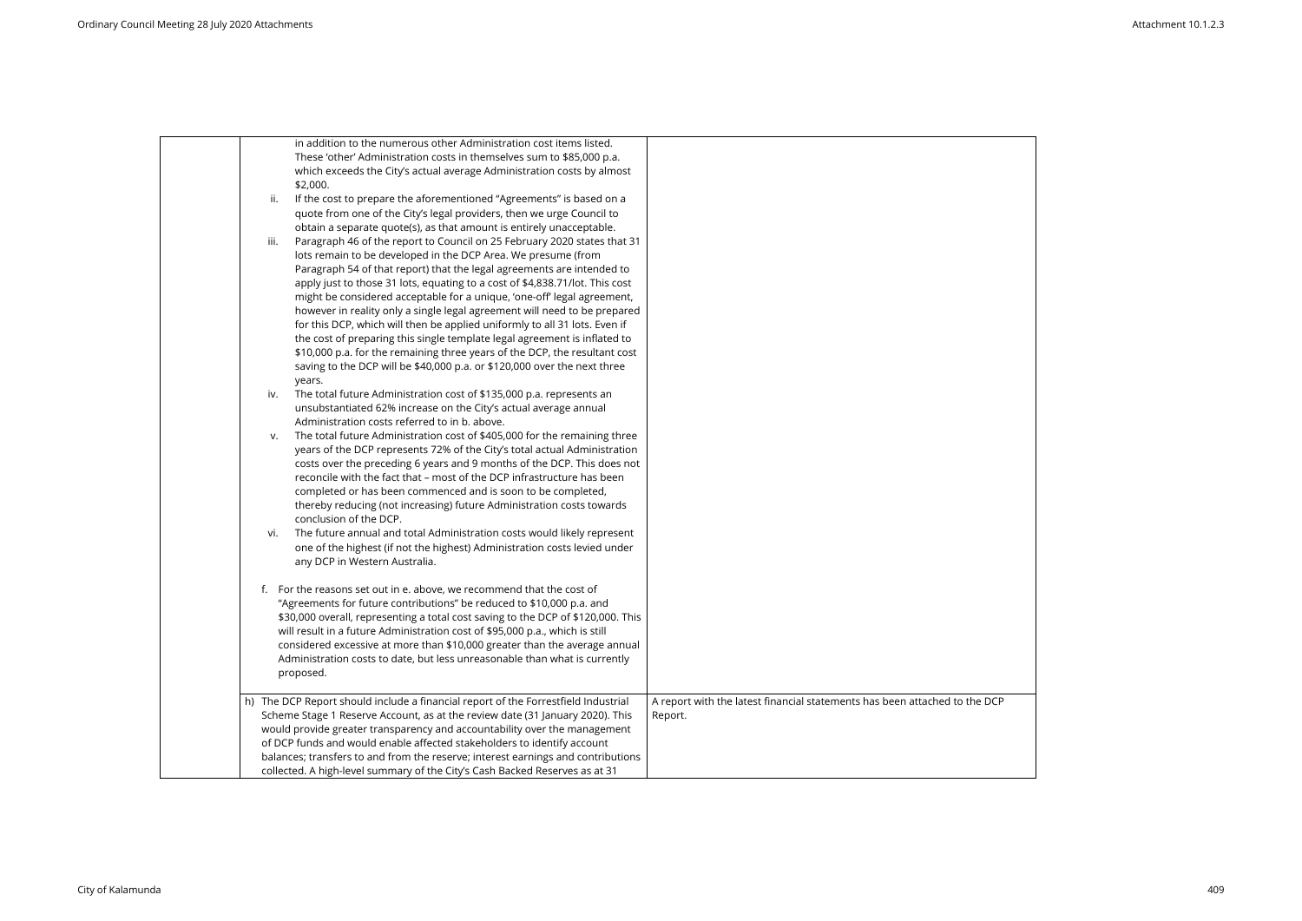|      | in addition to the numerous other Administration cost items listed.<br>These 'other' Administration costs in themselves sum to \$85,000 p.a.<br>which exceeds the City's actual average Administration costs by almost<br>\$2,000.                                                                                                                                                                                                                                                                                                                                                                                                                                                                                                                                                                                                                       |                                                                                       |
|------|----------------------------------------------------------------------------------------------------------------------------------------------------------------------------------------------------------------------------------------------------------------------------------------------------------------------------------------------------------------------------------------------------------------------------------------------------------------------------------------------------------------------------------------------------------------------------------------------------------------------------------------------------------------------------------------------------------------------------------------------------------------------------------------------------------------------------------------------------------|---------------------------------------------------------------------------------------|
| ii.  | If the cost to prepare the aforementioned "Agreements" is based on a<br>quote from one of the City's legal providers, then we urge Council to                                                                                                                                                                                                                                                                                                                                                                                                                                                                                                                                                                                                                                                                                                            |                                                                                       |
| iii. | obtain a separate quote(s), as that amount is entirely unacceptable.<br>Paragraph 46 of the report to Council on 25 February 2020 states that 31<br>lots remain to be developed in the DCP Area. We presume (from<br>Paragraph 54 of that report) that the legal agreements are intended to<br>apply just to those 31 lots, equating to a cost of \$4,838.71/lot. This cost<br>might be considered acceptable for a unique, 'one-off' legal agreement,<br>however in reality only a single legal agreement will need to be prepared<br>for this DCP, which will then be applied uniformly to all 31 lots. Even if<br>the cost of preparing this single template legal agreement is inflated to<br>\$10,000 p.a. for the remaining three years of the DCP, the resultant cost<br>saving to the DCP will be \$40,000 p.a. or \$120,000 over the next three |                                                                                       |
| iv.  | years.<br>The total future Administration cost of \$135,000 p.a. represents an<br>unsubstantiated 62% increase on the City's actual average annual                                                                                                                                                                                                                                                                                                                                                                                                                                                                                                                                                                                                                                                                                                       |                                                                                       |
| v.   | Administration costs referred to in b. above.<br>The total future Administration cost of \$405,000 for the remaining three<br>years of the DCP represents 72% of the City's total actual Administration<br>costs over the preceding 6 years and 9 months of the DCP. This does not<br>reconcile with the fact that - most of the DCP infrastructure has been<br>completed or has been commenced and is soon to be completed,<br>thereby reducing (not increasing) future Administration costs towards<br>conclusion of the DCP.                                                                                                                                                                                                                                                                                                                          |                                                                                       |
| vi.  | The future annual and total Administration costs would likely represent<br>one of the highest (if not the highest) Administration costs levied under<br>any DCP in Western Australia.                                                                                                                                                                                                                                                                                                                                                                                                                                                                                                                                                                                                                                                                    |                                                                                       |
|      | f. For the reasons set out in e. above, we recommend that the cost of<br>"Agreements for future contributions" be reduced to \$10,000 p.a. and<br>\$30,000 overall, representing a total cost saving to the DCP of \$120,000. This<br>will result in a future Administration cost of \$95,000 p.a., which is still<br>considered excessive at more than \$10,000 greater than the average annual<br>Administration costs to date, but less unreasonable than what is currently<br>proposed.                                                                                                                                                                                                                                                                                                                                                              |                                                                                       |
|      | h) The DCP Report should include a financial report of the Forrestfield Industrial<br>Scheme Stage 1 Reserve Account, as at the review date (31 January 2020). This<br>would provide greater transparency and accountability over the management<br>of DCP funds and would enable affected stakeholders to identify account<br>balances; transfers to and from the reserve; interest earnings and contributions<br>collected. A high-level summary of the City's Cash Backed Reserves as at 31                                                                                                                                                                                                                                                                                                                                                           | A report with the latest financial statements has been attached to the DCP<br>Report. |

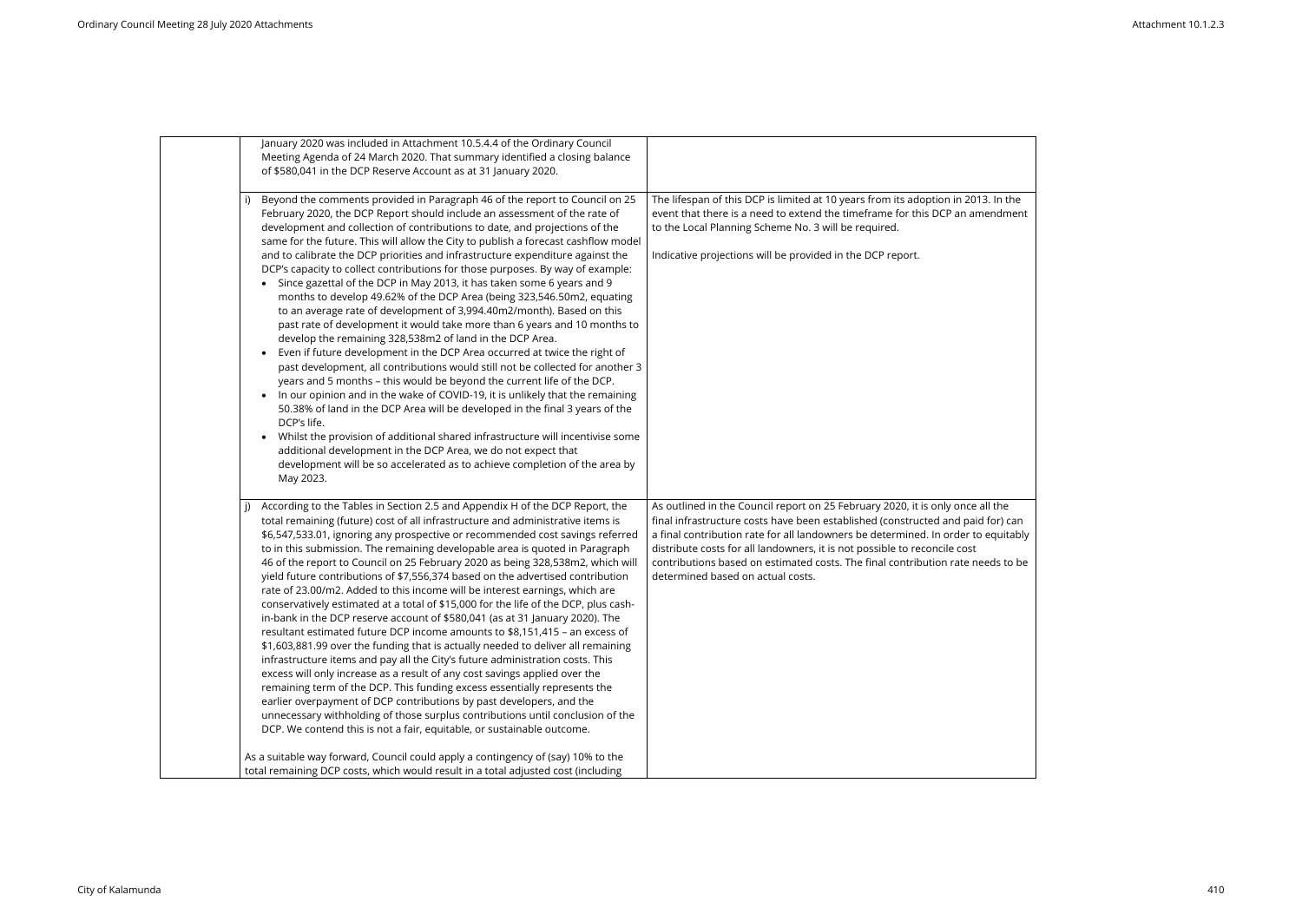| January 2020 was included in Attachment 10.5.4.4 of the Ordinary Council<br>Meeting Agenda of 24 March 2020. That summary identified a closing balance<br>of \$580,041 in the DCP Reserve Account as at 31 January 2020.                                                                                                                                                                                                                                                                                                                                                                                                                                                                                                                                                                                                                                                                                                                                                                                                                                                                                                                                                                                                                                                                                                                                                                                                                                                                                                                                                                           |                                                                                                                                                                                                                                                                                                                                                                                                                                                             |
|----------------------------------------------------------------------------------------------------------------------------------------------------------------------------------------------------------------------------------------------------------------------------------------------------------------------------------------------------------------------------------------------------------------------------------------------------------------------------------------------------------------------------------------------------------------------------------------------------------------------------------------------------------------------------------------------------------------------------------------------------------------------------------------------------------------------------------------------------------------------------------------------------------------------------------------------------------------------------------------------------------------------------------------------------------------------------------------------------------------------------------------------------------------------------------------------------------------------------------------------------------------------------------------------------------------------------------------------------------------------------------------------------------------------------------------------------------------------------------------------------------------------------------------------------------------------------------------------------|-------------------------------------------------------------------------------------------------------------------------------------------------------------------------------------------------------------------------------------------------------------------------------------------------------------------------------------------------------------------------------------------------------------------------------------------------------------|
| Beyond the comments provided in Paragraph 46 of the report to Council on 25<br>February 2020, the DCP Report should include an assessment of the rate of<br>development and collection of contributions to date, and projections of the<br>same for the future. This will allow the City to publish a forecast cashflow model<br>and to calibrate the DCP priorities and infrastructure expenditure against the<br>DCP's capacity to collect contributions for those purposes. By way of example:<br>Since gazettal of the DCP in May 2013, it has taken some 6 years and 9<br>$\bullet$<br>months to develop 49.62% of the DCP Area (being 323,546.50m2, equating<br>to an average rate of development of 3,994.40m2/month). Based on this<br>past rate of development it would take more than 6 years and 10 months to<br>develop the remaining 328,538m2 of land in the DCP Area.<br>Even if future development in the DCP Area occurred at twice the right of<br>$\bullet$<br>past development, all contributions would still not be collected for another 3<br>years and 5 months - this would be beyond the current life of the DCP.<br>In our opinion and in the wake of COVID-19, it is unlikely that the remaining<br>$\bullet$<br>50.38% of land in the DCP Area will be developed in the final 3 years of the<br>DCP's life.<br>Whilst the provision of additional shared infrastructure will incentivise some<br>$\bullet$<br>additional development in the DCP Area, we do not expect that<br>development will be so accelerated as to achieve completion of the area by<br>May 2023. | The lifespan of this DCP is limited at 10 years from its adoption in 2013. In the<br>event that there is a need to extend the timeframe for this DCP an amendment<br>to the Local Planning Scheme No. 3 will be required.<br>Indicative projections will be provided in the DCP report.                                                                                                                                                                     |
| According to the Tables in Section 2.5 and Appendix H of the DCP Report, the<br>j)<br>total remaining (future) cost of all infrastructure and administrative items is<br>\$6,547,533.01, ignoring any prospective or recommended cost savings referred<br>to in this submission. The remaining developable area is quoted in Paragraph<br>46 of the report to Council on 25 February 2020 as being 328,538m2, which will<br>yield future contributions of \$7,556,374 based on the advertised contribution<br>rate of 23.00/m2. Added to this income will be interest earnings, which are<br>conservatively estimated at a total of \$15,000 for the life of the DCP, plus cash-<br>in-bank in the DCP reserve account of \$580,041 (as at 31 January 2020). The<br>resultant estimated future DCP income amounts to \$8,151,415 - an excess of<br>\$1,603,881.99 over the funding that is actually needed to deliver all remaining<br>infrastructure items and pay all the City's future administration costs. This<br>excess will only increase as a result of any cost savings applied over the<br>remaining term of the DCP. This funding excess essentially represents the<br>earlier overpayment of DCP contributions by past developers, and the<br>unnecessary withholding of those surplus contributions until conclusion of the<br>DCP. We contend this is not a fair, equitable, or sustainable outcome.<br>As a suitable way forward, Council could apply a contingency of (say) 10% to the                                                                                            | As outlined in the Council report on 25 February 2020, it is only once all the<br>final infrastructure costs have been established (constructed and paid for) can<br>a final contribution rate for all landowners be determined. In order to equitably<br>distribute costs for all landowners, it is not possible to reconcile cost<br>contributions based on estimated costs. The final contribution rate needs to be<br>determined based on actual costs. |
| total remaining DCP costs, which would result in a total adjusted cost (including                                                                                                                                                                                                                                                                                                                                                                                                                                                                                                                                                                                                                                                                                                                                                                                                                                                                                                                                                                                                                                                                                                                                                                                                                                                                                                                                                                                                                                                                                                                  |                                                                                                                                                                                                                                                                                                                                                                                                                                                             |

| 3. In the<br><b>nendment</b>     |  |
|----------------------------------|--|
| all the<br>for) can<br>equitably |  |
| eds to be                        |  |
|                                  |  |
|                                  |  |
|                                  |  |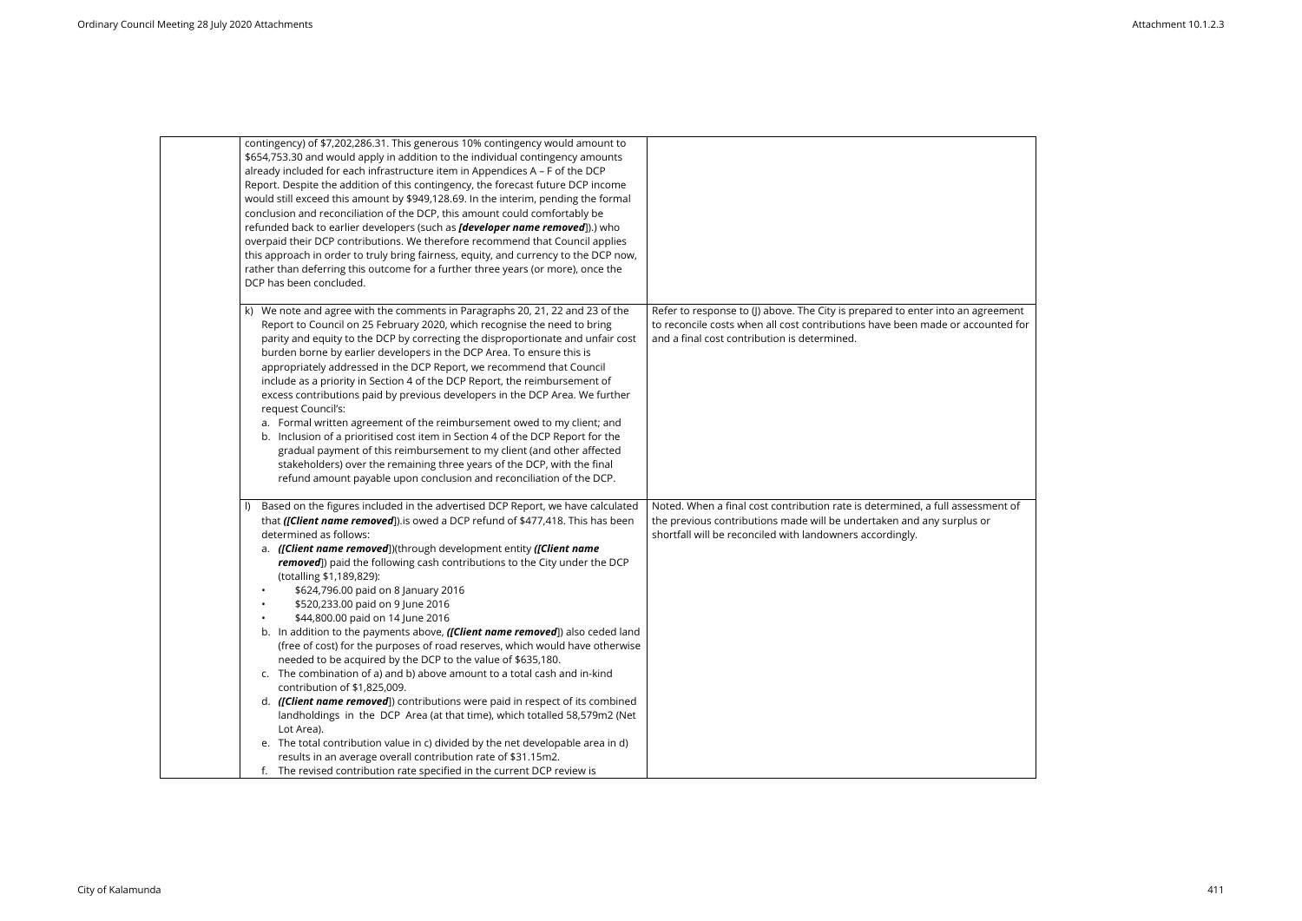| contingency) of \$7,202,286.31. This generous 10% contingency would amount to<br>\$654,753.30 and would apply in addition to the individual contingency amounts |                                                                                 |
|-----------------------------------------------------------------------------------------------------------------------------------------------------------------|---------------------------------------------------------------------------------|
| already included for each infrastructure item in Appendices A - F of the DCP                                                                                    |                                                                                 |
| Report. Despite the addition of this contingency, the forecast future DCP income                                                                                |                                                                                 |
| would still exceed this amount by \$949,128.69. In the interim, pending the formal                                                                              |                                                                                 |
| conclusion and reconciliation of the DCP, this amount could comfortably be                                                                                      |                                                                                 |
| refunded back to earlier developers (such as <i>[developer name removed</i> ]).) who                                                                            |                                                                                 |
| overpaid their DCP contributions. We therefore recommend that Council applies                                                                                   |                                                                                 |
| this approach in order to truly bring fairness, equity, and currency to the DCP now,                                                                            |                                                                                 |
| rather than deferring this outcome for a further three years (or more), once the                                                                                |                                                                                 |
| DCP has been concluded.                                                                                                                                         |                                                                                 |
|                                                                                                                                                                 |                                                                                 |
| k) We note and agree with the comments in Paragraphs 20, 21, 22 and 23 of the                                                                                   | Refer to response to (J) above. The City is prepared to enter into an agreement |
| Report to Council on 25 February 2020, which recognise the need to bring                                                                                        | to reconcile costs when all cost contributions have been made or accounted for  |
| parity and equity to the DCP by correcting the disproportionate and unfair cost                                                                                 | and a final cost contribution is determined.                                    |
| burden borne by earlier developers in the DCP Area. To ensure this is                                                                                           |                                                                                 |
| appropriately addressed in the DCP Report, we recommend that Council                                                                                            |                                                                                 |
| include as a priority in Section 4 of the DCP Report, the reimbursement of                                                                                      |                                                                                 |
| excess contributions paid by previous developers in the DCP Area. We further                                                                                    |                                                                                 |
| request Council's:                                                                                                                                              |                                                                                 |
| a. Formal written agreement of the reimbursement owed to my client; and                                                                                         |                                                                                 |
| b. Inclusion of a prioritised cost item in Section 4 of the DCP Report for the                                                                                  |                                                                                 |
| gradual payment of this reimbursement to my client (and other affected                                                                                          |                                                                                 |
| stakeholders) over the remaining three years of the DCP, with the final                                                                                         |                                                                                 |
| refund amount payable upon conclusion and reconciliation of the DCP.                                                                                            |                                                                                 |
| Based on the figures included in the advertised DCP Report, we have calculated                                                                                  | Noted. When a final cost contribution rate is determined, a full assessment of  |
| that ([Client name removed]).is owed a DCP refund of \$477,418. This has been                                                                                   | the previous contributions made will be undertaken and any surplus or           |
| determined as follows:                                                                                                                                          | shortfall will be reconciled with landowners accordingly.                       |
| a. ([Client name removed])(through development entity ([Client name                                                                                             |                                                                                 |
| removed]) paid the following cash contributions to the City under the DCP                                                                                       |                                                                                 |
| (totalling \$1,189,829):                                                                                                                                        |                                                                                 |
| \$624,796.00 paid on 8 January 2016                                                                                                                             |                                                                                 |
| \$520,233.00 paid on 9 June 2016                                                                                                                                |                                                                                 |
| \$44,800.00 paid on 14 June 2016                                                                                                                                |                                                                                 |
| b. In addition to the payments above, ([Client name removed]) also ceded land                                                                                   |                                                                                 |
| (free of cost) for the purposes of road reserves, which would have otherwise                                                                                    |                                                                                 |
| needed to be acquired by the DCP to the value of \$635,180.                                                                                                     |                                                                                 |
| c. The combination of a) and b) above amount to a total cash and in-kind                                                                                        |                                                                                 |
| contribution of \$1,825,009.                                                                                                                                    |                                                                                 |
| d. ([Client name removed]) contributions were paid in respect of its combined                                                                                   |                                                                                 |
| landholdings in the DCP Area (at that time), which totalled 58,579m2 (Net                                                                                       |                                                                                 |
| Lot Area).                                                                                                                                                      |                                                                                 |
| e. The total contribution value in c) divided by the net developable area in d)                                                                                 |                                                                                 |
| results in an average overall contribution rate of \$31.15m2.                                                                                                   |                                                                                 |
| f. The revised contribution rate specified in the current DCP review is                                                                                         |                                                                                 |

| reement;<br>ounted for |  |
|------------------------|--|
| ment of<br>эr          |  |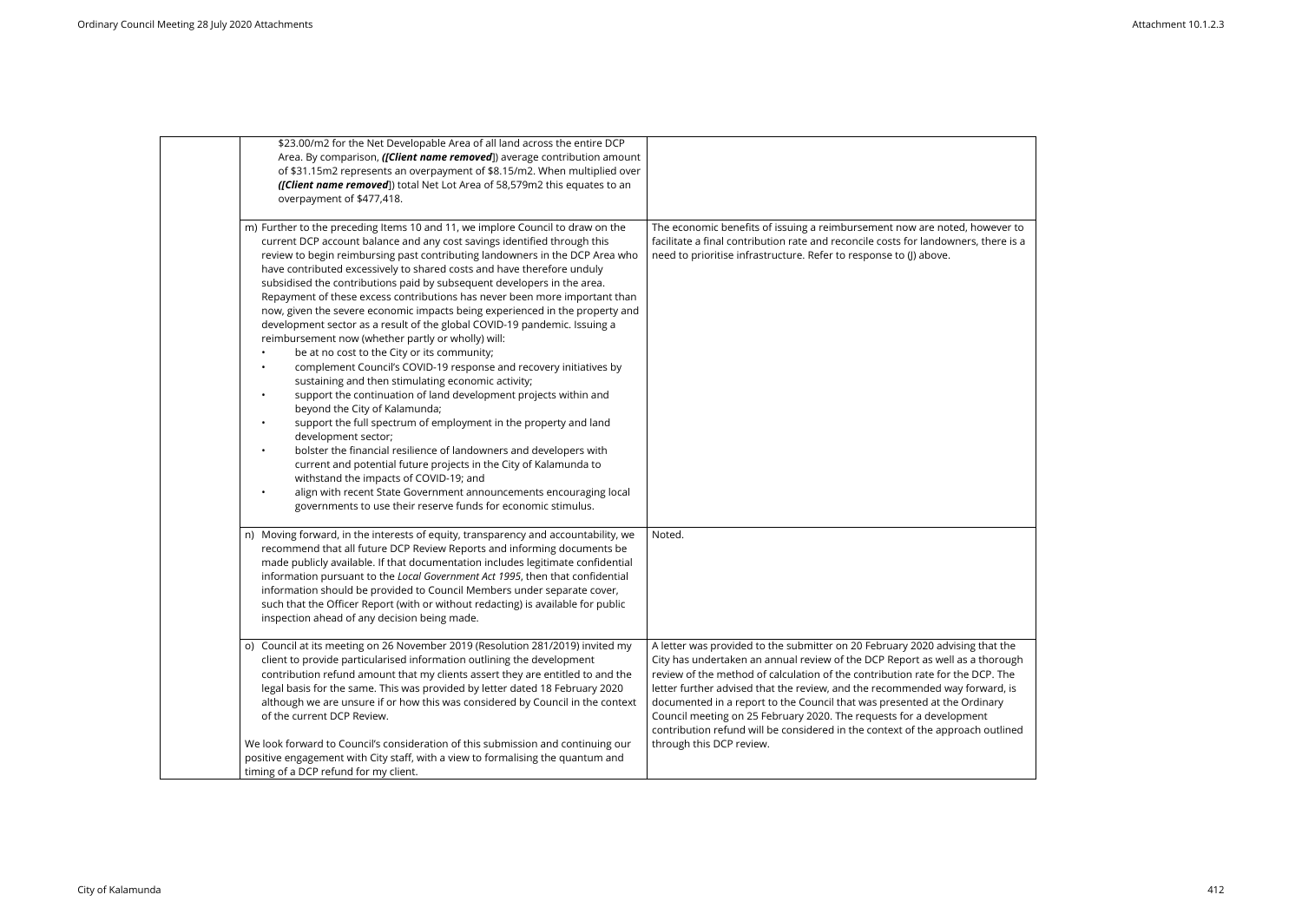| \$23.00/m2 for the Net Developable Area of all land across the entire DCP<br>Area. By comparison, ([Client name removed]) average contribution amount<br>of \$31.15m2 represents an overpayment of \$8.15/m2. When multiplied over<br>([Client name removed]) total Net Lot Area of 58,579m2 this equates to an<br>overpayment of \$477,418.                                                                                                                                                                                                                                                                                                                                                                                                                                                                                                                                                                                                                                                                                                                                                                                                                                                                                                                                                                                                                                                                                                                             |                                                                                                                                                                                                                                                                                                                                                                                                                                                                                                                                                                                               |
|--------------------------------------------------------------------------------------------------------------------------------------------------------------------------------------------------------------------------------------------------------------------------------------------------------------------------------------------------------------------------------------------------------------------------------------------------------------------------------------------------------------------------------------------------------------------------------------------------------------------------------------------------------------------------------------------------------------------------------------------------------------------------------------------------------------------------------------------------------------------------------------------------------------------------------------------------------------------------------------------------------------------------------------------------------------------------------------------------------------------------------------------------------------------------------------------------------------------------------------------------------------------------------------------------------------------------------------------------------------------------------------------------------------------------------------------------------------------------|-----------------------------------------------------------------------------------------------------------------------------------------------------------------------------------------------------------------------------------------------------------------------------------------------------------------------------------------------------------------------------------------------------------------------------------------------------------------------------------------------------------------------------------------------------------------------------------------------|
| m) Further to the preceding Items 10 and 11, we implore Council to draw on the<br>current DCP account balance and any cost savings identified through this<br>review to begin reimbursing past contributing landowners in the DCP Area who<br>have contributed excessively to shared costs and have therefore unduly<br>subsidised the contributions paid by subsequent developers in the area.<br>Repayment of these excess contributions has never been more important than<br>now, given the severe economic impacts being experienced in the property and<br>development sector as a result of the global COVID-19 pandemic. Issuing a<br>reimbursement now (whether partly or wholly) will:<br>be at no cost to the City or its community;<br>complement Council's COVID-19 response and recovery initiatives by<br>$\bullet$<br>sustaining and then stimulating economic activity;<br>support the continuation of land development projects within and<br>$\bullet$<br>beyond the City of Kalamunda;<br>support the full spectrum of employment in the property and land<br>$\bullet$<br>development sector;<br>bolster the financial resilience of landowners and developers with<br>$\bullet$<br>current and potential future projects in the City of Kalamunda to<br>withstand the impacts of COVID-19; and<br>align with recent State Government announcements encouraging local<br>$\bullet$<br>governments to use their reserve funds for economic stimulus. | The economic benefits of issuing a reimbursement now are noted, however to<br>facilitate a final contribution rate and reconcile costs for landowners, there is a<br>need to prioritise infrastructure. Refer to response to (J) above.                                                                                                                                                                                                                                                                                                                                                       |
| n) Moving forward, in the interests of equity, transparency and accountability, we<br>recommend that all future DCP Review Reports and informing documents be<br>made publicly available. If that documentation includes legitimate confidential<br>information pursuant to the Local Government Act 1995, then that confidential<br>information should be provided to Council Members under separate cover,<br>such that the Officer Report (with or without redacting) is available for public<br>inspection ahead of any decision being made.                                                                                                                                                                                                                                                                                                                                                                                                                                                                                                                                                                                                                                                                                                                                                                                                                                                                                                                         | Noted.                                                                                                                                                                                                                                                                                                                                                                                                                                                                                                                                                                                        |
| o) Council at its meeting on 26 November 2019 (Resolution 281/2019) invited my<br>client to provide particularised information outlining the development<br>contribution refund amount that my clients assert they are entitled to and the<br>legal basis for the same. This was provided by letter dated 18 February 2020<br>although we are unsure if or how this was considered by Council in the context<br>of the current DCP Review.<br>We look forward to Council's consideration of this submission and continuing our<br>positive engagement with City staff, with a view to formalising the quantum and                                                                                                                                                                                                                                                                                                                                                                                                                                                                                                                                                                                                                                                                                                                                                                                                                                                        | A letter was provided to the submitter on 20 February 2020 advising that the<br>City has undertaken an annual review of the DCP Report as well as a thorough<br>review of the method of calculation of the contribution rate for the DCP. The<br>letter further advised that the review, and the recommended way forward, is<br>documented in a report to the Council that was presented at the Ordinary<br>Council meeting on 25 February 2020. The requests for a development<br>contribution refund will be considered in the context of the approach outlined<br>through this DCP review. |
| timing of a DCP refund for my client.                                                                                                                                                                                                                                                                                                                                                                                                                                                                                                                                                                                                                                                                                                                                                                                                                                                                                                                                                                                                                                                                                                                                                                                                                                                                                                                                                                                                                                    |                                                                                                                                                                                                                                                                                                                                                                                                                                                                                                                                                                                               |

| wever to<br>here is a: |  |
|------------------------|--|
|                        |  |
|                        |  |
|                        |  |
|                        |  |
|                        |  |
|                        |  |
|                        |  |
|                        |  |
|                        |  |
|                        |  |
|                        |  |
|                        |  |
|                        |  |
|                        |  |
|                        |  |
| าat the                |  |
| horough<br>P. The      |  |
| vard, is               |  |
| nary<br>t              |  |
| outlined               |  |
|                        |  |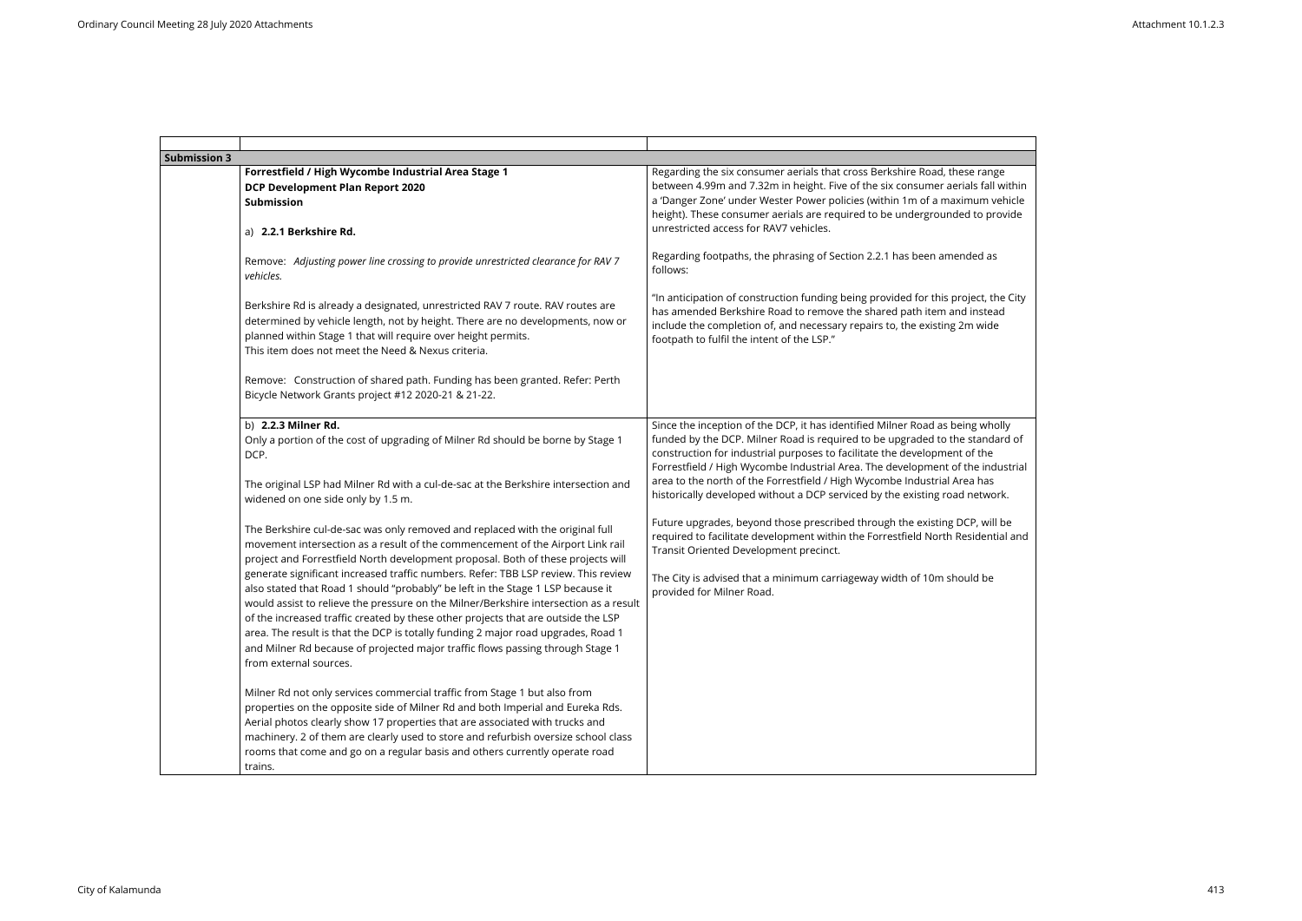| <b>Submission 3</b> |                                                                                                                                                                                                                                                                                                                                                                                                                                                                                                                                                                                                                                                                                                                                                                                                             |                                                                                                                                                                                                                                                                                                                                                                                                                                                                                         |
|---------------------|-------------------------------------------------------------------------------------------------------------------------------------------------------------------------------------------------------------------------------------------------------------------------------------------------------------------------------------------------------------------------------------------------------------------------------------------------------------------------------------------------------------------------------------------------------------------------------------------------------------------------------------------------------------------------------------------------------------------------------------------------------------------------------------------------------------|-----------------------------------------------------------------------------------------------------------------------------------------------------------------------------------------------------------------------------------------------------------------------------------------------------------------------------------------------------------------------------------------------------------------------------------------------------------------------------------------|
|                     | Forrestfield / High Wycombe Industrial Area Stage 1<br><b>DCP Development Plan Report 2020</b><br><b>Submission</b><br>a) 2.2.1 Berkshire Rd.                                                                                                                                                                                                                                                                                                                                                                                                                                                                                                                                                                                                                                                               | Regarding the six consumer aerials that cross Berkshire Road, these range<br>between 4.99m and 7.32m in height. Five of the six consumer aerials fall within<br>a 'Danger Zone' under Wester Power policies (within 1m of a maximum vehicle<br>height). These consumer aerials are required to be undergrounded to provide<br>unrestricted access for RAV7 vehicles.                                                                                                                    |
|                     | Remove: Adjusting power line crossing to provide unrestricted clearance for RAV 7<br>vehicles.                                                                                                                                                                                                                                                                                                                                                                                                                                                                                                                                                                                                                                                                                                              | Regarding footpaths, the phrasing of Section 2.2.1 has been amended as<br>follows:                                                                                                                                                                                                                                                                                                                                                                                                      |
|                     | Berkshire Rd is already a designated, unrestricted RAV 7 route. RAV routes are<br>determined by vehicle length, not by height. There are no developments, now or<br>planned within Stage 1 that will require over height permits.<br>This item does not meet the Need & Nexus criteria.                                                                                                                                                                                                                                                                                                                                                                                                                                                                                                                     | "In anticipation of construction funding being provided for this project, the City<br>has amended Berkshire Road to remove the shared path item and instead<br>include the completion of, and necessary repairs to, the existing 2m wide<br>footpath to fulfil the intent of the LSP."                                                                                                                                                                                                  |
|                     | Remove: Construction of shared path. Funding has been granted. Refer: Perth<br>Bicycle Network Grants project #12 2020-21 & 21-22.                                                                                                                                                                                                                                                                                                                                                                                                                                                                                                                                                                                                                                                                          |                                                                                                                                                                                                                                                                                                                                                                                                                                                                                         |
|                     | b) 2.2.3 Milner Rd.<br>Only a portion of the cost of upgrading of Milner Rd should be borne by Stage 1<br>DCP.<br>The original LSP had Milner Rd with a cul-de-sac at the Berkshire intersection and<br>widened on one side only by 1.5 m.                                                                                                                                                                                                                                                                                                                                                                                                                                                                                                                                                                  | Since the inception of the DCP, it has identified Milner Road as being wholly<br>funded by the DCP. Milner Road is required to be upgraded to the standard of<br>construction for industrial purposes to facilitate the development of the<br>Forrestfield / High Wycombe Industrial Area. The development of the industrial<br>area to the north of the Forrestfield / High Wycombe Industrial Area has<br>historically developed without a DCP serviced by the existing road network. |
|                     | The Berkshire cul-de-sac was only removed and replaced with the original full<br>movement intersection as a result of the commencement of the Airport Link rail<br>project and Forrestfield North development proposal. Both of these projects will<br>generate significant increased traffic numbers. Refer: TBB LSP review. This review<br>also stated that Road 1 should "probably" be left in the Stage 1 LSP because it<br>would assist to relieve the pressure on the Milner/Berkshire intersection as a result<br>of the increased traffic created by these other projects that are outside the LSP<br>area. The result is that the DCP is totally funding 2 major road upgrades, Road 1<br>and Milner Rd because of projected major traffic flows passing through Stage 1<br>from external sources. | Future upgrades, beyond those prescribed through the existing DCP, will be<br>required to facilitate development within the Forrestfield North Residential and<br>Transit Oriented Development precinct.<br>The City is advised that a minimum carriageway width of 10m should be<br>provided for Milner Road.                                                                                                                                                                          |
|                     | Milner Rd not only services commercial traffic from Stage 1 but also from<br>properties on the opposite side of Milner Rd and both Imperial and Eureka Rds.<br>Aerial photos clearly show 17 properties that are associated with trucks and<br>machinery. 2 of them are clearly used to store and refurbish oversize school class<br>rooms that come and go on a regular basis and others currently operate road<br>trains.                                                                                                                                                                                                                                                                                                                                                                                 |                                                                                                                                                                                                                                                                                                                                                                                                                                                                                         |

| ange<br>all within <sup>.</sup><br>n vehicle<br>provide |  |
|---------------------------------------------------------|--|
| l as                                                    |  |
| t, the City<br>tead<br>ide                              |  |
|                                                         |  |
| vholly<br>ndard of                                      |  |
| ٦e<br>industrial                                        |  |
| as<br>work.                                             |  |
| will be<br>ential and                                   |  |
| be                                                      |  |
|                                                         |  |
|                                                         |  |
|                                                         |  |
|                                                         |  |
|                                                         |  |
|                                                         |  |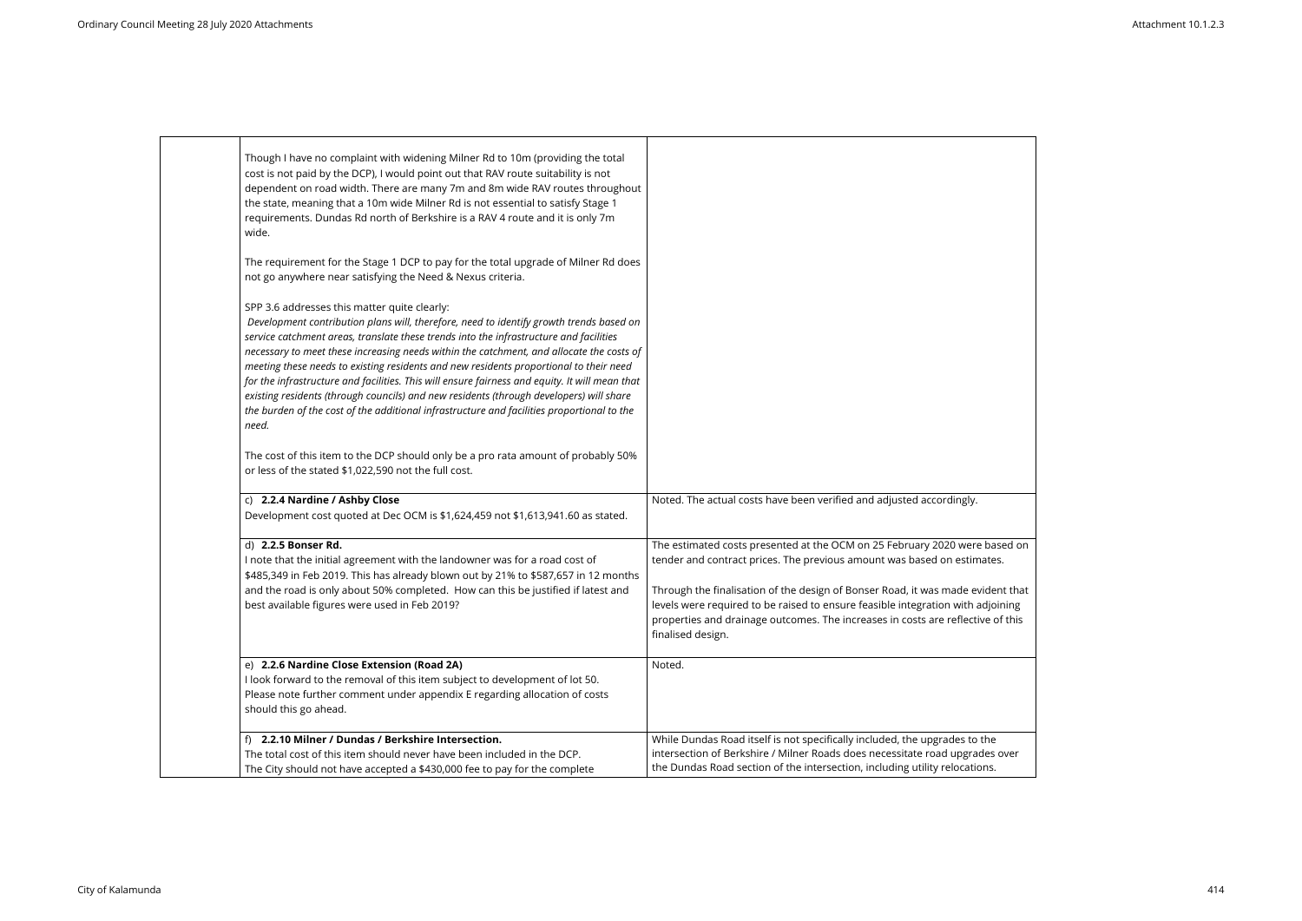| Though I have no complaint with widening Milner Rd to 10m (providing the total<br>cost is not paid by the DCP), I would point out that RAV route suitability is not<br>dependent on road width. There are many 7m and 8m wide RAV routes throughout<br>the state, meaning that a 10m wide Milner Rd is not essential to satisfy Stage 1<br>requirements. Dundas Rd north of Berkshire is a RAV 4 route and it is only 7m<br>wide.                                                                                                                                                                                                                                                                                           |                                                                                                                                                                                                                                                                                                                                                                                                                                     |
|-----------------------------------------------------------------------------------------------------------------------------------------------------------------------------------------------------------------------------------------------------------------------------------------------------------------------------------------------------------------------------------------------------------------------------------------------------------------------------------------------------------------------------------------------------------------------------------------------------------------------------------------------------------------------------------------------------------------------------|-------------------------------------------------------------------------------------------------------------------------------------------------------------------------------------------------------------------------------------------------------------------------------------------------------------------------------------------------------------------------------------------------------------------------------------|
|                                                                                                                                                                                                                                                                                                                                                                                                                                                                                                                                                                                                                                                                                                                             |                                                                                                                                                                                                                                                                                                                                                                                                                                     |
| The requirement for the Stage 1 DCP to pay for the total upgrade of Milner Rd does<br>not go anywhere near satisfying the Need & Nexus criteria.                                                                                                                                                                                                                                                                                                                                                                                                                                                                                                                                                                            |                                                                                                                                                                                                                                                                                                                                                                                                                                     |
| SPP 3.6 addresses this matter quite clearly:<br>Development contribution plans will, therefore, need to identify growth trends based on<br>service catchment areas, translate these trends into the infrastructure and facilities<br>necessary to meet these increasing needs within the catchment, and allocate the costs of<br>meeting these needs to existing residents and new residents proportional to their need<br>for the infrastructure and facilities. This will ensure fairness and equity. It will mean that<br>existing residents (through councils) and new residents (through developers) will share<br>the burden of the cost of the additional infrastructure and facilities proportional to the<br>need. |                                                                                                                                                                                                                                                                                                                                                                                                                                     |
| The cost of this item to the DCP should only be a pro rata amount of probably 50%<br>or less of the stated \$1,022,590 not the full cost.                                                                                                                                                                                                                                                                                                                                                                                                                                                                                                                                                                                   |                                                                                                                                                                                                                                                                                                                                                                                                                                     |
| c) 2.2.4 Nardine / Ashby Close<br>Development cost quoted at Dec OCM is \$1,624,459 not \$1,613,941.60 as stated.                                                                                                                                                                                                                                                                                                                                                                                                                                                                                                                                                                                                           | Noted. The actual costs have been verified and adjusted accordingly.                                                                                                                                                                                                                                                                                                                                                                |
| d) 2.2.5 Bonser Rd.<br>I note that the initial agreement with the landowner was for a road cost of<br>\$485,349 in Feb 2019. This has already blown out by 21% to \$587,657 in 12 months<br>and the road is only about 50% completed. How can this be justified if latest and<br>best available figures were used in Feb 2019?                                                                                                                                                                                                                                                                                                                                                                                              | The estimated costs presented at the OCM on 25 February 2020 were based on<br>tender and contract prices. The previous amount was based on estimates.<br>Through the finalisation of the design of Bonser Road, it was made evident that<br>levels were required to be raised to ensure feasible integration with adjoining<br>properties and drainage outcomes. The increases in costs are reflective of this<br>finalised design. |
| e) 2.2.6 Nardine Close Extension (Road 2A)<br>I look forward to the removal of this item subject to development of lot 50.<br>Please note further comment under appendix E regarding allocation of costs<br>should this go ahead.                                                                                                                                                                                                                                                                                                                                                                                                                                                                                           | Noted.                                                                                                                                                                                                                                                                                                                                                                                                                              |
| 2.2.10 Milner / Dundas / Berkshire Intersection.                                                                                                                                                                                                                                                                                                                                                                                                                                                                                                                                                                                                                                                                            | While Dundas Road itself is not specifically included, the upgrades to the                                                                                                                                                                                                                                                                                                                                                          |
| The total cost of this item should never have been included in the DCP.<br>The City should not have accepted a \$430,000 fee to pay for the complete                                                                                                                                                                                                                                                                                                                                                                                                                                                                                                                                                                        | intersection of Berkshire / Milner Roads does necessitate road upgrades over<br>the Dundas Road section of the intersection, including utility relocations.                                                                                                                                                                                                                                                                         |

| Ι.                                        |  |  |
|-------------------------------------------|--|--|
| re based on<br>mates.                     |  |  |
| evident that<br>adjoining<br>tive of this |  |  |
|                                           |  |  |
| ว the<br>ades over<br>ions.               |  |  |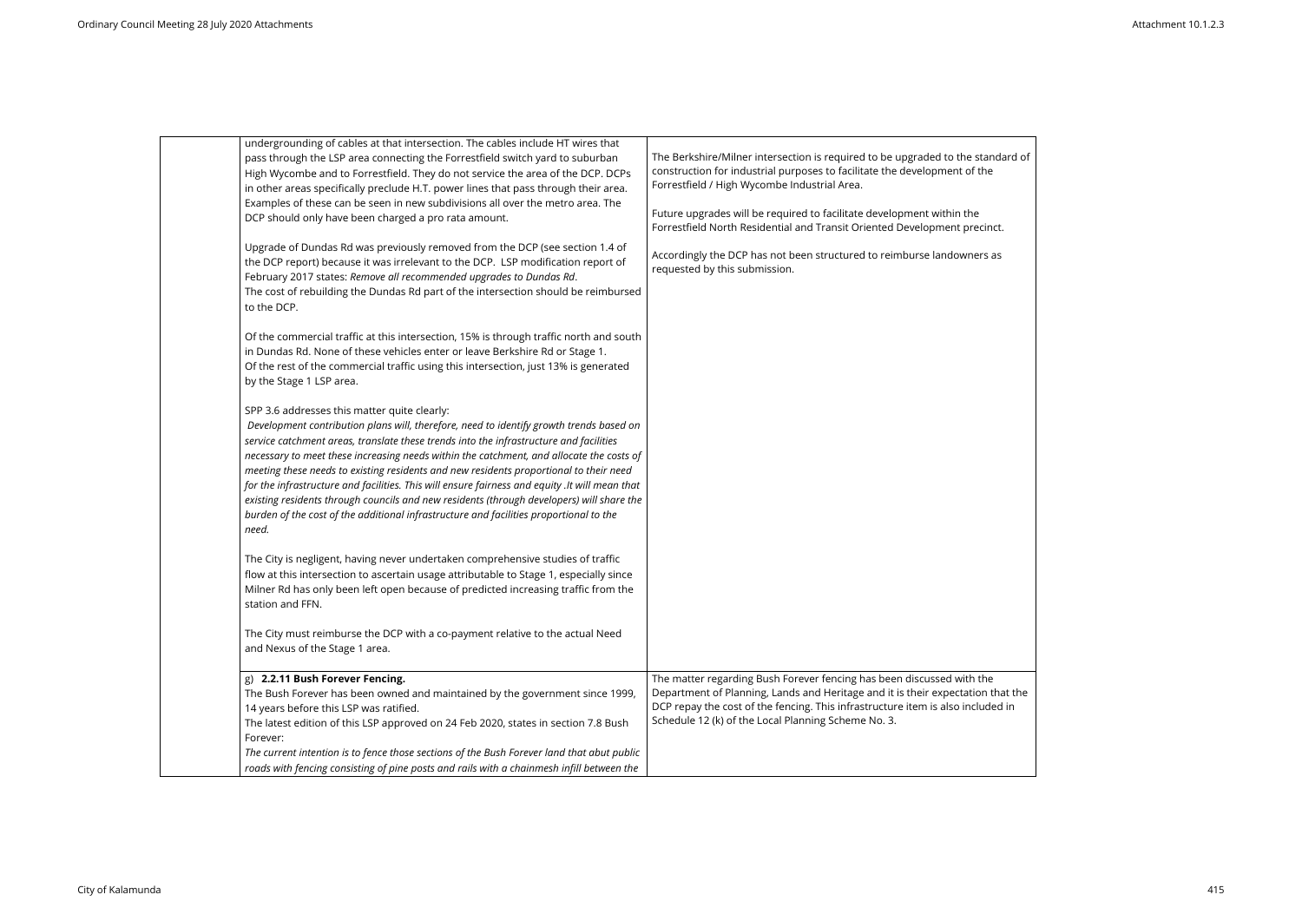| undergrounding of cables at that intersection. The cables include HT wires that<br>pass through the LSP area connecting the Forrestfield switch yard to suburban<br>High Wycombe and to Forrestfield. They do not service the area of the DCP. DCPs<br>in other areas specifically preclude H.T. power lines that pass through their area.<br>Examples of these can be seen in new subdivisions all over the metro area. The<br>DCP should only have been charged a pro rata amount.<br>Upgrade of Dundas Rd was previously removed from the DCP (see section 1.4 of<br>the DCP report) because it was irrelevant to the DCP. LSP modification report of<br>February 2017 states: Remove all recommended upgrades to Dundas Rd.<br>The cost of rebuilding the Dundas Rd part of the intersection should be reimbursed<br>to the DCP.<br>Of the commercial traffic at this intersection, 15% is through traffic north and south<br>in Dundas Rd. None of these vehicles enter or leave Berkshire Rd or Stage 1.<br>Of the rest of the commercial traffic using this intersection, just 13% is generated<br>by the Stage 1 LSP area.<br>SPP 3.6 addresses this matter quite clearly:<br>Development contribution plans will, therefore, need to identify growth trends based on<br>service catchment areas, translate these trends into the infrastructure and facilities<br>necessary to meet these increasing needs within the catchment, and allocate the costs of<br>meeting these needs to existing residents and new residents proportional to their need<br>for the infrastructure and facilities. This will ensure fairness and equity .It will mean that<br>existing residents through councils and new residents (through developers) will share the<br>burden of the cost of the additional infrastructure and facilities proportional to the<br>need.<br>The City is negligent, having never undertaken comprehensive studies of traffic<br>flow at this intersection to ascertain usage attributable to Stage 1, especially since<br>Milner Rd has only been left open because of predicted increasing traffic from the<br>station and FFN.<br>The City must reimburse the DCP with a co-payment relative to the actual Need<br>and Nexus of the Stage 1 area. | The Berkshire/Milner intersection is required to be upgraded to the standard of<br>construction for industrial purposes to facilitate the development of the<br>Forrestfield / High Wycombe Industrial Area.<br>Future upgrades will be required to facilitate development within the<br>Forrestfield North Residential and Transit Oriented Development precinct.<br>Accordingly the DCP has not been structured to reimburse landowners as<br>requested by this submission. |
|---------------------------------------------------------------------------------------------------------------------------------------------------------------------------------------------------------------------------------------------------------------------------------------------------------------------------------------------------------------------------------------------------------------------------------------------------------------------------------------------------------------------------------------------------------------------------------------------------------------------------------------------------------------------------------------------------------------------------------------------------------------------------------------------------------------------------------------------------------------------------------------------------------------------------------------------------------------------------------------------------------------------------------------------------------------------------------------------------------------------------------------------------------------------------------------------------------------------------------------------------------------------------------------------------------------------------------------------------------------------------------------------------------------------------------------------------------------------------------------------------------------------------------------------------------------------------------------------------------------------------------------------------------------------------------------------------------------------------------------------------------------------------------------------------------------------------------------------------------------------------------------------------------------------------------------------------------------------------------------------------------------------------------------------------------------------------------------------------------------------------------------------------------------------------------------------------------------------------------------------------------------------------|-------------------------------------------------------------------------------------------------------------------------------------------------------------------------------------------------------------------------------------------------------------------------------------------------------------------------------------------------------------------------------------------------------------------------------------------------------------------------------|
| g) 2.2.11 Bush Forever Fencing.                                                                                                                                                                                                                                                                                                                                                                                                                                                                                                                                                                                                                                                                                                                                                                                                                                                                                                                                                                                                                                                                                                                                                                                                                                                                                                                                                                                                                                                                                                                                                                                                                                                                                                                                                                                                                                                                                                                                                                                                                                                                                                                                                                                                                                           | The matter regarding Bush Forever fencing has been discussed with the                                                                                                                                                                                                                                                                                                                                                                                                         |
| The Bush Forever has been owned and maintained by the government since 1999,<br>14 years before this LSP was ratified.<br>The latest edition of this LSP approved on 24 Feb 2020, states in section 7.8 Bush<br>Forever:<br>The current intention is to fence those sections of the Bush Forever land that abut public                                                                                                                                                                                                                                                                                                                                                                                                                                                                                                                                                                                                                                                                                                                                                                                                                                                                                                                                                                                                                                                                                                                                                                                                                                                                                                                                                                                                                                                                                                                                                                                                                                                                                                                                                                                                                                                                                                                                                    | Department of Planning, Lands and Heritage and it is their expectation that the<br>DCP repay the cost of the fencing. This infrastructure item is also included in<br>Schedule 12 (k) of the Local Planning Scheme No. 3.                                                                                                                                                                                                                                                     |
| roads with fencing consisting of pine posts and rails with a chainmesh infill between the                                                                                                                                                                                                                                                                                                                                                                                                                                                                                                                                                                                                                                                                                                                                                                                                                                                                                                                                                                                                                                                                                                                                                                                                                                                                                                                                                                                                                                                                                                                                                                                                                                                                                                                                                                                                                                                                                                                                                                                                                                                                                                                                                                                 |                                                                                                                                                                                                                                                                                                                                                                                                                                                                               |

| tandard of<br>he            |  |
|-----------------------------|--|
| cinct.                      |  |
| s as                        |  |
|                             |  |
|                             |  |
|                             |  |
|                             |  |
|                             |  |
|                             |  |
|                             |  |
|                             |  |
|                             |  |
| he<br>n that the<br>uded in |  |
|                             |  |
|                             |  |

 $\overline{\phantom{a}}$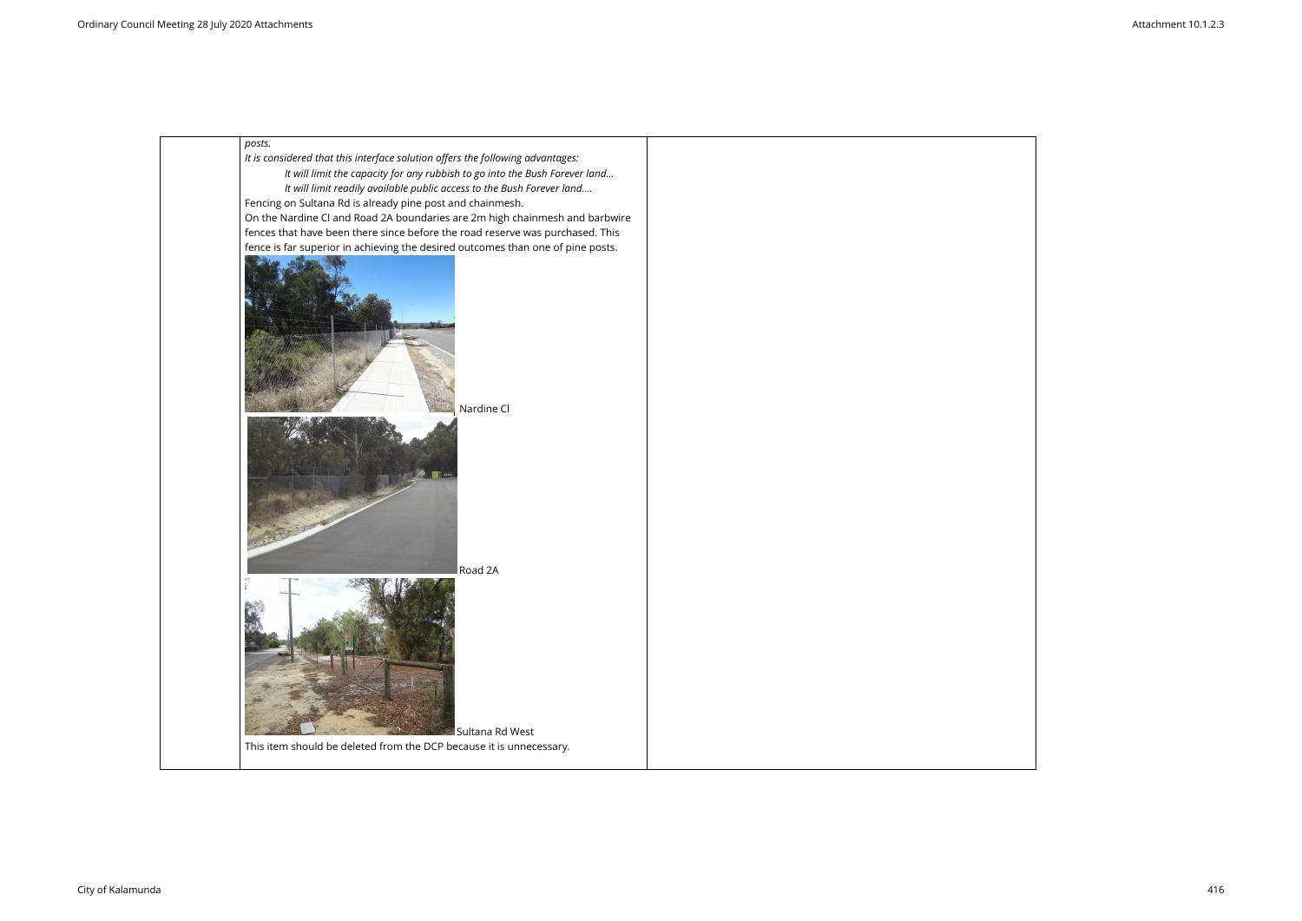

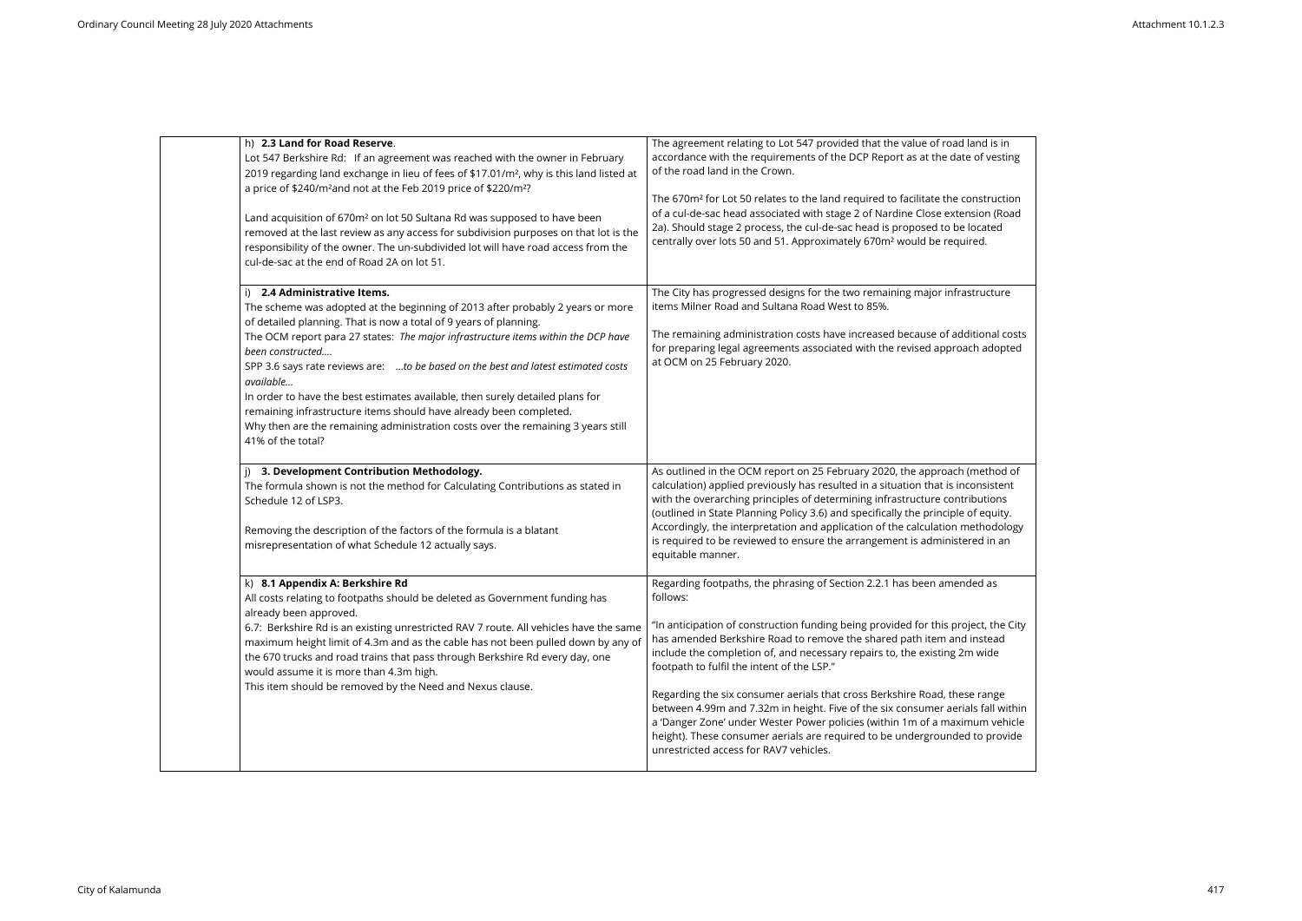| h) 2.3 Land for Road Reserve.<br>Lot 547 Berkshire Rd: If an agreement was reached with the owner in February<br>2019 regarding land exchange in lieu of fees of \$17.01/m <sup>2</sup> , why is this land listed at<br>a price of \$240/m <sup>2</sup> and not at the Feb 2019 price of \$220/m <sup>2</sup> ?<br>Land acquisition of 670m <sup>2</sup> on lot 50 Sultana Rd was supposed to have been<br>removed at the last review as any access for subdivision purposes on that lot is the<br>responsibility of the owner. The un-subdivided lot will have road access from the<br>cul-de-sac at the end of Road 2A on lot 51.                               | The agreement relating to Lot 547 provided that the value of road land is in<br>accordance with the requirements of the DCP Report as at the date of vesting<br>of the road land in the Crown.<br>The 670m <sup>2</sup> for Lot 50 relates to the land required to facilitate the construction<br>of a cul-de-sac head associated with stage 2 of Nardine Close extension (Road<br>2a). Should stage 2 process, the cul-de-sac head is proposed to be located<br>centrally over lots 50 and 51. Approximately 670m <sup>2</sup> would be required.                                                                                                                                                                                                   |
|-------------------------------------------------------------------------------------------------------------------------------------------------------------------------------------------------------------------------------------------------------------------------------------------------------------------------------------------------------------------------------------------------------------------------------------------------------------------------------------------------------------------------------------------------------------------------------------------------------------------------------------------------------------------|------------------------------------------------------------------------------------------------------------------------------------------------------------------------------------------------------------------------------------------------------------------------------------------------------------------------------------------------------------------------------------------------------------------------------------------------------------------------------------------------------------------------------------------------------------------------------------------------------------------------------------------------------------------------------------------------------------------------------------------------------|
| 2.4 Administrative Items.<br>i)<br>The scheme was adopted at the beginning of 2013 after probably 2 years or more<br>of detailed planning. That is now a total of 9 years of planning.<br>The OCM report para 27 states: The major infrastructure items within the DCP have<br>been constructed<br>SPP 3.6 says rate reviews are: to be based on the best and latest estimated costs<br>available<br>In order to have the best estimates available, then surely detailed plans for<br>remaining infrastructure items should have already been completed.<br>Why then are the remaining administration costs over the remaining 3 years still<br>41% of the total? | The City has progressed designs for the two remaining major infrastructure<br>items Milner Road and Sultana Road West to 85%.<br>The remaining administration costs have increased because of additional costs<br>for preparing legal agreements associated with the revised approach adopted<br>at OCM on 25 February 2020.                                                                                                                                                                                                                                                                                                                                                                                                                         |
| 3. Development Contribution Methodology.<br>The formula shown is not the method for Calculating Contributions as stated in<br>Schedule 12 of LSP3.<br>Removing the description of the factors of the formula is a blatant<br>misrepresentation of what Schedule 12 actually says.                                                                                                                                                                                                                                                                                                                                                                                 | As outlined in the OCM report on 25 February 2020, the approach (method of<br>calculation) applied previously has resulted in a situation that is inconsistent<br>with the overarching principles of determining infrastructure contributions<br>(outlined in State Planning Policy 3.6) and specifically the principle of equity.<br>Accordingly, the interpretation and application of the calculation methodology<br>is required to be reviewed to ensure the arrangement is administered in an<br>equitable manner.                                                                                                                                                                                                                              |
| k) 8.1 Appendix A: Berkshire Rd<br>All costs relating to footpaths should be deleted as Government funding has<br>already been approved.<br>6.7: Berkshire Rd is an existing unrestricted RAV 7 route. All vehicles have the same<br>maximum height limit of 4.3m and as the cable has not been pulled down by any of<br>the 670 trucks and road trains that pass through Berkshire Rd every day, one<br>would assume it is more than 4.3m high.<br>This item should be removed by the Need and Nexus clause.                                                                                                                                                     | Regarding footpaths, the phrasing of Section 2.2.1 has been amended as<br>follows:<br>"In anticipation of construction funding being provided for this project, the City<br>has amended Berkshire Road to remove the shared path item and instead<br>include the completion of, and necessary repairs to, the existing 2m wide<br>footpath to fulfil the intent of the LSP."<br>Regarding the six consumer aerials that cross Berkshire Road, these range<br>between 4.99m and 7.32m in height. Five of the six consumer aerials fall within<br>a 'Danger Zone' under Wester Power policies (within 1m of a maximum vehicle<br>height). These consumer aerials are required to be undergrounded to provide<br>unrestricted access for RAV7 vehicles. |

| d is in<br>f vesting                                             |  |
|------------------------------------------------------------------|--|
| struction<br>วท (Road<br>ated<br>J.                              |  |
| ucture                                                           |  |
| onal costs<br>adopted                                            |  |
| ethod of<br>isistent<br>utions<br>equity.<br>hodology<br>d in an |  |
| d as                                                             |  |
| t, the City<br>stead<br>vide                                     |  |
| ange<br>fall within<br>m vehicle<br>provide                      |  |

 $\overline{\phantom{0}}$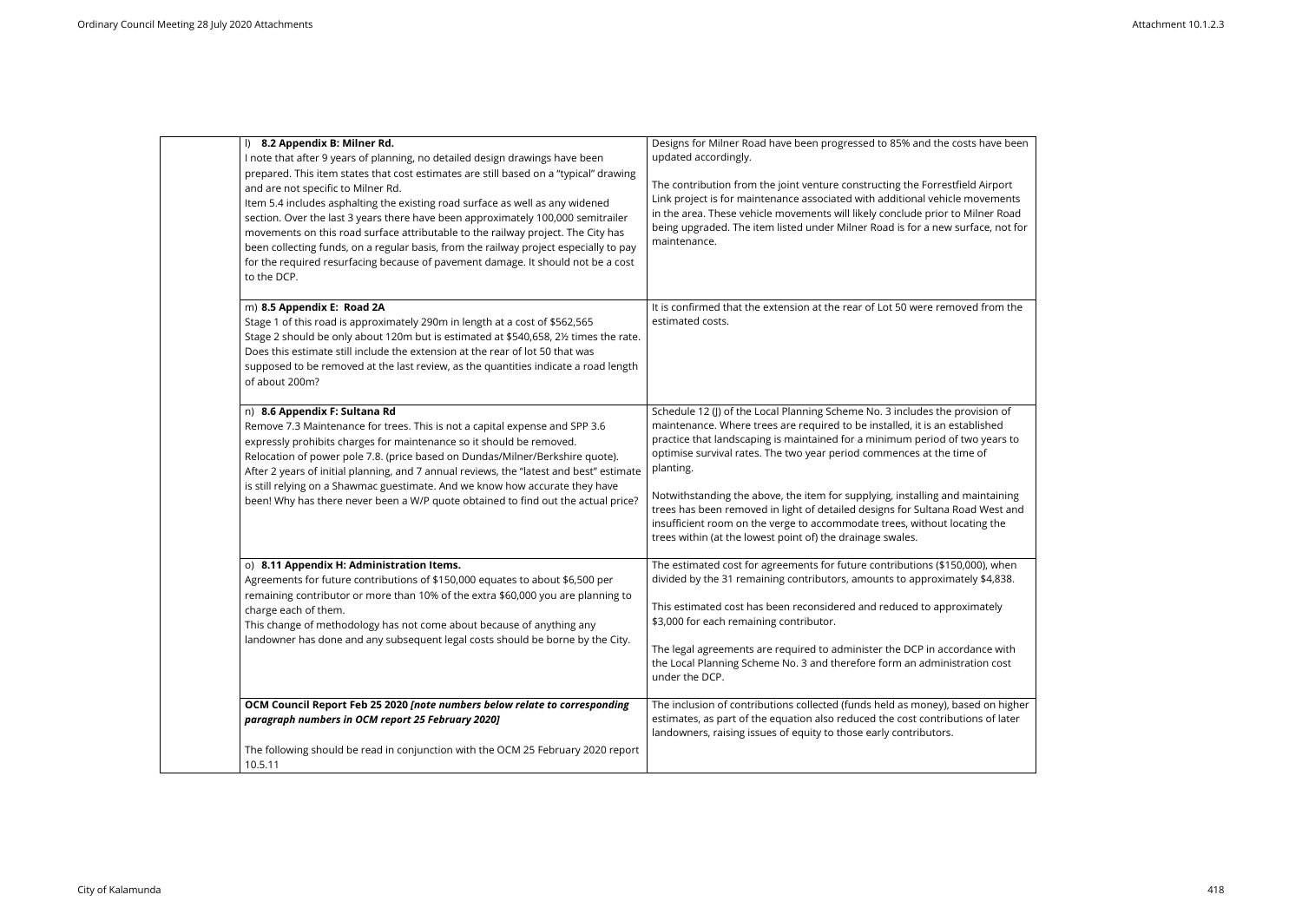| l) 8.2 Appendix B: Milner Rd.<br>I note that after 9 years of planning, no detailed design drawings have been<br>and are not specific to Milner Rd.<br>Item 5.4 includes asphalting the existing road surface as well as any widened<br>to the DCP.                                                                                                   | prepared. This item states that cost estimates are still based on a "typical" drawing<br>section. Over the last 3 years there have been approximately 100,000 semitrailer<br>movements on this road surface attributable to the railway project. The City has<br>been collecting funds, on a regular basis, from the railway project especially to pay<br>for the required resurfacing because of pavement damage. It should not be a cost | Designs for Milner Road have been progressed to 85% and the costs have been<br>updated accordingly.<br>The contribution from the joint venture constructing the Forrestfield Airport<br>Link project is for maintenance associated with additional vehicle movements<br>in the area. These vehicle movements will likely conclude prior to Milner Road<br>being upgraded. The item listed under Milner Road is for a new surface, not for<br>maintenance.                                                                                                                                                                                      |
|-------------------------------------------------------------------------------------------------------------------------------------------------------------------------------------------------------------------------------------------------------------------------------------------------------------------------------------------------------|--------------------------------------------------------------------------------------------------------------------------------------------------------------------------------------------------------------------------------------------------------------------------------------------------------------------------------------------------------------------------------------------------------------------------------------------|------------------------------------------------------------------------------------------------------------------------------------------------------------------------------------------------------------------------------------------------------------------------------------------------------------------------------------------------------------------------------------------------------------------------------------------------------------------------------------------------------------------------------------------------------------------------------------------------------------------------------------------------|
| m) 8.5 Appendix E: Road 2A<br>Stage 1 of this road is approximately 290m in length at a cost of \$562,565<br>Does this estimate still include the extension at the rear of lot 50 that was<br>of about 200m?                                                                                                                                          | Stage 2 should be only about 120m but is estimated at \$540,658, 2½ times the rate.<br>supposed to be removed at the last review, as the quantities indicate a road length                                                                                                                                                                                                                                                                 | It is confirmed that the extension at the rear of Lot 50 were removed from the<br>estimated costs.                                                                                                                                                                                                                                                                                                                                                                                                                                                                                                                                             |
| n) 8.6 Appendix F: Sultana Rd<br>Remove 7.3 Maintenance for trees. This is not a capital expense and SPP 3.6<br>expressly prohibits charges for maintenance so it should be removed.<br>Relocation of power pole 7.8. (price based on Dundas/Milner/Berkshire quote).<br>is still relying on a Shawmac guestimate. And we know how accurate they have | After 2 years of initial planning, and 7 annual reviews, the "latest and best" estimate<br>been! Why has there never been a W/P quote obtained to find out the actual price?                                                                                                                                                                                                                                                               | Schedule 12 (J) of the Local Planning Scheme No. 3 includes the provision of<br>maintenance. Where trees are required to be installed, it is an established<br>practice that landscaping is maintained for a minimum period of two years to<br>optimise survival rates. The two year period commences at the time of<br>planting.<br>Notwithstanding the above, the item for supplying, installing and maintaining<br>trees has been removed in light of detailed designs for Sultana Road West and<br>insufficient room on the verge to accommodate trees, without locating the<br>trees within (at the lowest point of) the drainage swales. |
| o) 8.11 Appendix H: Administration Items.<br>Agreements for future contributions of \$150,000 equates to about \$6,500 per<br>charge each of them.<br>This change of methodology has not come about because of anything any                                                                                                                           | remaining contributor or more than 10% of the extra \$60,000 you are planning to<br>landowner has done and any subsequent legal costs should be borne by the City.                                                                                                                                                                                                                                                                         | The estimated cost for agreements for future contributions (\$150,000), when<br>divided by the 31 remaining contributors, amounts to approximately \$4,838.<br>This estimated cost has been reconsidered and reduced to approximately<br>\$3,000 for each remaining contributor.<br>The legal agreements are required to administer the DCP in accordance with<br>the Local Planning Scheme No. 3 and therefore form an administration cost<br>under the DCP.                                                                                                                                                                                  |
| paragraph numbers in OCM report 25 February 2020]<br>10.5.11                                                                                                                                                                                                                                                                                          | OCM Council Report Feb 25 2020 [note numbers below relate to corresponding<br>The following should be read in conjunction with the OCM 25 February 2020 report                                                                                                                                                                                                                                                                             | The inclusion of contributions collected (funds held as money), based on higher<br>estimates, as part of the equation also reduced the cost contributions of later<br>landowners, raising issues of equity to those early contributors.                                                                                                                                                                                                                                                                                                                                                                                                        |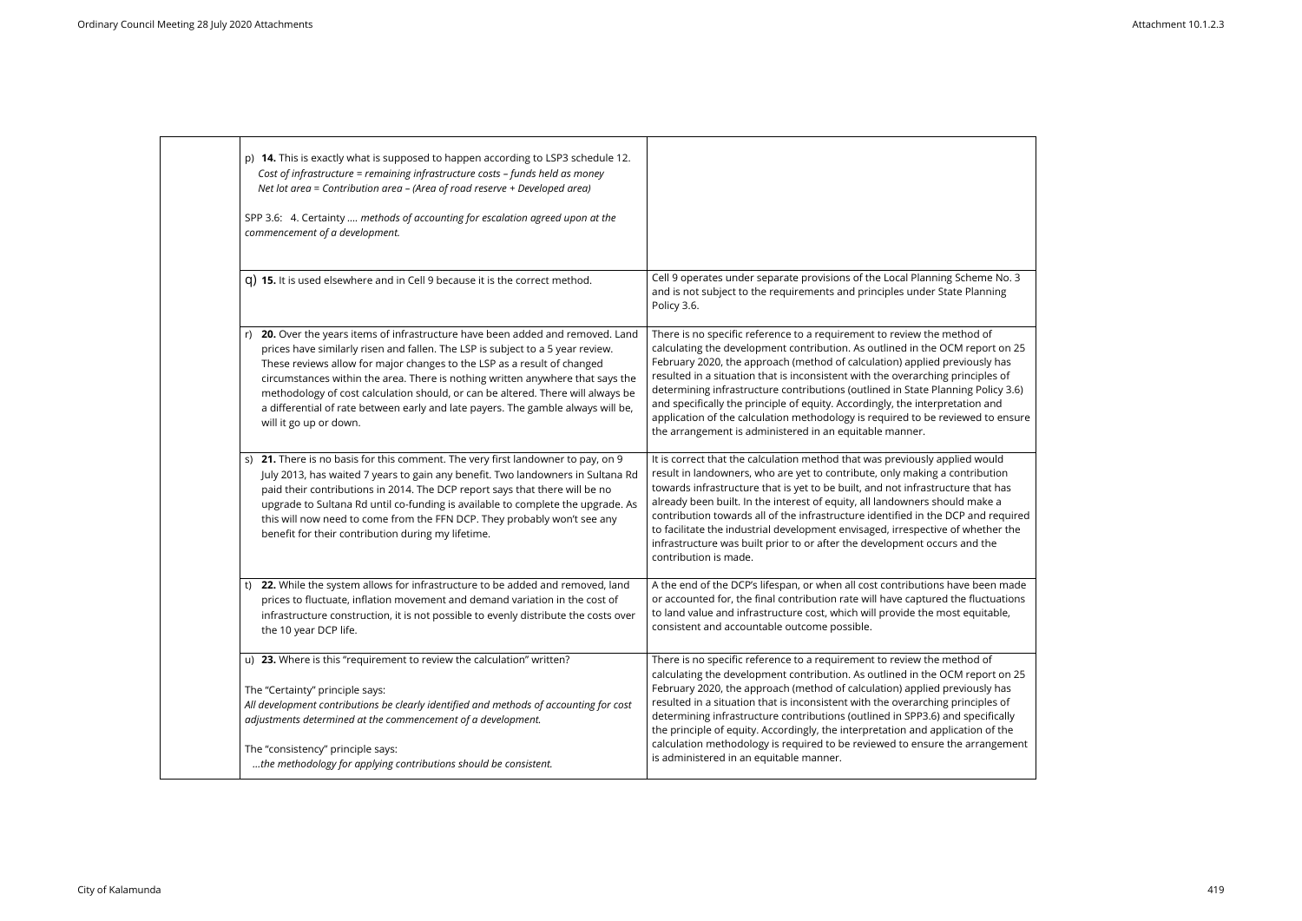| p) 14. This is exactly what is supposed to happen according to LSP3 schedule 12.<br>Cost of infrastructure = remaining infrastructure costs - funds held as money<br>Net lot area = Contribution area - (Area of road reserve + Developed area)<br>SPP 3.6: 4. Certainty  methods of accounting for escalation agreed upon at the<br>commencement of a development.                                                                                                                                                          |                                                                                                                                                                                                                                                                                                                                                                                                                                                                                                                                                                                                                                              |
|------------------------------------------------------------------------------------------------------------------------------------------------------------------------------------------------------------------------------------------------------------------------------------------------------------------------------------------------------------------------------------------------------------------------------------------------------------------------------------------------------------------------------|----------------------------------------------------------------------------------------------------------------------------------------------------------------------------------------------------------------------------------------------------------------------------------------------------------------------------------------------------------------------------------------------------------------------------------------------------------------------------------------------------------------------------------------------------------------------------------------------------------------------------------------------|
| q) 15. It is used elsewhere and in Cell 9 because it is the correct method.                                                                                                                                                                                                                                                                                                                                                                                                                                                  | Cell 9 operates under separate provisions of the Local Planning Scheme No. 3<br>and is not subject to the requirements and principles under State Planning<br>Policy 3.6.                                                                                                                                                                                                                                                                                                                                                                                                                                                                    |
| 20. Over the years items of infrastructure have been added and removed. Land<br>prices have similarly risen and fallen. The LSP is subject to a 5 year review.<br>These reviews allow for major changes to the LSP as a result of changed<br>circumstances within the area. There is nothing written anywhere that says the<br>methodology of cost calculation should, or can be altered. There will always be<br>a differential of rate between early and late payers. The gamble always will be,<br>will it go up or down. | There is no specific reference to a requirement to review the method of<br>calculating the development contribution. As outlined in the OCM report on 25<br>February 2020, the approach (method of calculation) applied previously has<br>resulted in a situation that is inconsistent with the overarching principles of<br>determining infrastructure contributions (outlined in State Planning Policy 3.6)<br>and specifically the principle of equity. Accordingly, the interpretation and<br>application of the calculation methodology is required to be reviewed to ensure<br>the arrangement is administered in an equitable manner. |
| s) 21. There is no basis for this comment. The very first landowner to pay, on 9<br>July 2013, has waited 7 years to gain any benefit. Two landowners in Sultana Rd<br>paid their contributions in 2014. The DCP report says that there will be no<br>upgrade to Sultana Rd until co-funding is available to complete the upgrade. As<br>this will now need to come from the FFN DCP. They probably won't see any<br>benefit for their contribution during my lifetime.                                                      | It is correct that the calculation method that was previously applied would<br>result in landowners, who are yet to contribute, only making a contribution<br>towards infrastructure that is yet to be built, and not infrastructure that has<br>already been built. In the interest of equity, all landowners should make a<br>contribution towards all of the infrastructure identified in the DCP and required<br>to facilitate the industrial development envisaged, irrespective of whether the<br>infrastructure was built prior to or after the development occurs and the<br>contribution is made.                                   |
| 22. While the system allows for infrastructure to be added and removed, land<br>t)<br>prices to fluctuate, inflation movement and demand variation in the cost of<br>infrastructure construction, it is not possible to evenly distribute the costs over<br>the 10 year DCP life.                                                                                                                                                                                                                                            | A the end of the DCP's lifespan, or when all cost contributions have been made<br>or accounted for, the final contribution rate will have captured the fluctuations<br>to land value and infrastructure cost, which will provide the most equitable,<br>consistent and accountable outcome possible.                                                                                                                                                                                                                                                                                                                                         |
| u) 23. Where is this "requirement to review the calculation" written?<br>The "Certainty" principle says:<br>All development contributions be clearly identified and methods of accounting for cost<br>adjustments determined at the commencement of a development.<br>The "consistency" principle says:<br>the methodology for applying contributions should be consistent.                                                                                                                                                  | There is no specific reference to a requirement to review the method of<br>calculating the development contribution. As outlined in the OCM report on 25<br>February 2020, the approach (method of calculation) applied previously has<br>resulted in a situation that is inconsistent with the overarching principles of<br>determining infrastructure contributions (outlined in SPP3.6) and specifically<br>the principle of equity. Accordingly, the interpretation and application of the<br>calculation methodology is required to be reviewed to ensure the arrangement<br>is administered in an equitable manner.                    |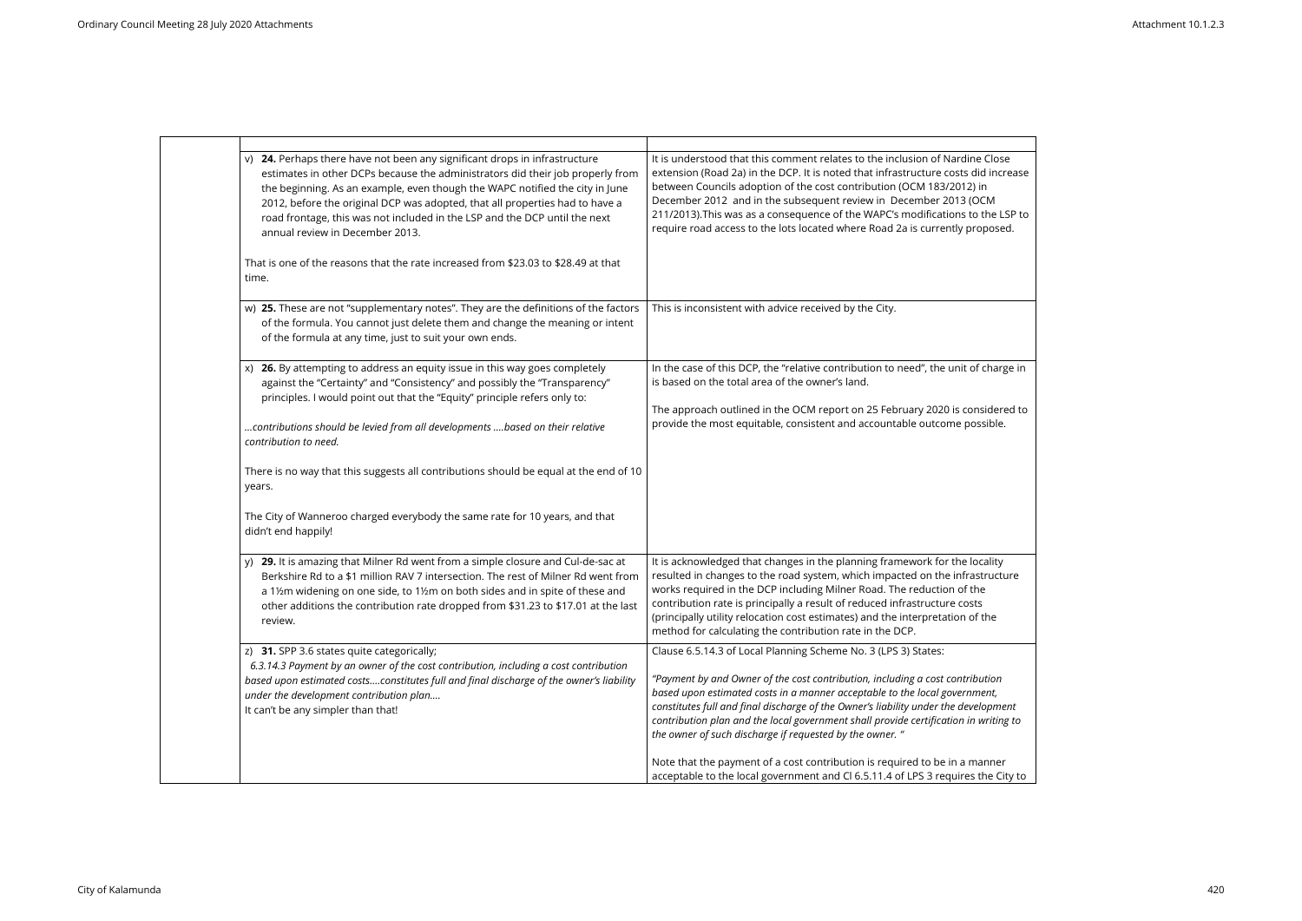| v) 24. Perhaps there have not been any significant drops in infrastructure<br>estimates in other DCPs because the administrators did their job properly from<br>the beginning. As an example, even though the WAPC notified the city in June<br>2012, before the original DCP was adopted, that all properties had to have a<br>road frontage, this was not included in the LSP and the DCP until the next<br>annual review in December 2013.<br>That is one of the reasons that the rate increased from \$23.03 to \$28.49 at that | It is understood that this comment relates to the inclusion of Nardine Close<br>extension (Road 2a) in the DCP. It is noted that infrastructure costs did increase<br>between Councils adoption of the cost contribution (OCM 183/2012) in<br>December 2012 and in the subsequent review in December 2013 (OCM<br>211/2013). This was as a consequence of the WAPC's modifications to the LSP to<br>require road access to the lots located where Road 2a is currently proposed. |
|-------------------------------------------------------------------------------------------------------------------------------------------------------------------------------------------------------------------------------------------------------------------------------------------------------------------------------------------------------------------------------------------------------------------------------------------------------------------------------------------------------------------------------------|----------------------------------------------------------------------------------------------------------------------------------------------------------------------------------------------------------------------------------------------------------------------------------------------------------------------------------------------------------------------------------------------------------------------------------------------------------------------------------|
| time.                                                                                                                                                                                                                                                                                                                                                                                                                                                                                                                               |                                                                                                                                                                                                                                                                                                                                                                                                                                                                                  |
| w) 25. These are not "supplementary notes". They are the definitions of the factors<br>of the formula. You cannot just delete them and change the meaning or intent<br>of the formula at any time, just to suit your own ends.                                                                                                                                                                                                                                                                                                      | This is inconsistent with advice received by the City.                                                                                                                                                                                                                                                                                                                                                                                                                           |
| 26. By attempting to address an equity issue in this way goes completely<br>X)<br>against the "Certainty" and "Consistency" and possibly the "Transparency"<br>principles. I would point out that the "Equity" principle refers only to:                                                                                                                                                                                                                                                                                            | In the case of this DCP, the "relative contribution to need", the unit of charge in<br>is based on the total area of the owner's land.<br>The approach outlined in the OCM report on 25 February 2020 is considered to                                                                                                                                                                                                                                                           |
| contributions should be levied from all developments  based on their relative<br>contribution to need.                                                                                                                                                                                                                                                                                                                                                                                                                              | provide the most equitable, consistent and accountable outcome possible.                                                                                                                                                                                                                                                                                                                                                                                                         |
| There is no way that this suggests all contributions should be equal at the end of 10<br>years.                                                                                                                                                                                                                                                                                                                                                                                                                                     |                                                                                                                                                                                                                                                                                                                                                                                                                                                                                  |
| The City of Wanneroo charged everybody the same rate for 10 years, and that<br>didn't end happily!                                                                                                                                                                                                                                                                                                                                                                                                                                  |                                                                                                                                                                                                                                                                                                                                                                                                                                                                                  |
| y) 29. It is amazing that Milner Rd went from a simple closure and Cul-de-sac at<br>Berkshire Rd to a \$1 million RAV 7 intersection. The rest of Milner Rd went from<br>a 1½m widening on one side, to 1½m on both sides and in spite of these and<br>other additions the contribution rate dropped from \$31.23 to \$17.01 at the last<br>review.                                                                                                                                                                                 | It is acknowledged that changes in the planning framework for the locality<br>resulted in changes to the road system, which impacted on the infrastructure<br>works required in the DCP including Milner Road. The reduction of the<br>contribution rate is principally a result of reduced infrastructure costs<br>(principally utility relocation cost estimates) and the interpretation of the<br>method for calculating the contribution rate in the DCP.                    |
| z) 31. SPP 3.6 states quite categorically;<br>6.3.14.3 Payment by an owner of the cost contribution, including a cost contribution<br>based upon estimated costsconstitutes full and final discharge of the owner's liability<br>under the development contribution plan<br>It can't be any simpler than that!                                                                                                                                                                                                                      | Clause 6.5.14.3 of Local Planning Scheme No. 3 (LPS 3) States:<br>"Payment by and Owner of the cost contribution, including a cost contribution<br>based upon estimated costs in a manner acceptable to the local government,<br>constitutes full and final discharge of the Owner's liability under the development<br>contribution plan and the local government shall provide certification in writing to<br>the owner of such discharge if requested by the owner. "         |
|                                                                                                                                                                                                                                                                                                                                                                                                                                                                                                                                     | Note that the payment of a cost contribution is required to be in a manner<br>acceptable to the local government and Cl 6.5.11.4 of LPS 3 requires the City to                                                                                                                                                                                                                                                                                                                   |

| Close<br>l increase<br>Ì<br>M:<br>he LSP to<br>oosed. |  |
|-------------------------------------------------------|--|
|                                                       |  |
| harge in:                                             |  |
| idered to<br>ible.                                    |  |
|                                                       |  |
|                                                       |  |
|                                                       |  |
| ality<br>ructure<br>ļ                                 |  |
| he                                                    |  |
|                                                       |  |
| tion<br>nt,                                           |  |
| pment<br>riting to                                    |  |
| nner                                                  |  |

the City to  $\parallel$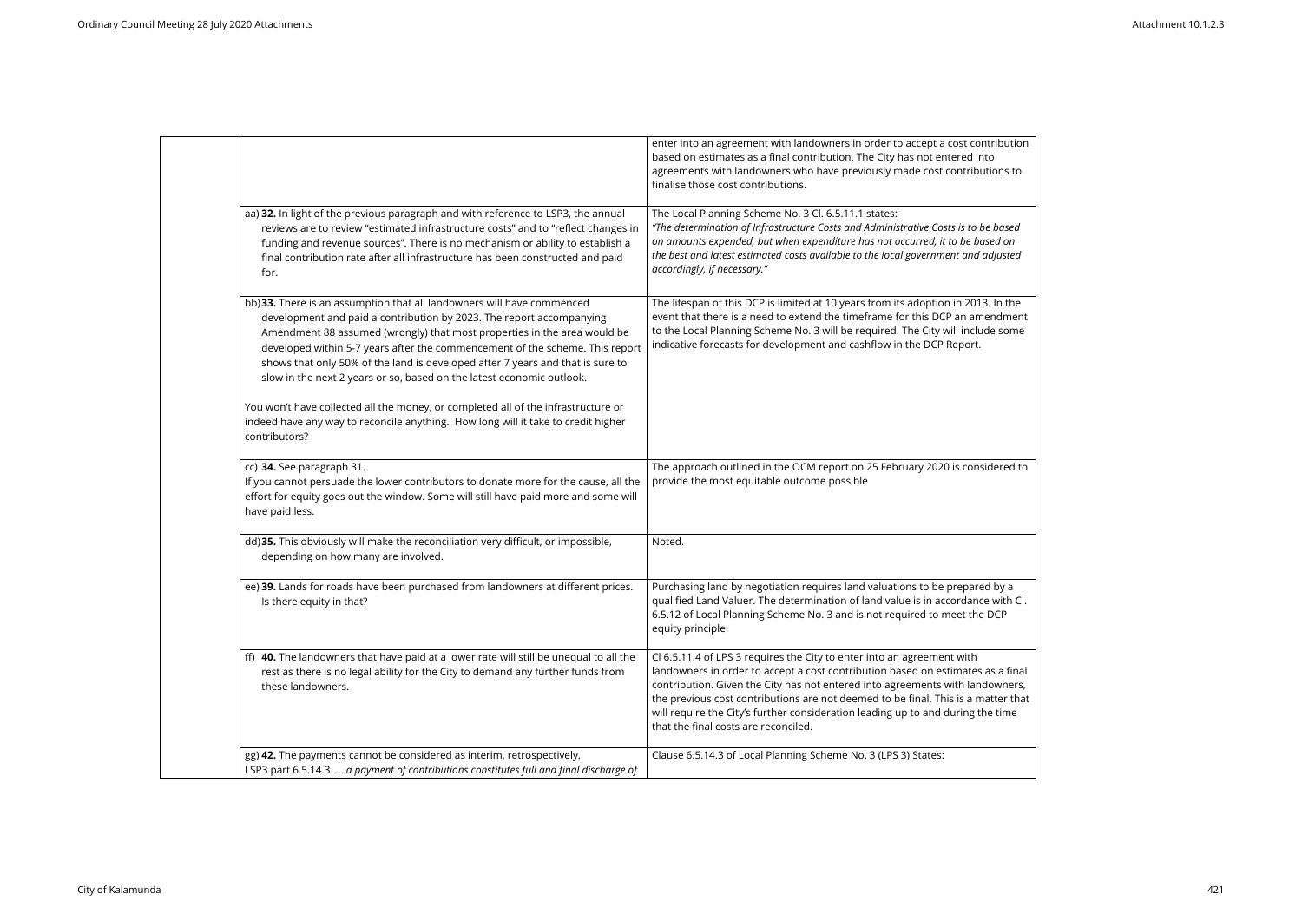|                                                                                                                                                                                                                                                                                                                                                                                                                                                                       | enter into an agreement with landowners in order to accept a cost contribution<br>based on estimates as a final contribution. The City has not entered into<br>agreements with landowners who have previously made cost contributions to<br>finalise those cost contributions.                                                                                                                                                                             |
|-----------------------------------------------------------------------------------------------------------------------------------------------------------------------------------------------------------------------------------------------------------------------------------------------------------------------------------------------------------------------------------------------------------------------------------------------------------------------|------------------------------------------------------------------------------------------------------------------------------------------------------------------------------------------------------------------------------------------------------------------------------------------------------------------------------------------------------------------------------------------------------------------------------------------------------------|
| aa) 32. In light of the previous paragraph and with reference to LSP3, the annual<br>reviews are to review "estimated infrastructure costs" and to "reflect changes in<br>funding and revenue sources". There is no mechanism or ability to establish a<br>final contribution rate after all infrastructure has been constructed and paid<br>for.                                                                                                                     | The Local Planning Scheme No. 3 Cl. 6.5.11.1 states:<br>"The determination of Infrastructure Costs and Administrative Costs is to be based<br>on amounts expended, but when expenditure has not occurred, it to be based on<br>the best and latest estimated costs available to the local government and adjusted<br>accordingly, if necessary."                                                                                                           |
| bb) 33. There is an assumption that all landowners will have commenced<br>development and paid a contribution by 2023. The report accompanying<br>Amendment 88 assumed (wrongly) that most properties in the area would be<br>developed within 5-7 years after the commencement of the scheme. This report<br>shows that only 50% of the land is developed after 7 years and that is sure to<br>slow in the next 2 years or so, based on the latest economic outlook. | The lifespan of this DCP is limited at 10 years from its adoption in 2013. In the<br>event that there is a need to extend the timeframe for this DCP an amendment<br>to the Local Planning Scheme No. 3 will be required. The City will include some<br>indicative forecasts for development and cashflow in the DCP Report.                                                                                                                               |
| You won't have collected all the money, or completed all of the infrastructure or<br>indeed have any way to reconcile anything. How long will it take to credit higher<br>contributors?                                                                                                                                                                                                                                                                               |                                                                                                                                                                                                                                                                                                                                                                                                                                                            |
| cc) 34. See paragraph 31.<br>If you cannot persuade the lower contributors to donate more for the cause, all the<br>effort for equity goes out the window. Some will still have paid more and some will<br>have paid less.                                                                                                                                                                                                                                            | The approach outlined in the OCM report on 25 February 2020 is considered to<br>provide the most equitable outcome possible                                                                                                                                                                                                                                                                                                                                |
| dd) 35. This obviously will make the reconciliation very difficult, or impossible,<br>depending on how many are involved.                                                                                                                                                                                                                                                                                                                                             | Noted.                                                                                                                                                                                                                                                                                                                                                                                                                                                     |
| ee) 39. Lands for roads have been purchased from landowners at different prices.<br>Is there equity in that?                                                                                                                                                                                                                                                                                                                                                          | Purchasing land by negotiation requires land valuations to be prepared by a<br>qualified Land Valuer. The determination of land value is in accordance with Cl.<br>6.5.12 of Local Planning Scheme No. 3 and is not required to meet the DCP<br>equity principle.                                                                                                                                                                                          |
| ff) 40. The landowners that have paid at a lower rate will still be unequal to all the<br>rest as there is no legal ability for the City to demand any further funds from<br>these landowners.                                                                                                                                                                                                                                                                        | Cl 6.5.11.4 of LPS 3 requires the City to enter into an agreement with<br>landowners in order to accept a cost contribution based on estimates as a final<br>contribution. Given the City has not entered into agreements with landowners,<br>the previous cost contributions are not deemed to be final. This is a matter that<br>will require the City's further consideration leading up to and during the time<br>that the final costs are reconciled. |
| gg) 42. The payments cannot be considered as interim, retrospectively.<br>LSP3 part 6.5.14.3  a payment of contributions constitutes full and final discharge of                                                                                                                                                                                                                                                                                                      | Clause 6.5.14.3 of Local Planning Scheme No. 3 (LPS 3) States:                                                                                                                                                                                                                                                                                                                                                                                             |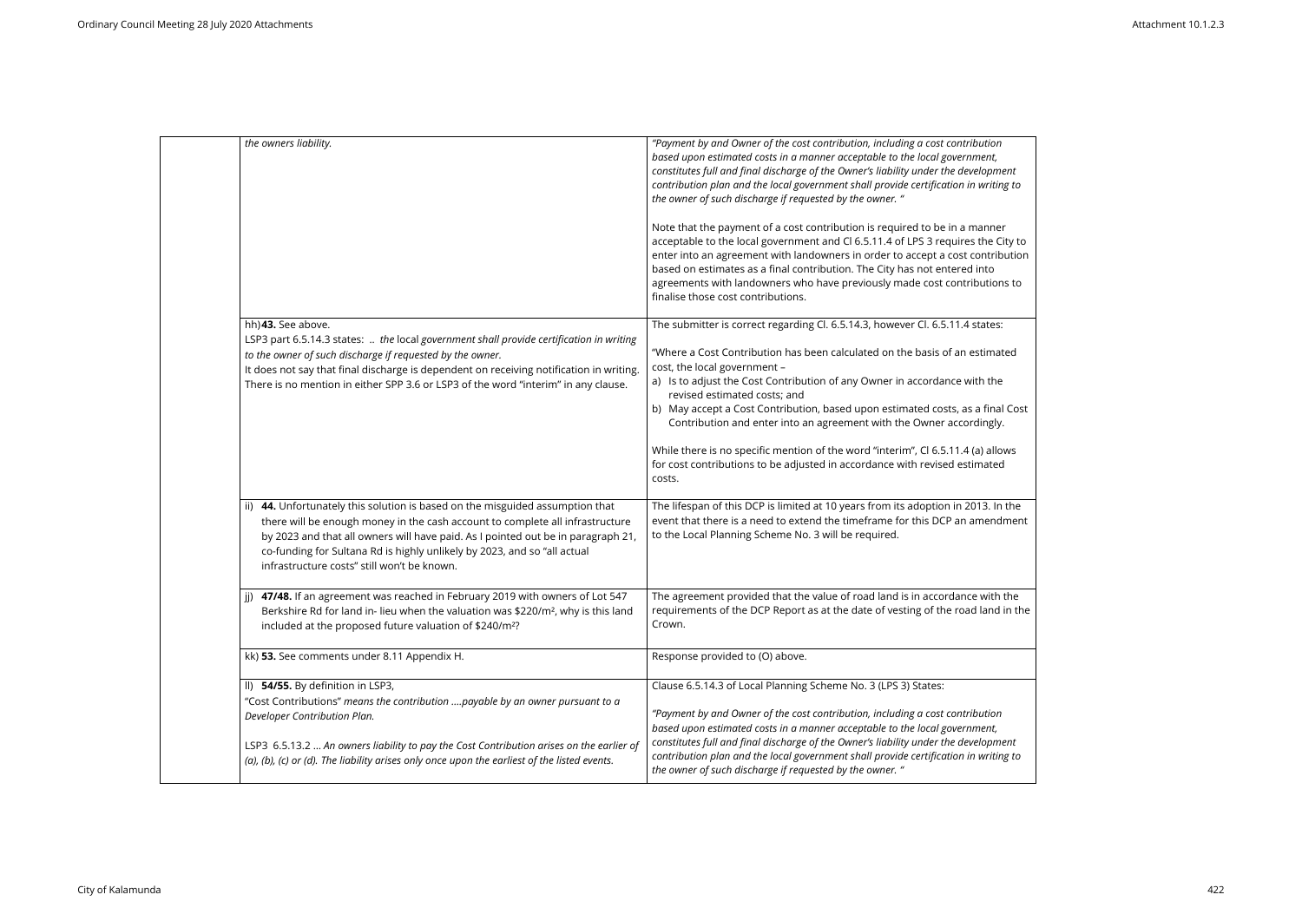| the owners liability.                                                                                                                                                                                                                                                                                                                                                         | "Payment by and Owner of the cost contribution, including a cost contribution<br>based upon estimated costs in a manner acceptable to the local government,<br>constitutes full and final discharge of the Owner's liability under the development<br>contribution plan and the local government shall provide certification in writing to<br>the owner of such discharge if requested by the owner. "                                                                                                                                                                                                                                          |
|-------------------------------------------------------------------------------------------------------------------------------------------------------------------------------------------------------------------------------------------------------------------------------------------------------------------------------------------------------------------------------|-------------------------------------------------------------------------------------------------------------------------------------------------------------------------------------------------------------------------------------------------------------------------------------------------------------------------------------------------------------------------------------------------------------------------------------------------------------------------------------------------------------------------------------------------------------------------------------------------------------------------------------------------|
|                                                                                                                                                                                                                                                                                                                                                                               | Note that the payment of a cost contribution is required to be in a manner<br>acceptable to the local government and Cl 6.5.11.4 of LPS 3 requires the City to<br>enter into an agreement with landowners in order to accept a cost contribution<br>based on estimates as a final contribution. The City has not entered into<br>agreements with landowners who have previously made cost contributions to<br>finalise those cost contributions.                                                                                                                                                                                                |
| hh) 43. See above.<br>LSP3 part 6.5.14.3 states:  the local government shall provide certification in writing<br>to the owner of such discharge if requested by the owner.<br>It does not say that final discharge is dependent on receiving notification in writing.<br>There is no mention in either SPP 3.6 or LSP3 of the word "interim" in any clause.                   | The submitter is correct regarding Cl. 6.5.14.3, however Cl. 6.5.11.4 states:<br>"Where a Cost Contribution has been calculated on the basis of an estimated<br>cost, the local government -<br>a) Is to adjust the Cost Contribution of any Owner in accordance with the<br>revised estimated costs; and<br>b) May accept a Cost Contribution, based upon estimated costs, as a final Cost<br>Contribution and enter into an agreement with the Owner accordingly.<br>While there is no specific mention of the word "interim", Cl 6.5.11.4 (a) allows<br>for cost contributions to be adjusted in accordance with revised estimated<br>costs. |
| ii) 44. Unfortunately this solution is based on the misguided assumption that<br>there will be enough money in the cash account to complete all infrastructure<br>by 2023 and that all owners will have paid. As I pointed out be in paragraph 21,<br>co-funding for Sultana Rd is highly unlikely by 2023, and so "all actual<br>infrastructure costs" still won't be known. | The lifespan of this DCP is limited at 10 years from its adoption in 2013. In the<br>event that there is a need to extend the timeframe for this DCP an amendment<br>to the Local Planning Scheme No. 3 will be required.                                                                                                                                                                                                                                                                                                                                                                                                                       |
| 47/48. If an agreement was reached in February 2019 with owners of Lot 547<br>ii)<br>Berkshire Rd for land in- lieu when the valuation was \$220/m <sup>2</sup> , why is this land<br>included at the proposed future valuation of \$240/m <sup>2</sup> ?                                                                                                                     | The agreement provided that the value of road land is in accordance with the<br>requirements of the DCP Report as at the date of vesting of the road land in the<br>Crown.                                                                                                                                                                                                                                                                                                                                                                                                                                                                      |
| kk) 53. See comments under 8.11 Appendix H.                                                                                                                                                                                                                                                                                                                                   | Response provided to (O) above.                                                                                                                                                                                                                                                                                                                                                                                                                                                                                                                                                                                                                 |
| II) 54/55. By definition in LSP3,<br>"Cost Contributions" means the contribution  payable by an owner pursuant to a<br>Developer Contribution Plan.<br>LSP3 6.5.13.2  An owners liability to pay the Cost Contribution arises on the earlier of<br>(a), (b), (c) or (d). The liability arises only once upon the earliest of the listed events.                               | Clause 6.5.14.3 of Local Planning Scheme No. 3 (LPS 3) States:<br>"Payment by and Owner of the cost contribution, including a cost contribution<br>based upon estimated costs in a manner acceptable to the local government,<br>constitutes full and final discharge of the Owner's liability under the development<br>contribution plan and the local government shall provide certification in writing to<br>the owner of such discharge if requested by the owner. "                                                                                                                                                                        |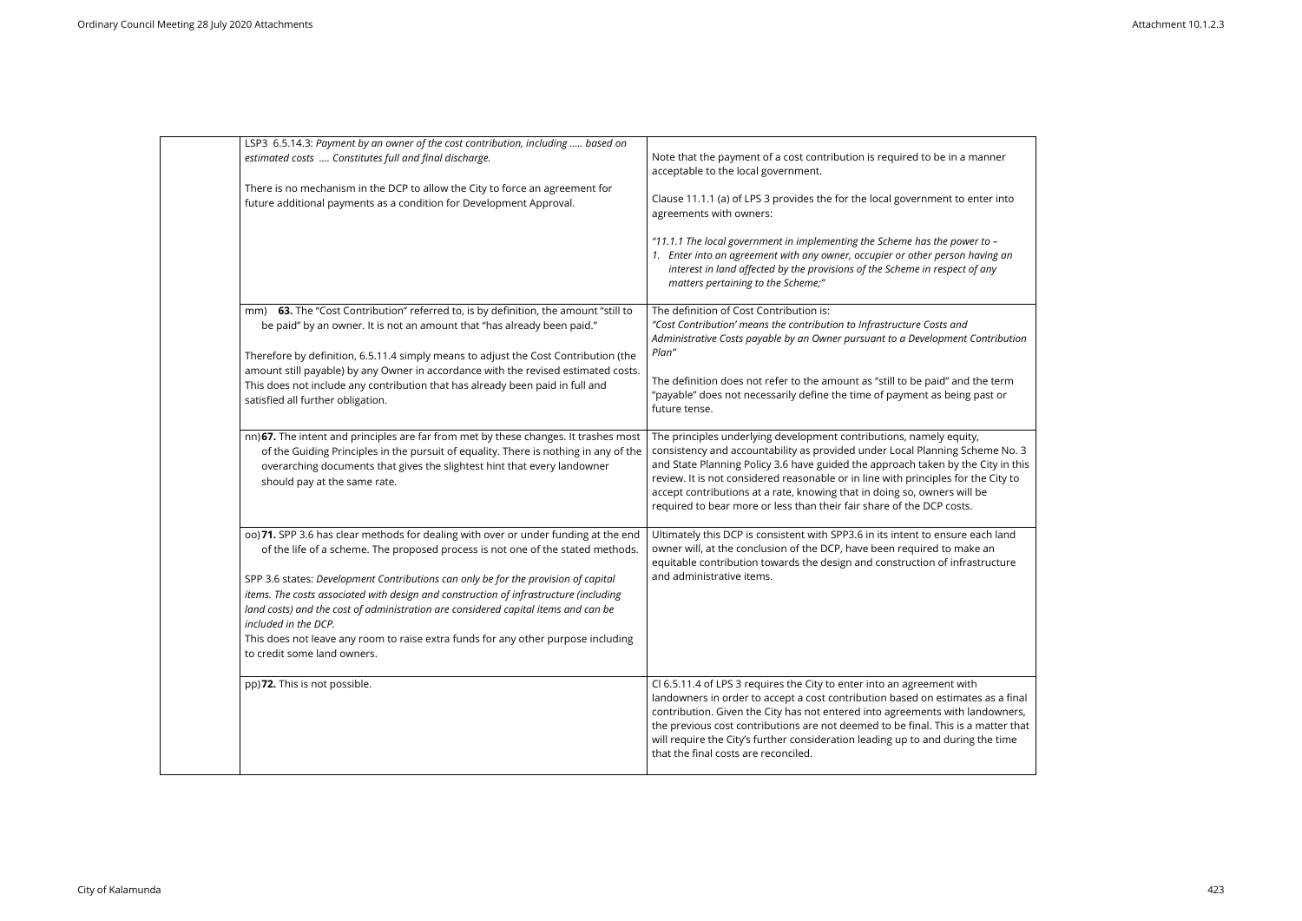| LSP3 6.5.14.3: Payment by an owner of the cost contribution, including  based on<br>estimated costs  Constitutes full and final discharge.<br>There is no mechanism in the DCP to allow the City to force an agreement for<br>future additional payments as a condition for Development Approval.                                                                                                                                                                                                                                                                                       | Note that the payment of a cost contribution is required to be in a manner<br>acceptable to the local government.<br>Clause 11.1.1 (a) of LPS 3 provides the for the local government to enter into<br>agreements with owners:<br>"11.1.1 The local government in implementing the Scheme has the power to -<br>1. Enter into an agreement with any owner, occupier or other person having an<br>interest in land affected by the provisions of the Scheme in respect of any       |
|-----------------------------------------------------------------------------------------------------------------------------------------------------------------------------------------------------------------------------------------------------------------------------------------------------------------------------------------------------------------------------------------------------------------------------------------------------------------------------------------------------------------------------------------------------------------------------------------|------------------------------------------------------------------------------------------------------------------------------------------------------------------------------------------------------------------------------------------------------------------------------------------------------------------------------------------------------------------------------------------------------------------------------------------------------------------------------------|
| 63. The "Cost Contribution" referred to, is by definition, the amount "still to<br>mm)<br>be paid" by an owner. It is not an amount that "has already been paid."<br>Therefore by definition, 6.5.11.4 simply means to adjust the Cost Contribution (the<br>amount still payable) by any Owner in accordance with the revised estimated costs.<br>This does not include any contribution that has already been paid in full and<br>satisfied all further obligation.                                                                                                                    | matters pertaining to the Scheme;"<br>The definition of Cost Contribution is:<br>"Cost Contribution' means the contribution to Infrastructure Costs and<br>Administrative Costs payable by an Owner pursuant to a Development Contribution<br>Plan"<br>The definition does not refer to the amount as "still to be paid" and the term<br>"payable" does not necessarily define the time of payment as being past or<br>future tense.                                               |
| nn) 67. The intent and principles are far from met by these changes. It trashes most<br>of the Guiding Principles in the pursuit of equality. There is nothing in any of the<br>overarching documents that gives the slightest hint that every landowner<br>should pay at the same rate.                                                                                                                                                                                                                                                                                                | The principles underlying development contributions, namely equity,<br>consistency and accountability as provided under Local Planning Scheme No. 3<br>and State Planning Policy 3.6 have guided the approach taken by the City in this<br>review. It is not considered reasonable or in line with principles for the City to<br>accept contributions at a rate, knowing that in doing so, owners will be<br>required to bear more or less than their fair share of the DCP costs. |
| 00) 71. SPP 3.6 has clear methods for dealing with over or under funding at the end<br>of the life of a scheme. The proposed process is not one of the stated methods.<br>SPP 3.6 states: Development Contributions can only be for the provision of capital<br>items. The costs associated with design and construction of infrastructure (including<br>land costs) and the cost of administration are considered capital items and can be<br>included in the DCP.<br>This does not leave any room to raise extra funds for any other purpose including<br>to credit some land owners. | Ultimately this DCP is consistent with SPP3.6 in its intent to ensure each land<br>owner will, at the conclusion of the DCP, have been required to make an<br>equitable contribution towards the design and construction of infrastructure<br>and administrative items.                                                                                                                                                                                                            |
| pp)72. This is not possible.                                                                                                                                                                                                                                                                                                                                                                                                                                                                                                                                                            | Cl 6.5.11.4 of LPS 3 requires the City to enter into an agreement with<br>landowners in order to accept a cost contribution based on estimates as a final<br>contribution. Given the City has not entered into agreements with landowners,<br>the previous cost contributions are not deemed to be final. This is a matter that<br>will require the City's further consideration leading up to and during the time<br>that the final costs are reconciled.                         |

| anner                                                   |  |
|---------------------------------------------------------|--|
| ter into                                                |  |
| to -<br>ving an<br>any                                  |  |
| ntribution                                              |  |
| ie term<br>ast or                                       |  |
| eme No. 3<br>City in this<br>e City to<br>e             |  |
| $\overline{\overline{\text{ch}}}$ land<br>an<br>ructure |  |
| as a final<br>downers,<br>าatter that<br>he time        |  |

 $\overline{\phantom{a}}$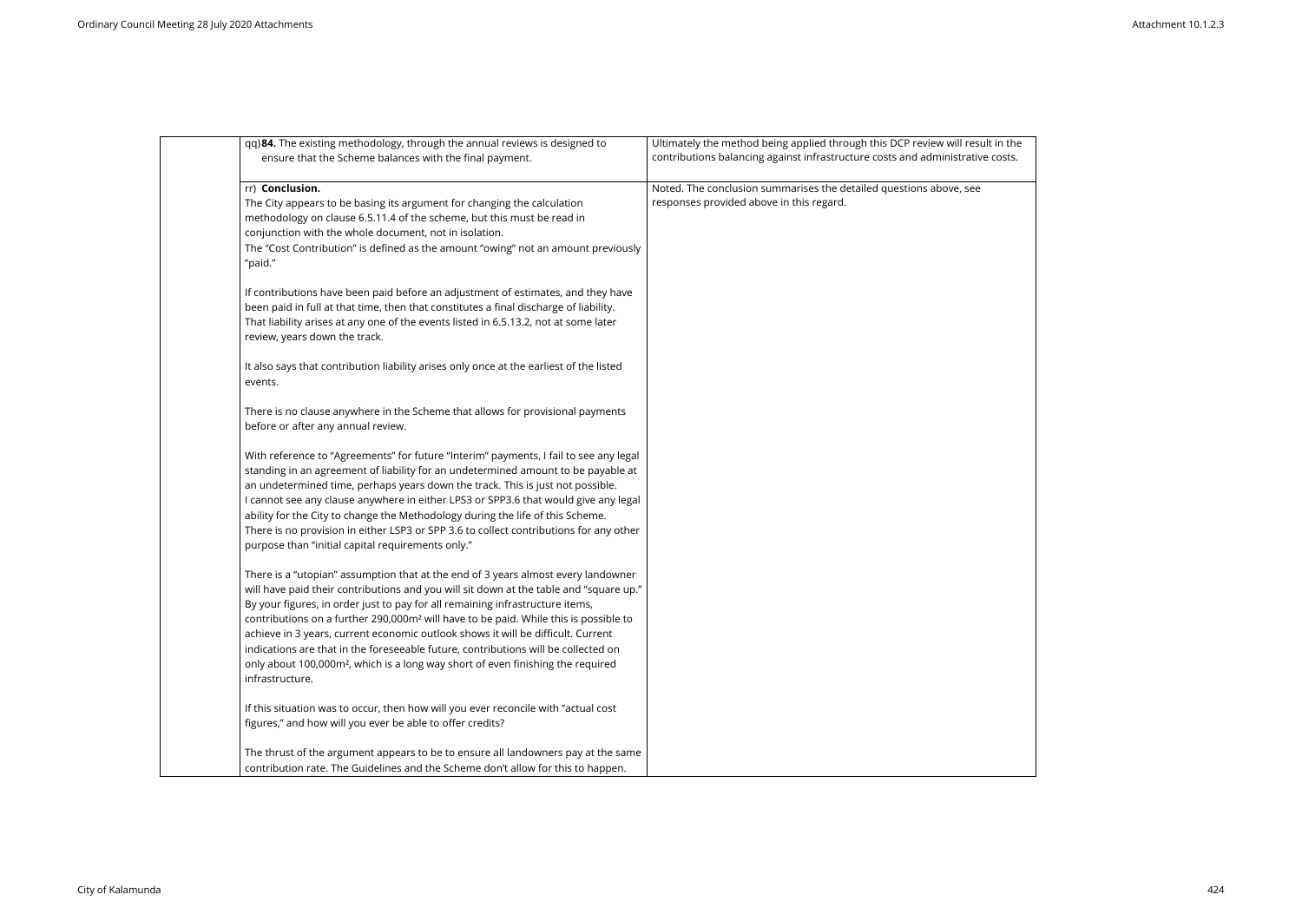| qq) 84. The existing methodology, through the annual reviews is designed to<br>ensure that the Scheme balances with the final payment.                                                                                                                                                                                                                                                                                                                                                                                                                                                                                                                       | Ultimately the method being applied through this DCP review will result in the<br>contributions balancing against infrastructure costs and administrative costs. |
|--------------------------------------------------------------------------------------------------------------------------------------------------------------------------------------------------------------------------------------------------------------------------------------------------------------------------------------------------------------------------------------------------------------------------------------------------------------------------------------------------------------------------------------------------------------------------------------------------------------------------------------------------------------|------------------------------------------------------------------------------------------------------------------------------------------------------------------|
| rr) Conclusion.<br>The City appears to be basing its argument for changing the calculation<br>methodology on clause 6.5.11.4 of the scheme, but this must be read in<br>conjunction with the whole document, not in isolation.<br>The "Cost Contribution" is defined as the amount "owing" not an amount previously<br>"paid."                                                                                                                                                                                                                                                                                                                               | Noted. The conclusion summarises the detailed questions above, see<br>responses provided above in this regard.                                                   |
| If contributions have been paid before an adjustment of estimates, and they have<br>been paid in full at that time, then that constitutes a final discharge of liability.<br>That liability arises at any one of the events listed in 6.5.13.2, not at some later<br>review, years down the track.                                                                                                                                                                                                                                                                                                                                                           |                                                                                                                                                                  |
| It also says that contribution liability arises only once at the earliest of the listed<br>events.                                                                                                                                                                                                                                                                                                                                                                                                                                                                                                                                                           |                                                                                                                                                                  |
| There is no clause anywhere in the Scheme that allows for provisional payments<br>before or after any annual review.                                                                                                                                                                                                                                                                                                                                                                                                                                                                                                                                         |                                                                                                                                                                  |
| With reference to "Agreements" for future "Interim" payments, I fail to see any legal<br>standing in an agreement of liability for an undetermined amount to be payable at<br>an undetermined time, perhaps years down the track. This is just not possible.<br>I cannot see any clause anywhere in either LPS3 or SPP3.6 that would give any legal<br>ability for the City to change the Methodology during the life of this Scheme.<br>There is no provision in either LSP3 or SPP 3.6 to collect contributions for any other<br>purpose than "initial capital requirements only."                                                                         |                                                                                                                                                                  |
| There is a "utopian" assumption that at the end of 3 years almost every landowner<br>will have paid their contributions and you will sit down at the table and "square up."<br>By your figures, in order just to pay for all remaining infrastructure items,<br>contributions on a further 290,000m <sup>2</sup> will have to be paid. While this is possible to<br>achieve in 3 years, current economic outlook shows it will be difficult. Current<br>indications are that in the foreseeable future, contributions will be collected on<br>only about 100,000m <sup>2</sup> , which is a long way short of even finishing the required<br>infrastructure. |                                                                                                                                                                  |
| If this situation was to occur, then how will you ever reconcile with "actual cost<br>figures," and how will you ever be able to offer credits?                                                                                                                                                                                                                                                                                                                                                                                                                                                                                                              |                                                                                                                                                                  |
| The thrust of the argument appears to be to ensure all landowners pay at the same<br>contribution rate. The Guidelines and the Scheme don't allow for this to happen.                                                                                                                                                                                                                                                                                                                                                                                                                                                                                        |                                                                                                                                                                  |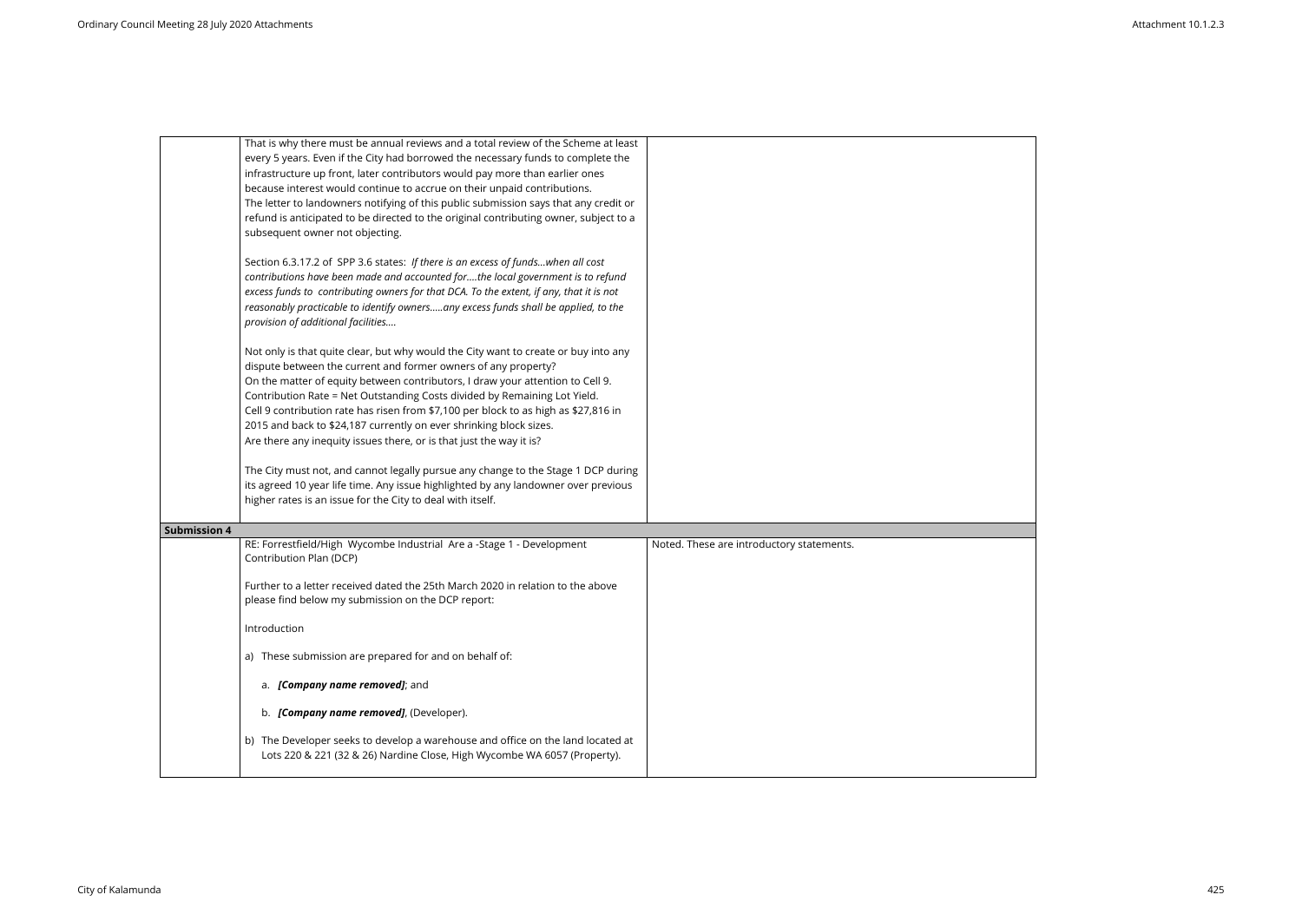| That is why there must be annual reviews and a total review of the Scheme at least<br>every 5 years. Even if the City had borrowed the necessary funds to complete the<br>infrastructure up front, later contributors would pay more than earlier ones<br>because interest would continue to accrue on their unpaid contributions.<br>The letter to landowners notifying of this public submission says that any credit or<br>refund is anticipated to be directed to the original contributing owner, subject to a<br>subsequent owner not objecting.   |                                           |
|----------------------------------------------------------------------------------------------------------------------------------------------------------------------------------------------------------------------------------------------------------------------------------------------------------------------------------------------------------------------------------------------------------------------------------------------------------------------------------------------------------------------------------------------------------|-------------------------------------------|
| Section 6.3.17.2 of SPP 3.6 states: If there is an excess of fundswhen all cost<br>contributions have been made and accounted forthe local government is to refund<br>excess funds to contributing owners for that DCA. To the extent, if any, that it is not<br>reasonably practicable to identify ownersany excess funds shall be applied, to the<br>provision of additional facilities                                                                                                                                                                |                                           |
| Not only is that quite clear, but why would the City want to create or buy into any<br>dispute between the current and former owners of any property?<br>On the matter of equity between contributors, I draw your attention to Cell 9.<br>Contribution Rate = Net Outstanding Costs divided by Remaining Lot Yield.<br>Cell 9 contribution rate has risen from \$7,100 per block to as high as \$27,816 in<br>2015 and back to \$24,187 currently on ever shrinking block sizes.<br>Are there any inequity issues there, or is that just the way it is? |                                           |
| The City must not, and cannot legally pursue any change to the Stage 1 DCP during<br>its agreed 10 year life time. Any issue highlighted by any landowner over previous<br>higher rates is an issue for the City to deal with itself.                                                                                                                                                                                                                                                                                                                    |                                           |
| <b>Submission 4</b>                                                                                                                                                                                                                                                                                                                                                                                                                                                                                                                                      |                                           |
| RE: Forrestfield/High Wycombe Industrial Are a -Stage 1 - Development<br>Contribution Plan (DCP)<br>Further to a letter received dated the 25th March 2020 in relation to the above<br>please find below my submission on the DCP report:                                                                                                                                                                                                                                                                                                                | Noted. These are introductory statements. |
| Introduction                                                                                                                                                                                                                                                                                                                                                                                                                                                                                                                                             |                                           |
| a) These submission are prepared for and on behalf of:                                                                                                                                                                                                                                                                                                                                                                                                                                                                                                   |                                           |
| a. [Company name removed]; and                                                                                                                                                                                                                                                                                                                                                                                                                                                                                                                           |                                           |
| b. [Company name removed], (Developer).                                                                                                                                                                                                                                                                                                                                                                                                                                                                                                                  |                                           |
| b) The Developer seeks to develop a warehouse and office on the land located at<br>Lots 220 & 221 (32 & 26) Nardine Close, High Wycombe WA 6057 (Property).                                                                                                                                                                                                                                                                                                                                                                                              |                                           |

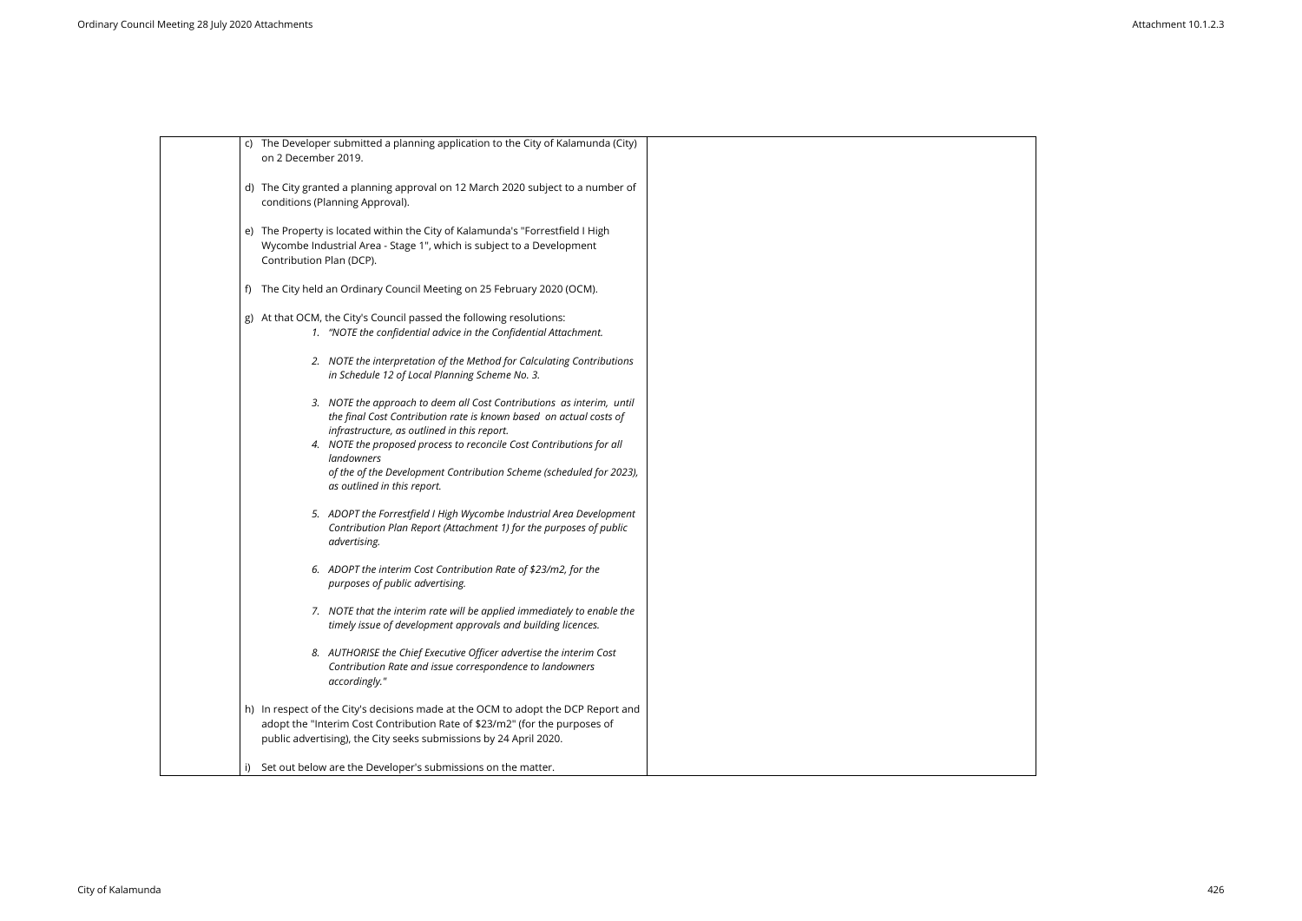| c) The Developer submitted a planning application to the City of Kalamunda (City)                                                               |  |
|-------------------------------------------------------------------------------------------------------------------------------------------------|--|
| on 2 December 2019.                                                                                                                             |  |
| d) The City granted a planning approval on 12 March 2020 subject to a number of<br>conditions (Planning Approval).                              |  |
|                                                                                                                                                 |  |
| e) The Property is located within the City of Kalamunda's "Forrestfield I High                                                                  |  |
| Wycombe Industrial Area - Stage 1", which is subject to a Development<br>Contribution Plan (DCP).                                               |  |
| The City held an Ordinary Council Meeting on 25 February 2020 (OCM).                                                                            |  |
| g) At that OCM, the City's Council passed the following resolutions:                                                                            |  |
| 1. "NOTE the confidential advice in the Confidential Attachment.                                                                                |  |
| 2. NOTE the interpretation of the Method for Calculating Contributions<br>in Schedule 12 of Local Planning Scheme No. 3.                        |  |
| 3. NOTE the approach to deem all Cost Contributions as interim, until                                                                           |  |
| the final Cost Contribution rate is known based on actual costs of                                                                              |  |
| infrastructure, as outlined in this report.<br>4. NOTE the proposed process to reconcile Cost Contributions for all                             |  |
| <i>landowners</i>                                                                                                                               |  |
| of the of the Development Contribution Scheme (scheduled for 2023),<br>as outlined in this report.                                              |  |
| 5. ADOPT the Forrestfield I High Wycombe Industrial Area Development                                                                            |  |
| Contribution Plan Report (Attachment 1) for the purposes of public<br>advertising.                                                              |  |
| 6. ADOPT the interim Cost Contribution Rate of \$23/m2, for the                                                                                 |  |
| purposes of public advertising.                                                                                                                 |  |
| 7. NOTE that the interim rate will be applied immediately to enable the<br>timely issue of development approvals and building licences.         |  |
| 8. AUTHORISE the Chief Executive Officer advertise the interim Cost                                                                             |  |
| Contribution Rate and issue correspondence to landowners<br>accordingly."                                                                       |  |
| h) In respect of the City's decisions made at the OCM to adopt the DCP Report and                                                               |  |
| adopt the "Interim Cost Contribution Rate of \$23/m2" (for the purposes of<br>public advertising), the City seeks submissions by 24 April 2020. |  |
|                                                                                                                                                 |  |
| Set out below are the Developer's submissions on the matter.<br>i)                                                                              |  |

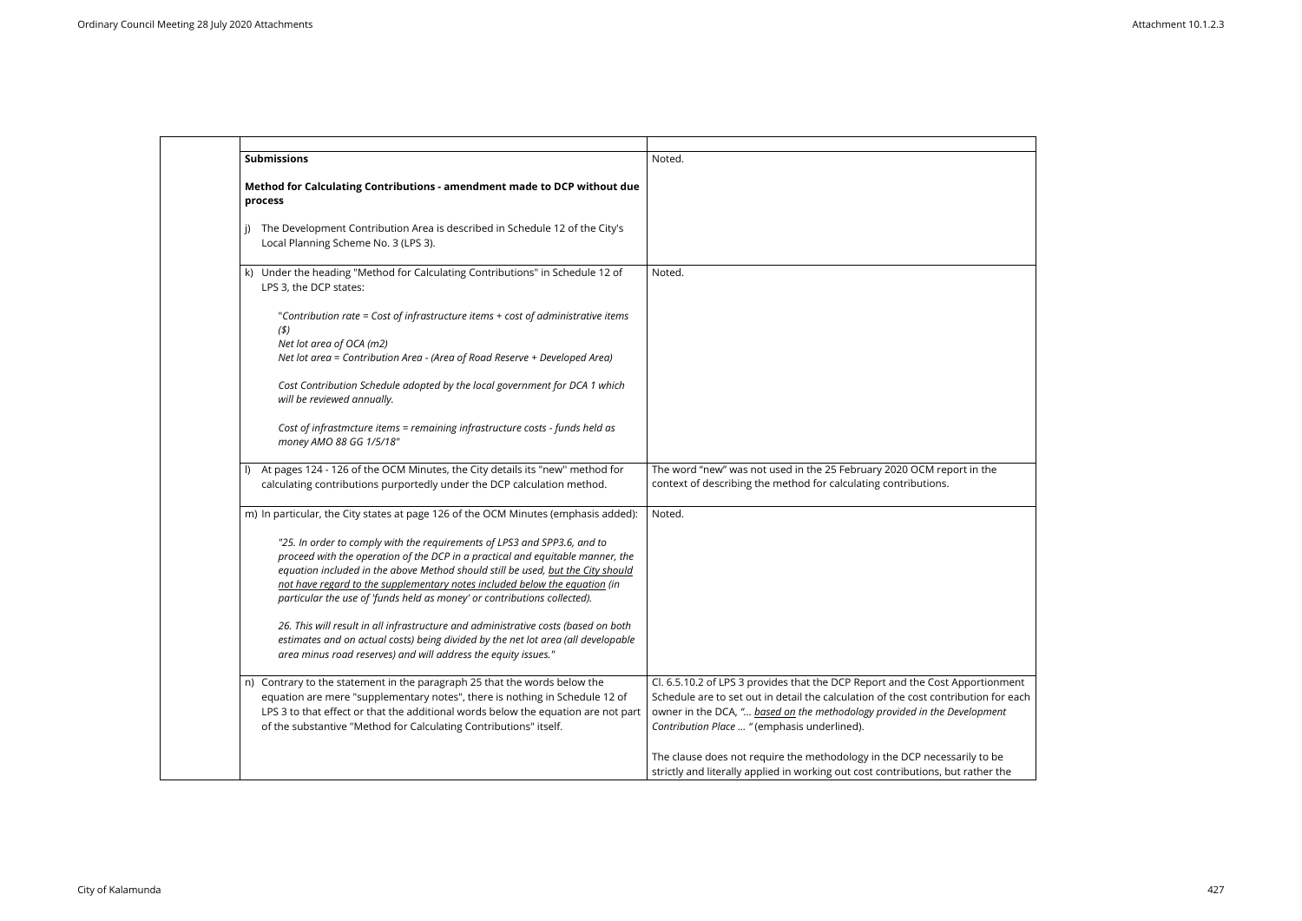| <b>Submissions</b>                                                                                                                                                                                                                                                                                                                                                                                      | Noted.                                                                                                                                                                                                                                                                                  |
|---------------------------------------------------------------------------------------------------------------------------------------------------------------------------------------------------------------------------------------------------------------------------------------------------------------------------------------------------------------------------------------------------------|-----------------------------------------------------------------------------------------------------------------------------------------------------------------------------------------------------------------------------------------------------------------------------------------|
|                                                                                                                                                                                                                                                                                                                                                                                                         |                                                                                                                                                                                                                                                                                         |
| Method for Calculating Contributions - amendment made to DCP without due<br>process                                                                                                                                                                                                                                                                                                                     |                                                                                                                                                                                                                                                                                         |
| The Development Contribution Area is described in Schedule 12 of the City's<br>Local Planning Scheme No. 3 (LPS 3).                                                                                                                                                                                                                                                                                     |                                                                                                                                                                                                                                                                                         |
| Under the heading "Method for Calculating Contributions" in Schedule 12 of<br>k)<br>LPS 3, the DCP states:                                                                                                                                                                                                                                                                                              | Noted.                                                                                                                                                                                                                                                                                  |
| "Contribution rate = Cost of infrastructure items + cost of administrative items<br>(5)<br>Net lot area of OCA (m2)<br>Net lot area = Contribution Area - (Area of Road Reserve + Developed Area)                                                                                                                                                                                                       |                                                                                                                                                                                                                                                                                         |
| Cost Contribution Schedule adopted by the local government for DCA 1 which<br>will be reviewed annually.                                                                                                                                                                                                                                                                                                |                                                                                                                                                                                                                                                                                         |
| Cost of infrastmcture items = remaining infrastructure costs - funds held as<br>money AMO 88 GG 1/5/18"                                                                                                                                                                                                                                                                                                 |                                                                                                                                                                                                                                                                                         |
| At pages 124 - 126 of the OCM Minutes, the City details its "new" method for<br>$\vert$<br>calculating contributions purportedly under the DCP calculation method.                                                                                                                                                                                                                                      | The word "new" was not used in the 25 February 2020 OCM report in the<br>context of describing the method for calculating contributions.                                                                                                                                                |
| m) In particular, the City states at page 126 of the OCM Minutes (emphasis added):                                                                                                                                                                                                                                                                                                                      | Noted.                                                                                                                                                                                                                                                                                  |
| "25. In order to comply with the requirements of LPS3 and SPP3.6, and to<br>proceed with the operation of the DCP in a practical and equitable manner, the<br>equation included in the above Method should still be used, but the City should<br>not have regard to the supplementary notes included below the equation (in<br>particular the use of 'funds held as money' or contributions collected). |                                                                                                                                                                                                                                                                                         |
| 26. This will result in all infrastructure and administrative costs (based on both<br>estimates and on actual costs) being divided by the net lot area (all developable<br>area minus road reserves) and will address the equity issues."                                                                                                                                                               |                                                                                                                                                                                                                                                                                         |
| n) Contrary to the statement in the paragraph 25 that the words below the<br>equation are mere "supplementary notes", there is nothing in Schedule 12 of<br>LPS 3 to that effect or that the additional words below the equation are not part<br>of the substantive "Method for Calculating Contributions" itself.                                                                                      | Cl. 6.5.10.2 of LPS 3 provides that the DCP Report and the Cost Apportionm<br>Schedule are to set out in detail the calculation of the cost contribution for<br>owner in the DCA, " based on the methodology provided in the Development<br>Contribution Place  "(emphasis underlined). |
|                                                                                                                                                                                                                                                                                                                                                                                                         | The clause does not require the methodology in the DCP necessarily to be<br>strictly and literally applied in working out cost contributions, but rather the                                                                                                                            |

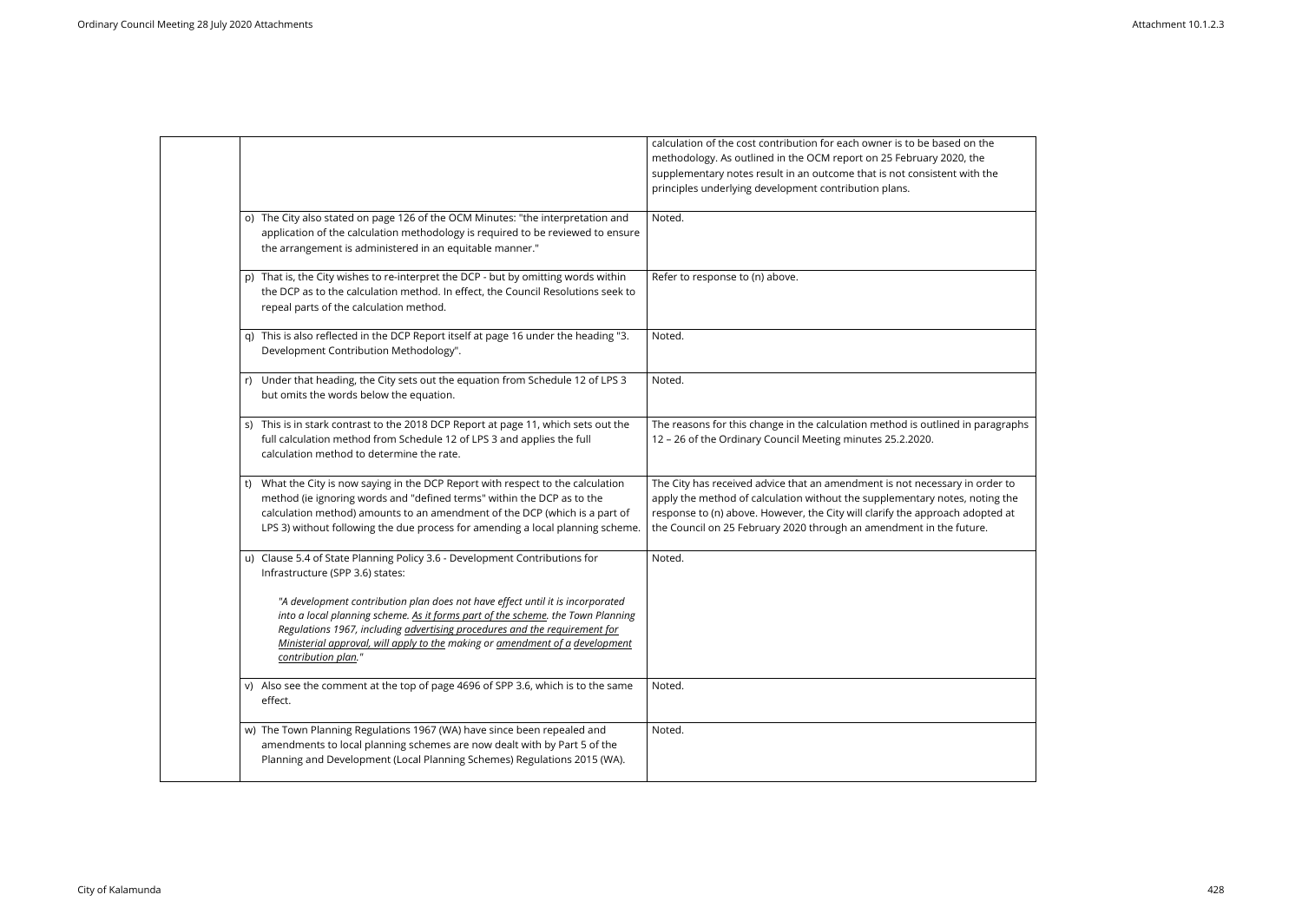|                                                                                                                                                                                                                                                                                                                                                        | calculation of the cost contribution for each owner is to be based on the<br>methodology. As outlined in the OCM report on 25 February 2020, the<br>supplementary notes result in an outcome that is not consistent with the<br>principles underlying development contribution plans.                              |
|--------------------------------------------------------------------------------------------------------------------------------------------------------------------------------------------------------------------------------------------------------------------------------------------------------------------------------------------------------|--------------------------------------------------------------------------------------------------------------------------------------------------------------------------------------------------------------------------------------------------------------------------------------------------------------------|
| o) The City also stated on page 126 of the OCM Minutes: "the interpretation and<br>application of the calculation methodology is required to be reviewed to ensure<br>the arrangement is administered in an equitable manner."                                                                                                                         | Noted.                                                                                                                                                                                                                                                                                                             |
| p) That is, the City wishes to re-interpret the DCP - but by omitting words within<br>the DCP as to the calculation method. In effect, the Council Resolutions seek to<br>repeal parts of the calculation method.                                                                                                                                      | Refer to response to (n) above.                                                                                                                                                                                                                                                                                    |
| q) This is also reflected in the DCP Report itself at page 16 under the heading "3.<br>Development Contribution Methodology".                                                                                                                                                                                                                          | Noted.                                                                                                                                                                                                                                                                                                             |
| Under that heading, the City sets out the equation from Schedule 12 of LPS 3<br>r)<br>but omits the words below the equation.                                                                                                                                                                                                                          | Noted.                                                                                                                                                                                                                                                                                                             |
| s) This is in stark contrast to the 2018 DCP Report at page 11, which sets out the<br>full calculation method from Schedule 12 of LPS 3 and applies the full<br>calculation method to determine the rate.                                                                                                                                              | The reasons for this change in the calculation method is outlined in paragraphs<br>12 - 26 of the Ordinary Council Meeting minutes 25.2.2020.                                                                                                                                                                      |
| What the City is now saying in the DCP Report with respect to the calculation<br>t)<br>method (ie ignoring words and "defined terms" within the DCP as to the<br>calculation method) amounts to an amendment of the DCP (which is a part of<br>LPS 3) without following the due process for amending a local planning scheme.                          | The City has received advice that an amendment is not necessary in order to<br>apply the method of calculation without the supplementary notes, noting the<br>response to (n) above. However, the City will clarify the approach adopted at<br>the Council on 25 February 2020 through an amendment in the future. |
| u) Clause 5.4 of State Planning Policy 3.6 - Development Contributions for<br>Infrastructure (SPP 3.6) states:                                                                                                                                                                                                                                         | Noted.                                                                                                                                                                                                                                                                                                             |
| "A development contribution plan does not have effect until it is incorporated<br>into a local planning scheme. As it forms part of the scheme. the Town Planning<br>Regulations 1967, including advertising procedures and the requirement for<br>Ministerial approval, will apply to the making or amendment of a development<br>contribution plan." |                                                                                                                                                                                                                                                                                                                    |
| v) Also see the comment at the top of page 4696 of SPP 3.6, which is to the same<br>effect.                                                                                                                                                                                                                                                            | Noted.                                                                                                                                                                                                                                                                                                             |
| w) The Town Planning Regulations 1967 (WA) have since been repealed and<br>amendments to local planning schemes are now dealt with by Part 5 of the<br>Planning and Development (Local Planning Schemes) Regulations 2015 (WA).                                                                                                                        | Noted.                                                                                                                                                                                                                                                                                                             |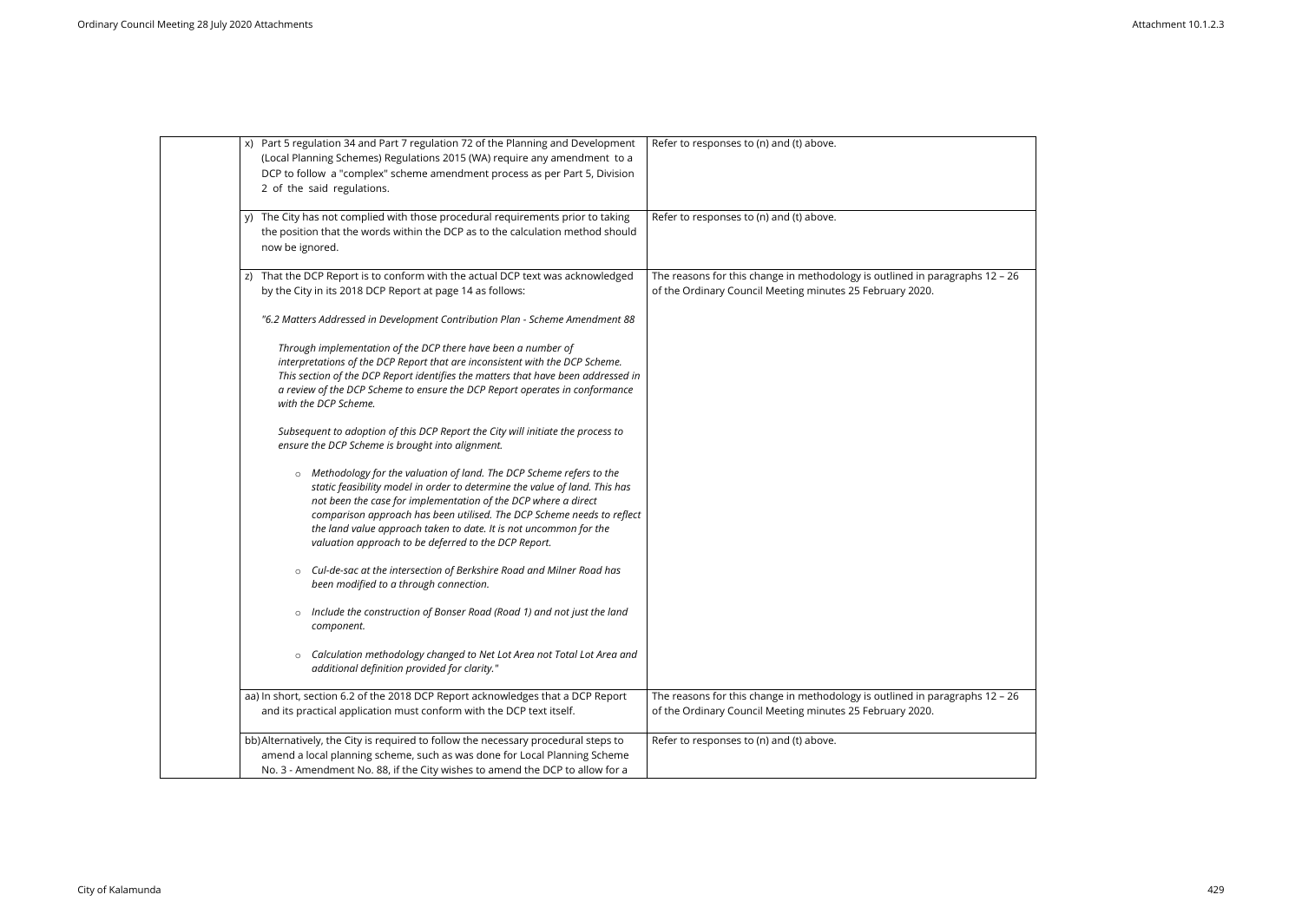| x) Part 5 regulation 34 and Part 7 regulation 72 of the Planning and Development<br>(Local Planning Schemes) Regulations 2015 (WA) require any amendment to a<br>DCP to follow a "complex" scheme amendment process as per Part 5, Division<br>2 of the said regulations.                                                                                                                                                             | Refer to responses to (n) and (t) above.                             |
|---------------------------------------------------------------------------------------------------------------------------------------------------------------------------------------------------------------------------------------------------------------------------------------------------------------------------------------------------------------------------------------------------------------------------------------|----------------------------------------------------------------------|
| y) The City has not complied with those procedural requirements prior to taking<br>the position that the words within the DCP as to the calculation method should<br>now be ignored.                                                                                                                                                                                                                                                  | Refer to responses to (n) and (t) above.                             |
| z) That the DCP Report is to conform with the actual DCP text was acknowledged                                                                                                                                                                                                                                                                                                                                                        | The reasons for this change in methodology is outlined in paragraphs |
| by the City in its 2018 DCP Report at page 14 as follows:                                                                                                                                                                                                                                                                                                                                                                             | of the Ordinary Council Meeting minutes 25 February 2020.            |
| "6.2 Matters Addressed in Development Contribution Plan - Scheme Amendment 88                                                                                                                                                                                                                                                                                                                                                         |                                                                      |
| Through implementation of the DCP there have been a number of<br>interpretations of the DCP Report that are inconsistent with the DCP Scheme.<br>This section of the DCP Report identifies the matters that have been addressed in<br>a review of the DCP Scheme to ensure the DCP Report operates in conformance<br>with the DCP Scheme.                                                                                             |                                                                      |
| Subsequent to adoption of this DCP Report the City will initiate the process to<br>ensure the DCP Scheme is brought into alignment.                                                                                                                                                                                                                                                                                                   |                                                                      |
| Methodology for the valuation of land. The DCP Scheme refers to the<br>$\circ$<br>static feasibility model in order to determine the value of land. This has<br>not been the case for implementation of the DCP where a direct<br>comparison approach has been utilised. The DCP Scheme needs to reflect<br>the land value approach taken to date. It is not uncommon for the<br>valuation approach to be deferred to the DCP Report. |                                                                      |
| Cul-de-sac at the intersection of Berkshire Road and Milner Road has<br>$\circ$<br>been modified to a through connection.                                                                                                                                                                                                                                                                                                             |                                                                      |
| Include the construction of Bonser Road (Road 1) and not just the land<br>$\circ$<br>component.                                                                                                                                                                                                                                                                                                                                       |                                                                      |
| Calculation methodology changed to Net Lot Area not Total Lot Area and<br>$\circ$<br>additional definition provided for clarity."                                                                                                                                                                                                                                                                                                     |                                                                      |
| aa) In short, section 6.2 of the 2018 DCP Report acknowledges that a DCP Report                                                                                                                                                                                                                                                                                                                                                       | The reasons for this change in methodology is outlined in paragraphs |
| and its practical application must conform with the DCP text itself.                                                                                                                                                                                                                                                                                                                                                                  | of the Ordinary Council Meeting minutes 25 February 2020.            |
| bb) Alternatively, the City is required to follow the necessary procedural steps to<br>amend a local planning scheme, such as was done for Local Planning Scheme<br>No. 3 - Amendment No. 88, if the City wishes to amend the DCP to allow for a                                                                                                                                                                                      | Refer to responses to (n) and (t) above.                             |

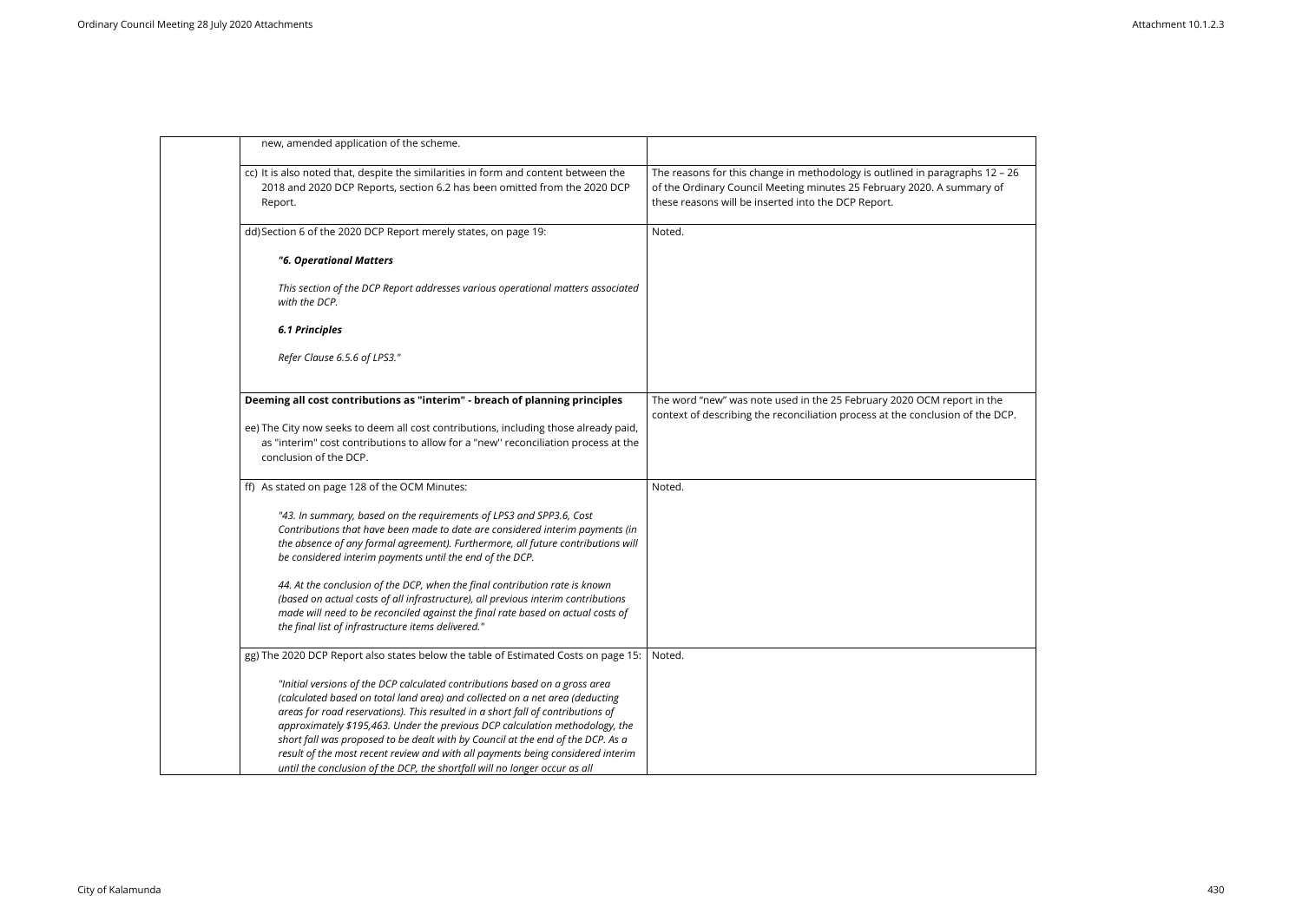

| new, amended application of the scheme.                                                                                                                                                                                                                                                                                                                                                                                                                                                                                                                                            |                                                                                                                                                                                                            |
|------------------------------------------------------------------------------------------------------------------------------------------------------------------------------------------------------------------------------------------------------------------------------------------------------------------------------------------------------------------------------------------------------------------------------------------------------------------------------------------------------------------------------------------------------------------------------------|------------------------------------------------------------------------------------------------------------------------------------------------------------------------------------------------------------|
| cc) It is also noted that, despite the similarities in form and content between the<br>2018 and 2020 DCP Reports, section 6.2 has been omitted from the 2020 DCP<br>Report.                                                                                                                                                                                                                                                                                                                                                                                                        | The reasons for this change in methodology is outlined in paragraphs 12 -<br>of the Ordinary Council Meeting minutes 25 February 2020. A summary of<br>these reasons will be inserted into the DCP Report. |
| dd) Section 6 of the 2020 DCP Report merely states, on page 19:                                                                                                                                                                                                                                                                                                                                                                                                                                                                                                                    | Noted.                                                                                                                                                                                                     |
| "6. Operational Matters                                                                                                                                                                                                                                                                                                                                                                                                                                                                                                                                                            |                                                                                                                                                                                                            |
| This section of the DCP Report addresses various operational matters associated<br>with the DCP.                                                                                                                                                                                                                                                                                                                                                                                                                                                                                   |                                                                                                                                                                                                            |
| <b>6.1 Principles</b>                                                                                                                                                                                                                                                                                                                                                                                                                                                                                                                                                              |                                                                                                                                                                                                            |
| Refer Clause 6.5.6 of LPS3."                                                                                                                                                                                                                                                                                                                                                                                                                                                                                                                                                       |                                                                                                                                                                                                            |
| Deeming all cost contributions as "interim" - breach of planning principles                                                                                                                                                                                                                                                                                                                                                                                                                                                                                                        | The word "new" was note used in the 25 February 2020 OCM report in the<br>context of describing the reconciliation process at the conclusion of the DC                                                     |
| ee) The City now seeks to deem all cost contributions, including those already paid,<br>as "interim" cost contributions to allow for a "new" reconciliation process at the<br>conclusion of the DCP.                                                                                                                                                                                                                                                                                                                                                                               |                                                                                                                                                                                                            |
| ff) As stated on page 128 of the OCM Minutes:                                                                                                                                                                                                                                                                                                                                                                                                                                                                                                                                      | Noted.                                                                                                                                                                                                     |
| "43. In summary, based on the requirements of LPS3 and SPP3.6, Cost<br>Contributions that have been made to date are considered interim payments (in<br>the absence of any formal agreement). Furthermore, all future contributions will<br>be considered interim payments until the end of the DCP.                                                                                                                                                                                                                                                                               |                                                                                                                                                                                                            |
| 44. At the conclusion of the DCP, when the final contribution rate is known<br>(based on actual costs of all infrastructure), all previous interim contributions<br>made will need to be reconciled against the final rate based on actual costs of<br>the final list of infrastructure items delivered."                                                                                                                                                                                                                                                                          |                                                                                                                                                                                                            |
| gg) The 2020 DCP Report also states below the table of Estimated Costs on page 15:                                                                                                                                                                                                                                                                                                                                                                                                                                                                                                 | Noted.                                                                                                                                                                                                     |
| "Initial versions of the DCP calculated contributions based on a gross area<br>(calculated based on total land area) and collected on a net area (deducting<br>areas for road reservations). This resulted in a short fall of contributions of<br>approximately \$195,463. Under the previous DCP calculation methodology, the<br>short fall was proposed to be dealt with by Council at the end of the DCP. As a<br>result of the most recent review and with all payments being considered interim<br>until the conclusion of the DCP, the shortfall will no longer occur as all |                                                                                                                                                                                                            |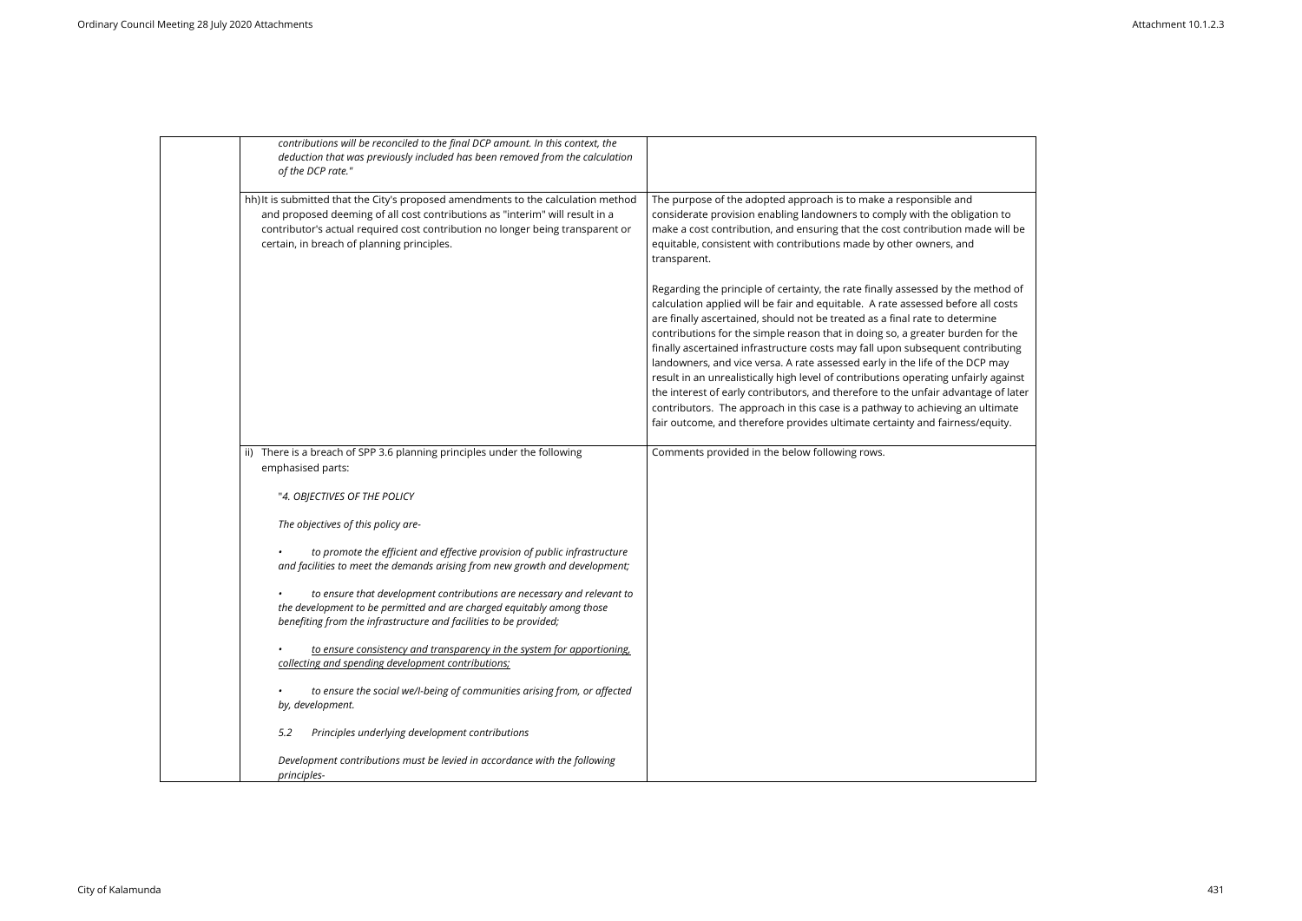| contributions will be reconciled to the final DCP amount. In this context, the<br>deduction that was previously included has been removed from the calculation<br>of the DCP rate."                                                                                                               |                                                                                                                                                                                                                                                                                                                                                                                                                                                                                                                                                                                                                                                                                                                                                                                                                                                       |
|---------------------------------------------------------------------------------------------------------------------------------------------------------------------------------------------------------------------------------------------------------------------------------------------------|-------------------------------------------------------------------------------------------------------------------------------------------------------------------------------------------------------------------------------------------------------------------------------------------------------------------------------------------------------------------------------------------------------------------------------------------------------------------------------------------------------------------------------------------------------------------------------------------------------------------------------------------------------------------------------------------------------------------------------------------------------------------------------------------------------------------------------------------------------|
| hh) It is submitted that the City's proposed amendments to the calculation method<br>and proposed deeming of all cost contributions as "interim" will result in a<br>contributor's actual required cost contribution no longer being transparent or<br>certain, in breach of planning principles. | The purpose of the adopted approach is to make a responsible and<br>considerate provision enabling landowners to comply with the obligation to<br>make a cost contribution, and ensuring that the cost contribution made will be<br>equitable, consistent with contributions made by other owners, and<br>transparent.                                                                                                                                                                                                                                                                                                                                                                                                                                                                                                                                |
|                                                                                                                                                                                                                                                                                                   | Regarding the principle of certainty, the rate finally assessed by the method of<br>calculation applied will be fair and equitable. A rate assessed before all costs<br>are finally ascertained, should not be treated as a final rate to determine<br>contributions for the simple reason that in doing so, a greater burden for the<br>finally ascertained infrastructure costs may fall upon subsequent contributing<br>landowners, and vice versa. A rate assessed early in the life of the DCP may<br>result in an unrealistically high level of contributions operating unfairly against<br>the interest of early contributors, and therefore to the unfair advantage of later<br>contributors. The approach in this case is a pathway to achieving an ultimate<br>fair outcome, and therefore provides ultimate certainty and fairness/equity. |
| ii) There is a breach of SPP 3.6 planning principles under the following<br>emphasised parts:                                                                                                                                                                                                     | Comments provided in the below following rows.                                                                                                                                                                                                                                                                                                                                                                                                                                                                                                                                                                                                                                                                                                                                                                                                        |
| "4. OBJECTIVES OF THE POLICY                                                                                                                                                                                                                                                                      |                                                                                                                                                                                                                                                                                                                                                                                                                                                                                                                                                                                                                                                                                                                                                                                                                                                       |
| The objectives of this policy are-                                                                                                                                                                                                                                                                |                                                                                                                                                                                                                                                                                                                                                                                                                                                                                                                                                                                                                                                                                                                                                                                                                                                       |
| to promote the efficient and effective provision of public infrastructure<br>and facilities to meet the demands arising from new growth and development;                                                                                                                                          |                                                                                                                                                                                                                                                                                                                                                                                                                                                                                                                                                                                                                                                                                                                                                                                                                                                       |
| to ensure that development contributions are necessary and relevant to<br>the development to be permitted and are charged equitably among those<br>benefiting from the infrastructure and facilities to be provided;                                                                              |                                                                                                                                                                                                                                                                                                                                                                                                                                                                                                                                                                                                                                                                                                                                                                                                                                                       |
| to ensure consistency and transparency in the system for apportioning,<br>collecting and spending development contributions;                                                                                                                                                                      |                                                                                                                                                                                                                                                                                                                                                                                                                                                                                                                                                                                                                                                                                                                                                                                                                                                       |
| to ensure the social we/l-being of communities arising from, or affected<br>by, development.                                                                                                                                                                                                      |                                                                                                                                                                                                                                                                                                                                                                                                                                                                                                                                                                                                                                                                                                                                                                                                                                                       |
| Principles underlying development contributions<br>5.2                                                                                                                                                                                                                                            |                                                                                                                                                                                                                                                                                                                                                                                                                                                                                                                                                                                                                                                                                                                                                                                                                                                       |
| Development contributions must be levied in accordance with the following<br>principles-                                                                                                                                                                                                          |                                                                                                                                                                                                                                                                                                                                                                                                                                                                                                                                                                                                                                                                                                                                                                                                                                                       |

| ion to     |  |
|------------|--|
| le will be |  |

ethod of all costs contributions in tributing y against ge of later -<br>Jltimate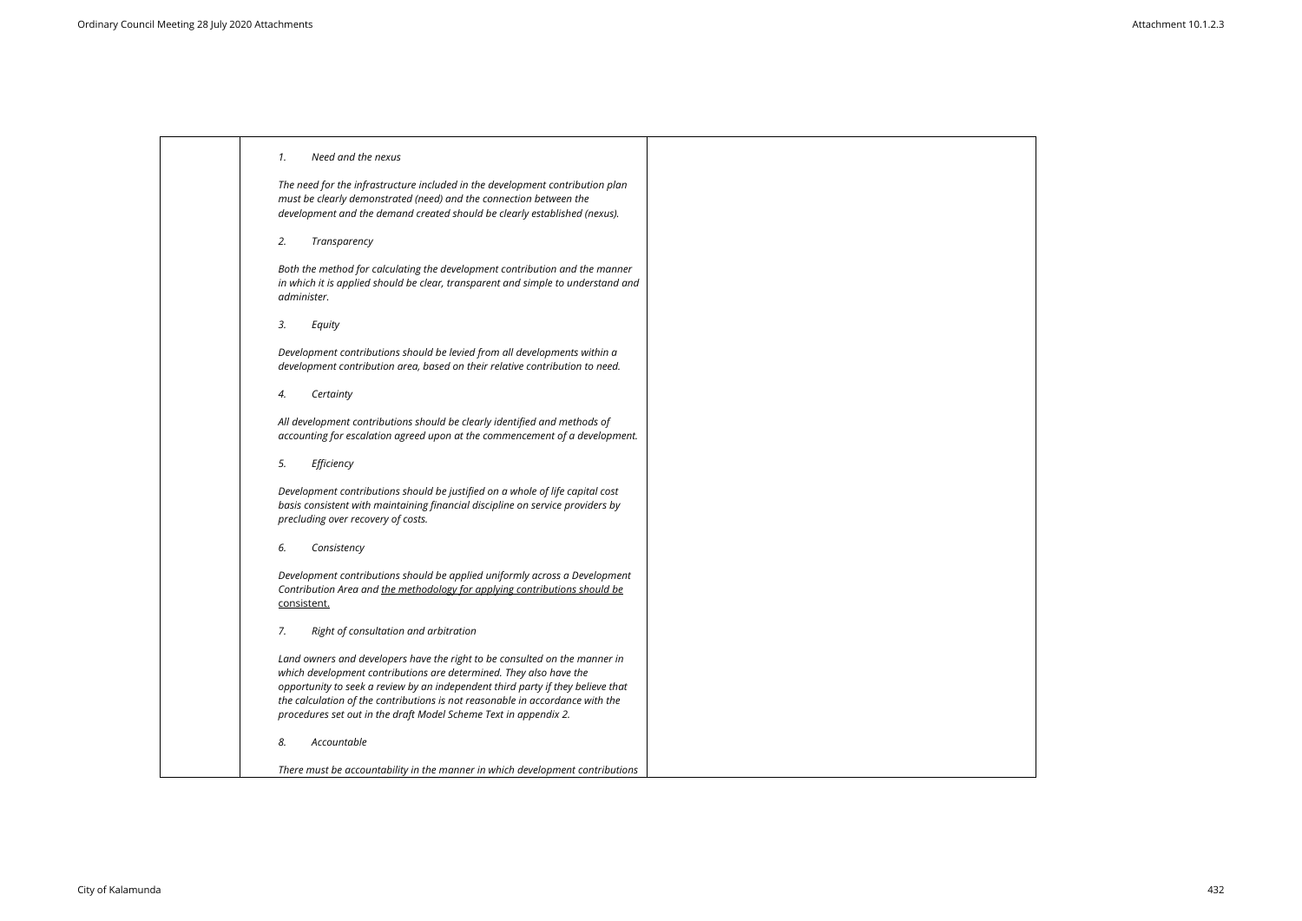|  |  | Need and the nexus |
|--|--|--------------------|
|  |  |                    |

*The need for the infrastructure included in the development contribution plan must be clearly demonstrated (need) and the connection between the development and the demand created should be clearly established (nexus).*

*2. Transparency*

*Both the method for calculating the development contribution and the manner in which it is applied should be clear, transparent and simple to understand and administer.*

*3. Equity*

*Development contributions should be levied from all developments within a development contribution area, based on their relative contribution to need.*

*4. Certainty*

*All development contributions should be clearly identified and methods of accounting for escalation agreed upon at the commencement of a development.*

*5. Efficiency*

*Development contributions should be justified on a whole of life capital cost basis consistent with maintaining financial discipline on service providers by precluding over recovery of costs.*

*6. Consistency*

*Development contributions should be applied uniformly across a Development Contribution Area and the methodology for applying contributions should be* consistent.

*7. Right of consultation and arbitration*

*Land owners and developers have the right to be consulted on the manner in which development contributions are determined. They also have the opportunity to seek a review by an independent third party if they believe that the calculation of the contributions is not reasonable in accordance with the procedures set out in the draft Model Scheme Text in appendix 2.*

*8. Accountable*

*There must be accountability in the manner in which development contributions* 

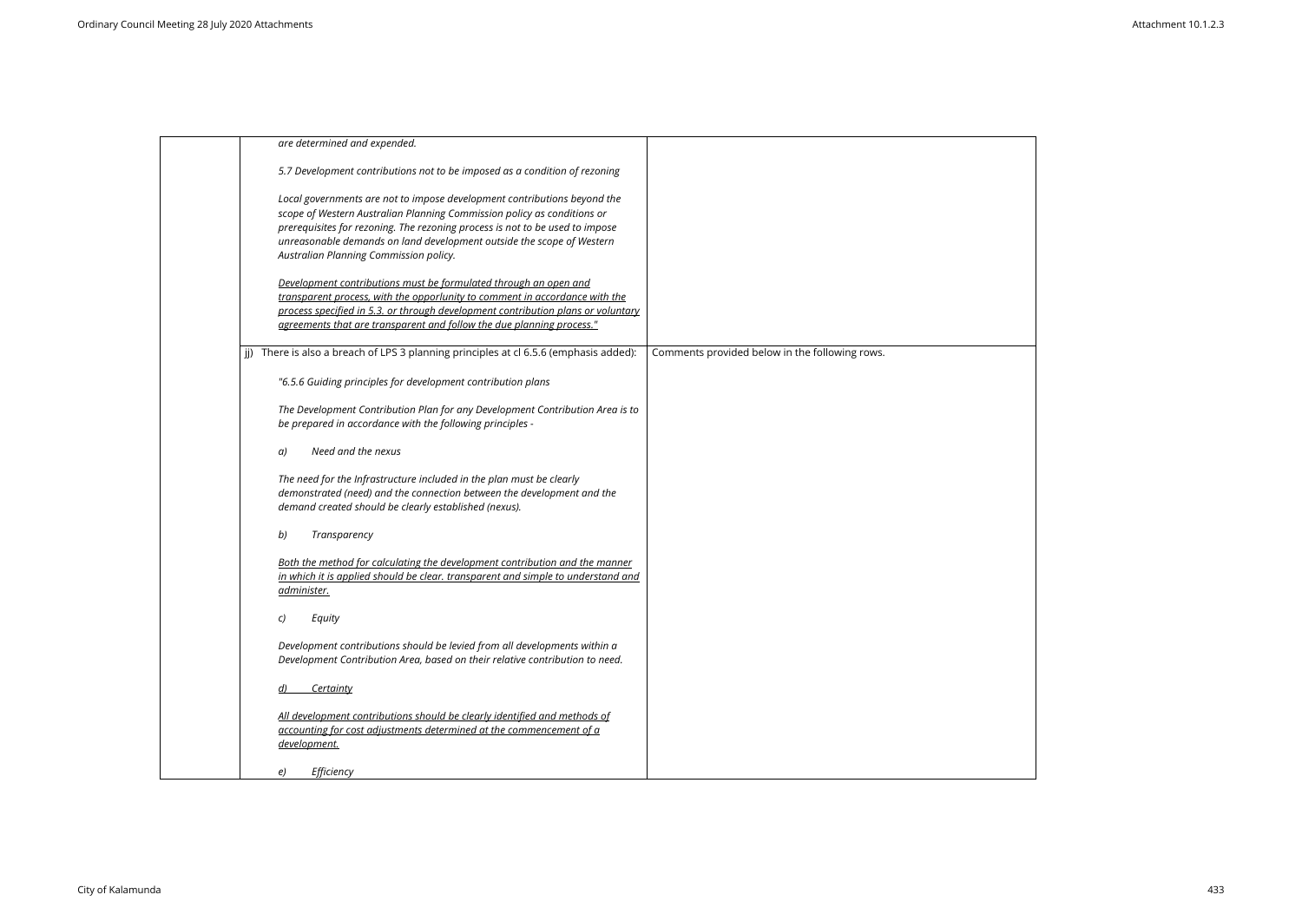| are determined and expended.                                                                                                                                                                                                                                                                                                                           |                                                |
|--------------------------------------------------------------------------------------------------------------------------------------------------------------------------------------------------------------------------------------------------------------------------------------------------------------------------------------------------------|------------------------------------------------|
| 5.7 Development contributions not to be imposed as a condition of rezoning                                                                                                                                                                                                                                                                             |                                                |
| Local governments are not to impose development contributions beyond the<br>scope of Western Australian Planning Commission policy as conditions or<br>prerequisites for rezoning. The rezoning process is not to be used to impose<br>unreasonable demands on land development outside the scope of Western<br>Australian Planning Commission policy. |                                                |
| Development contributions must be formulated through an open and<br>transparent process, with the opporlunity to comment in accordance with the<br>process specified in 5.3. or through development contribution plans or voluntary<br>agreements that are transparent and follow the due planning process."                                           |                                                |
| There is also a breach of LPS 3 planning principles at cl 6.5.6 (emphasis added):                                                                                                                                                                                                                                                                      | Comments provided below in the following rows. |
| "6.5.6 Guiding principles for development contribution plans                                                                                                                                                                                                                                                                                           |                                                |
| The Development Contribution Plan for any Development Contribution Area is to<br>be prepared in accordance with the following principles -                                                                                                                                                                                                             |                                                |
| Need and the nexus<br>a)                                                                                                                                                                                                                                                                                                                               |                                                |
| The need for the Infrastructure included in the plan must be clearly<br>demonstrated (need) and the connection between the development and the<br>demand created should be clearly established (nexus).                                                                                                                                                |                                                |
| b)<br>Transparency                                                                                                                                                                                                                                                                                                                                     |                                                |
| Both the method for calculating the development contribution and the manner<br>in which it is applied should be clear. transparent and simple to understand and<br>administer.                                                                                                                                                                         |                                                |
| C)<br>Equity                                                                                                                                                                                                                                                                                                                                           |                                                |
| Development contributions should be levied from all developments within a<br>Development Contribution Area, based on their relative contribution to need.                                                                                                                                                                                              |                                                |
| Certainty<br>d)                                                                                                                                                                                                                                                                                                                                        |                                                |
| All development contributions should be clearly identified and methods of<br>accounting for cost adjustments determined at the commencement of a<br>development.                                                                                                                                                                                       |                                                |
| Efficiency<br>e)                                                                                                                                                                                                                                                                                                                                       |                                                |

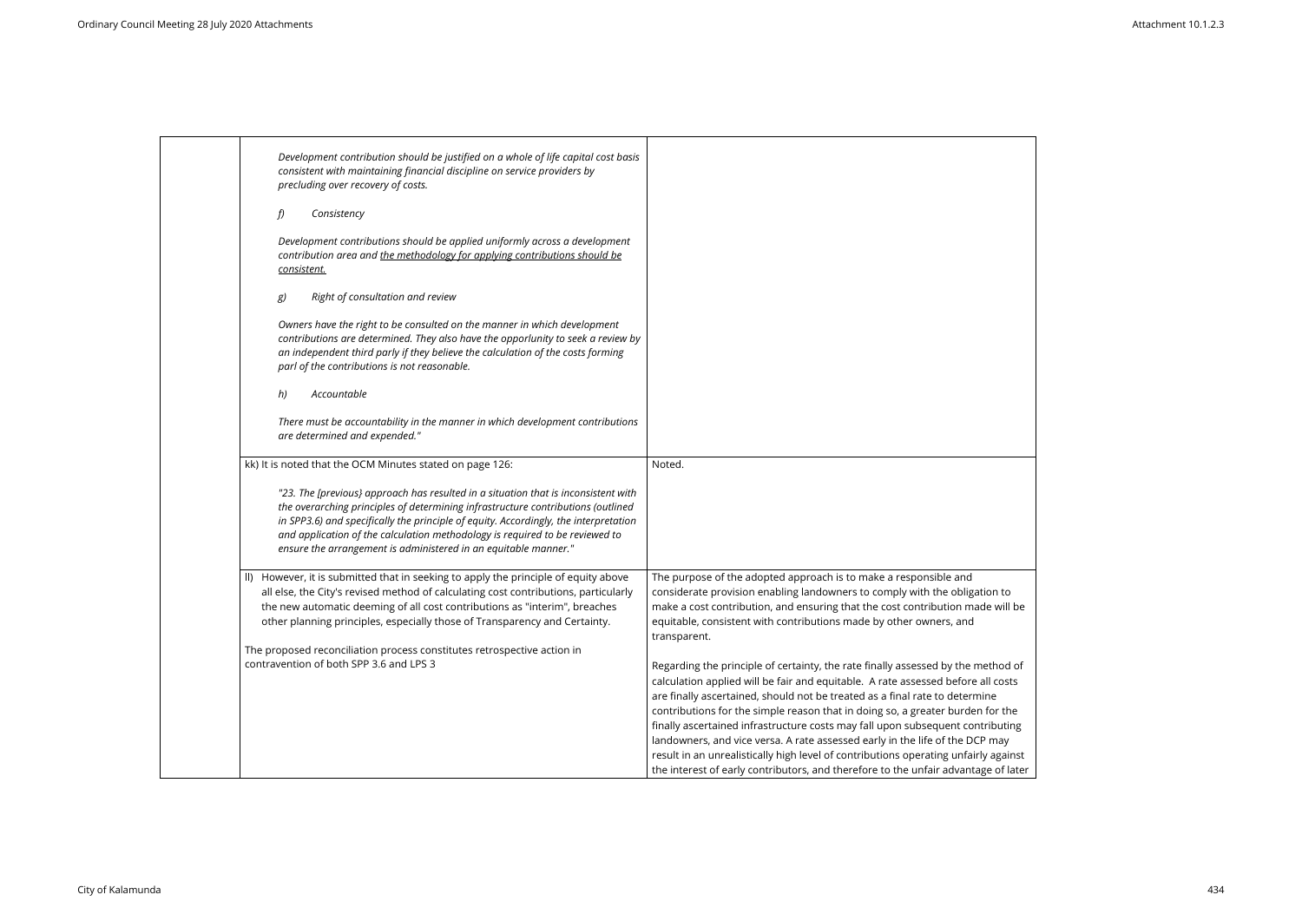| Development contribution should be justified on a whole of life capital cost basis<br>consistent with maintaining financial discipline on service providers by<br>precluding over recovery of costs.                                                                                                                                                                                                              |                                                                                                                                                                                                                                                                                                                                                                                                                                                                                                                                                                                                                                                                                      |
|-------------------------------------------------------------------------------------------------------------------------------------------------------------------------------------------------------------------------------------------------------------------------------------------------------------------------------------------------------------------------------------------------------------------|--------------------------------------------------------------------------------------------------------------------------------------------------------------------------------------------------------------------------------------------------------------------------------------------------------------------------------------------------------------------------------------------------------------------------------------------------------------------------------------------------------------------------------------------------------------------------------------------------------------------------------------------------------------------------------------|
| f)<br>Consistency                                                                                                                                                                                                                                                                                                                                                                                                 |                                                                                                                                                                                                                                                                                                                                                                                                                                                                                                                                                                                                                                                                                      |
| Development contributions should be applied uniformly across a development<br>contribution area and the methodology for applying contributions should be<br><u>consistent.</u>                                                                                                                                                                                                                                    |                                                                                                                                                                                                                                                                                                                                                                                                                                                                                                                                                                                                                                                                                      |
| Right of consultation and review<br>g)                                                                                                                                                                                                                                                                                                                                                                            |                                                                                                                                                                                                                                                                                                                                                                                                                                                                                                                                                                                                                                                                                      |
| Owners have the right to be consulted on the manner in which development<br>contributions are determined. They also have the opporlunity to seek a review by<br>an independent third parly if they believe the calculation of the costs forming<br>parl of the contributions is not reasonable.                                                                                                                   |                                                                                                                                                                                                                                                                                                                                                                                                                                                                                                                                                                                                                                                                                      |
| Accountable<br>h)                                                                                                                                                                                                                                                                                                                                                                                                 |                                                                                                                                                                                                                                                                                                                                                                                                                                                                                                                                                                                                                                                                                      |
| There must be accountability in the manner in which development contributions<br>are determined and expended."                                                                                                                                                                                                                                                                                                    |                                                                                                                                                                                                                                                                                                                                                                                                                                                                                                                                                                                                                                                                                      |
| kk) It is noted that the OCM Minutes stated on page 126:                                                                                                                                                                                                                                                                                                                                                          | Noted.                                                                                                                                                                                                                                                                                                                                                                                                                                                                                                                                                                                                                                                                               |
| "23. The [previous] approach has resulted in a situation that is inconsistent with<br>the overarching principles of determining infrastructure contributions (outlined<br>in SPP3.6) and specifically the principle of equity. Accordingly, the interpretation<br>and application of the calculation methodology is required to be reviewed to<br>ensure the arrangement is administered in an equitable manner." |                                                                                                                                                                                                                                                                                                                                                                                                                                                                                                                                                                                                                                                                                      |
| II) However, it is submitted that in seeking to apply the principle of equity above<br>all else, the City's revised method of calculating cost contributions, particularly<br>the new automatic deeming of all cost contributions as "interim", breaches<br>other planning principles, especially those of Transparency and Certainty.<br>The proposed reconciliation process constitutes retrospective action in | The purpose of the adopted approach is to make a responsible and<br>considerate provision enabling landowners to comply with the obligation to<br>make a cost contribution, and ensuring that the cost contribution made will be<br>equitable, consistent with contributions made by other owners, and<br>transparent.                                                                                                                                                                                                                                                                                                                                                               |
| contravention of both SPP 3.6 and LPS 3                                                                                                                                                                                                                                                                                                                                                                           | Regarding the principle of certainty, the rate finally assessed by the method of<br>calculation applied will be fair and equitable. A rate assessed before all costs<br>are finally ascertained, should not be treated as a final rate to determine<br>contributions for the simple reason that in doing so, a greater burden for the<br>finally ascertained infrastructure costs may fall upon subsequent contributing<br>landowners, and vice versa. A rate assessed early in the life of the DCP may<br>result in an unrealistically high level of contributions operating unfairly against<br>the interest of early contributors, and therefore to the unfair advantage of later |

| ation to     |  |
|--------------|--|
| ade will be  |  |
|              |  |
|              |  |
| method of    |  |
| e all costs  |  |
| mine         |  |
| en for the   |  |
| ntributing   |  |
| CP may       |  |
| irly against |  |
| age of later |  |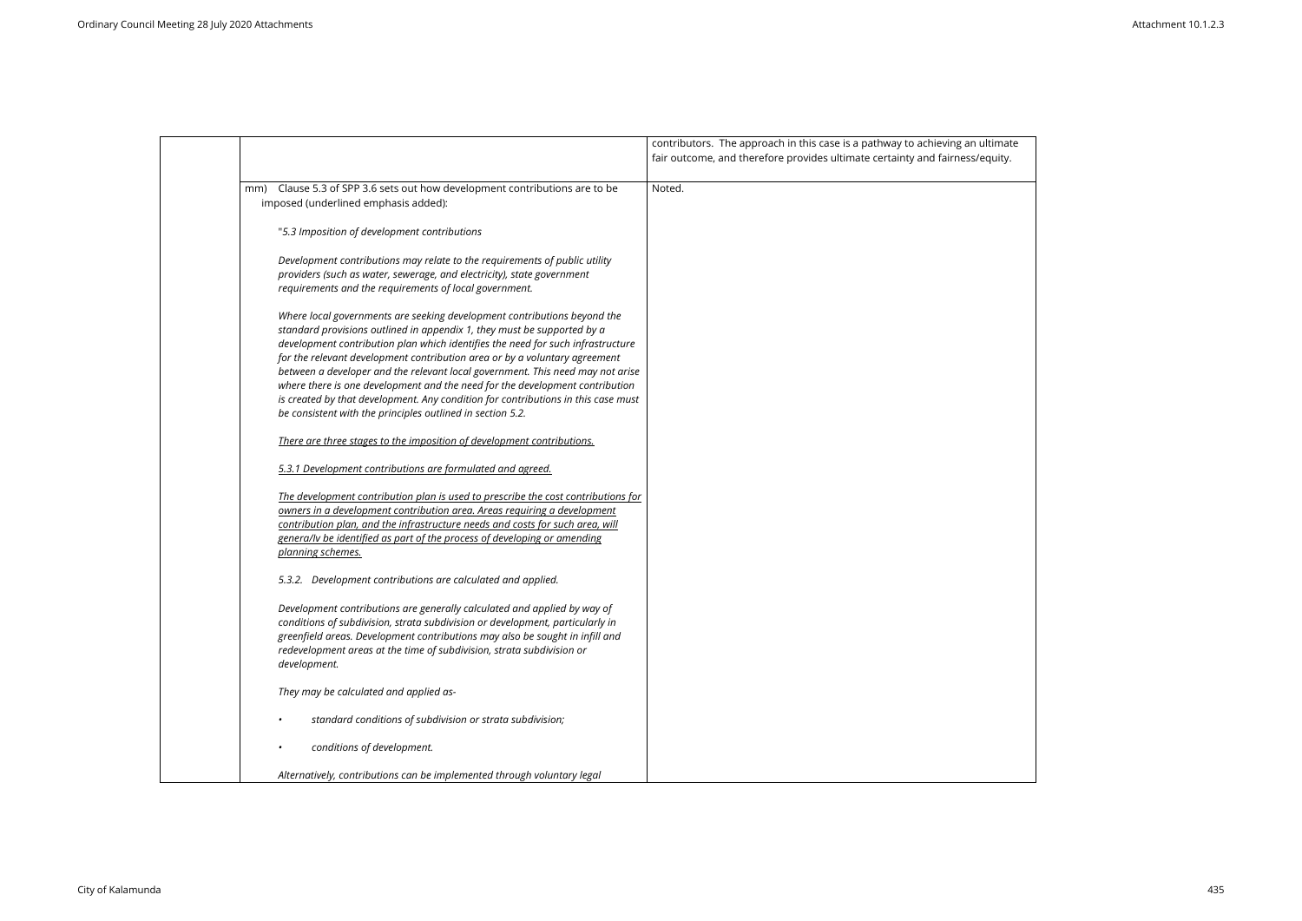

|                                                                                                                                                                                                                                                                                                                                                                                                                                                                                                                                                                                                                                           | contributors. The approach in this case is a pathway to achieving an<br>fair outcome, and therefore provides ultimate certainty and fairness/ |
|-------------------------------------------------------------------------------------------------------------------------------------------------------------------------------------------------------------------------------------------------------------------------------------------------------------------------------------------------------------------------------------------------------------------------------------------------------------------------------------------------------------------------------------------------------------------------------------------------------------------------------------------|-----------------------------------------------------------------------------------------------------------------------------------------------|
| Clause 5.3 of SPP 3.6 sets out how development contributions are to be<br>mm)<br>imposed (underlined emphasis added):                                                                                                                                                                                                                                                                                                                                                                                                                                                                                                                     | Noted.                                                                                                                                        |
| "5.3 Imposition of development contributions                                                                                                                                                                                                                                                                                                                                                                                                                                                                                                                                                                                              |                                                                                                                                               |
| Development contributions may relate to the requirements of public utility<br>providers (such as water, sewerage, and electricity), state government<br>requirements and the requirements of local government.                                                                                                                                                                                                                                                                                                                                                                                                                            |                                                                                                                                               |
| Where local governments are seeking development contributions beyond the<br>standard provisions outlined in appendix 1, they must be supported by a<br>development contribution plan which identifies the need for such infrastructure<br>for the relevant development contribution area or by a voluntary agreement<br>between a developer and the relevant local government. This need may not arise<br>where there is one development and the need for the development contribution<br>is created by that development. Any condition for contributions in this case must<br>be consistent with the principles outlined in section 5.2. |                                                                                                                                               |
| There are three stages to the imposition of development contributions.                                                                                                                                                                                                                                                                                                                                                                                                                                                                                                                                                                    |                                                                                                                                               |
| 5.3.1 Development contributions are formulated and agreed.                                                                                                                                                                                                                                                                                                                                                                                                                                                                                                                                                                                |                                                                                                                                               |
| The development contribution plan is used to prescribe the cost contributions for<br>owners in a development contribution area. Areas requiring a development<br>contribution plan, and the infrastructure needs and costs for such area, will<br>genera/ly be identified as part of the process of developing or amending<br>planning schemes.                                                                                                                                                                                                                                                                                           |                                                                                                                                               |
| 5.3.2. Development contributions are calculated and applied.                                                                                                                                                                                                                                                                                                                                                                                                                                                                                                                                                                              |                                                                                                                                               |
| Development contributions are generally calculated and applied by way of<br>conditions of subdivision, strata subdivision or development, particularly in<br>greenfield areas. Development contributions may also be sought in infill and<br>redevelopment areas at the time of subdivision, strata subdivision or<br>development.                                                                                                                                                                                                                                                                                                        |                                                                                                                                               |
| They may be calculated and applied as-                                                                                                                                                                                                                                                                                                                                                                                                                                                                                                                                                                                                    |                                                                                                                                               |
| standard conditions of subdivision or strata subdivision;                                                                                                                                                                                                                                                                                                                                                                                                                                                                                                                                                                                 |                                                                                                                                               |
| conditions of development.                                                                                                                                                                                                                                                                                                                                                                                                                                                                                                                                                                                                                |                                                                                                                                               |
| Alternatively, contributions can be implemented through voluntary legal                                                                                                                                                                                                                                                                                                                                                                                                                                                                                                                                                                   |                                                                                                                                               |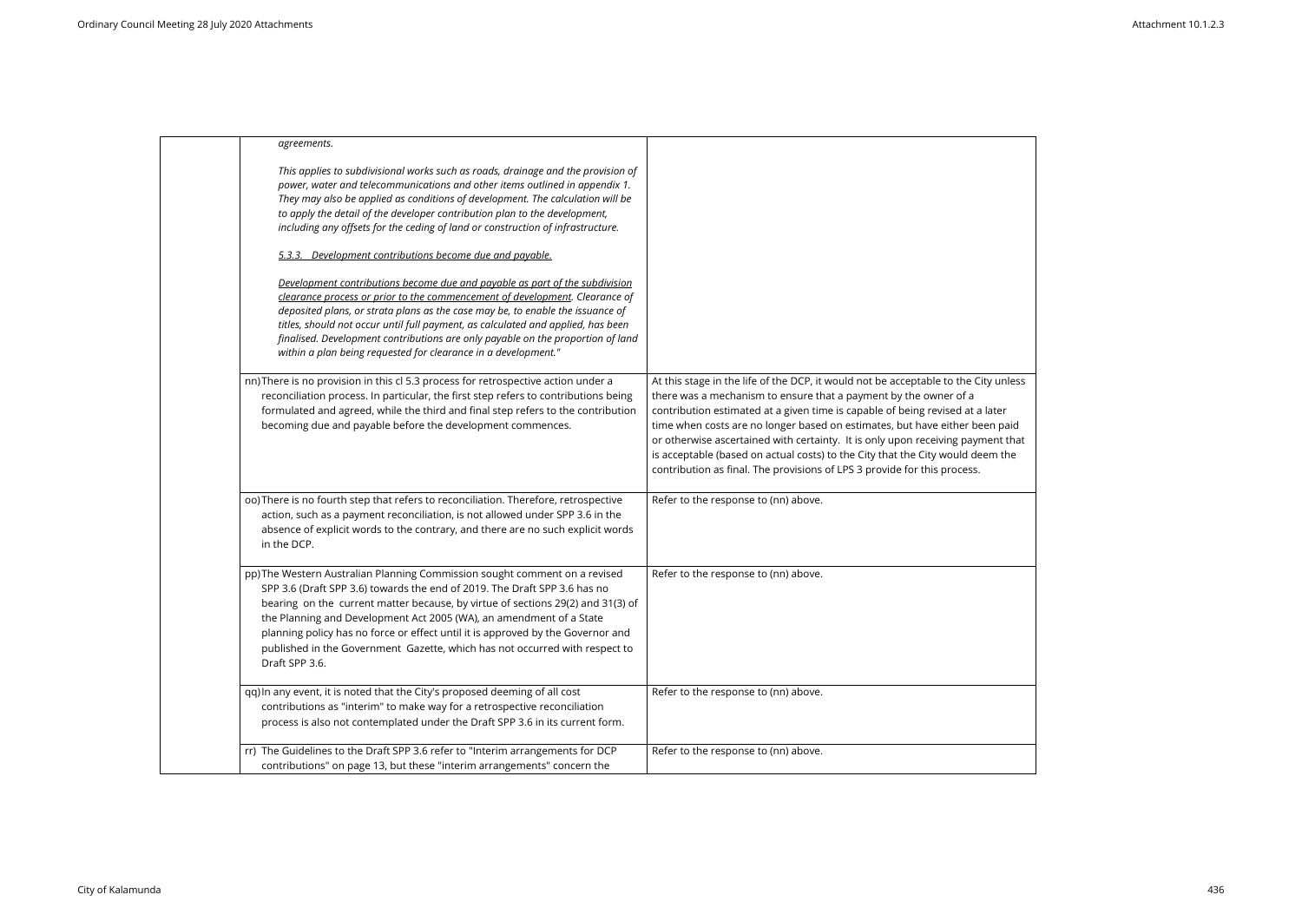| agreements.                                                                                                                                                                                                                                                                                                                                                                                                                                                                                           |                                                                                                                                                                                                                                                                                                                                                                                                                                                                                                                                                                          |
|-------------------------------------------------------------------------------------------------------------------------------------------------------------------------------------------------------------------------------------------------------------------------------------------------------------------------------------------------------------------------------------------------------------------------------------------------------------------------------------------------------|--------------------------------------------------------------------------------------------------------------------------------------------------------------------------------------------------------------------------------------------------------------------------------------------------------------------------------------------------------------------------------------------------------------------------------------------------------------------------------------------------------------------------------------------------------------------------|
| This applies to subdivisional works such as roads, drainage and the provision of<br>power, water and telecommunications and other items outlined in appendix 1.<br>They may also be applied as conditions of development. The calculation will be<br>to apply the detail of the developer contribution plan to the development,<br>including any offsets for the ceding of land or construction of infrastructure.                                                                                    |                                                                                                                                                                                                                                                                                                                                                                                                                                                                                                                                                                          |
| 5.3.3. Development contributions become due and payable.                                                                                                                                                                                                                                                                                                                                                                                                                                              |                                                                                                                                                                                                                                                                                                                                                                                                                                                                                                                                                                          |
| Development contributions become due and payable as part of the subdivision<br>clearance process or prior to the commencement of development. Clearance of<br>deposited plans, or strata plans as the case may be, to enable the issuance of<br>titles, should not occur until full payment, as calculated and applied, has been<br>finalised. Development contributions are only payable on the proportion of land<br>within a plan being requested for clearance in a development."                 |                                                                                                                                                                                                                                                                                                                                                                                                                                                                                                                                                                          |
| nn) There is no provision in this cl 5.3 process for retrospective action under a<br>reconciliation process. In particular, the first step refers to contributions being<br>formulated and agreed, while the third and final step refers to the contribution<br>becoming due and payable before the development commences.                                                                                                                                                                            | At this stage in the life of the DCP, it would not be acceptable to the City unless<br>there was a mechanism to ensure that a payment by the owner of a<br>contribution estimated at a given time is capable of being revised at a later<br>time when costs are no longer based on estimates, but have either been paid<br>or otherwise ascertained with certainty. It is only upon receiving payment that<br>is acceptable (based on actual costs) to the City that the City would deem the<br>contribution as final. The provisions of LPS 3 provide for this process. |
| oo) There is no fourth step that refers to reconciliation. Therefore, retrospective<br>action, such as a payment reconciliation, is not allowed under SPP 3.6 in the<br>absence of explicit words to the contrary, and there are no such explicit words<br>in the DCP.                                                                                                                                                                                                                                | Refer to the response to (nn) above.                                                                                                                                                                                                                                                                                                                                                                                                                                                                                                                                     |
| pp) The Western Australian Planning Commission sought comment on a revised<br>SPP 3.6 (Draft SPP 3.6) towards the end of 2019. The Draft SPP 3.6 has no<br>bearing on the current matter because, by virtue of sections 29(2) and 31(3) of<br>the Planning and Development Act 2005 (WA), an amendment of a State<br>planning policy has no force or effect until it is approved by the Governor and<br>published in the Government Gazette, which has not occurred with respect to<br>Draft SPP 3.6. | Refer to the response to (nn) above.                                                                                                                                                                                                                                                                                                                                                                                                                                                                                                                                     |
| qq) In any event, it is noted that the City's proposed deeming of all cost<br>contributions as "interim" to make way for a retrospective reconciliation<br>process is also not contemplated under the Draft SPP 3.6 in its current form.                                                                                                                                                                                                                                                              | Refer to the response to (nn) above.                                                                                                                                                                                                                                                                                                                                                                                                                                                                                                                                     |
| rr) The Guidelines to the Draft SPP 3.6 refer to "Interim arrangements for DCP<br>contributions" on page 13, but these "interim arrangements" concern the                                                                                                                                                                                                                                                                                                                                             | Refer to the response to (nn) above.                                                                                                                                                                                                                                                                                                                                                                                                                                                                                                                                     |
|                                                                                                                                                                                                                                                                                                                                                                                                                                                                                                       |                                                                                                                                                                                                                                                                                                                                                                                                                                                                                                                                                                          |

| City unless                                                            |  |  |
|------------------------------------------------------------------------|--|--|
| $\mathsf a$ later<br>been paid<br>$\gamma$ ment that<br>leem the<br>5. |  |  |
|                                                                        |  |  |
|                                                                        |  |  |
|                                                                        |  |  |
|                                                                        |  |  |
|                                                                        |  |  |
|                                                                        |  |  |

 $\overline{\phantom{0}}$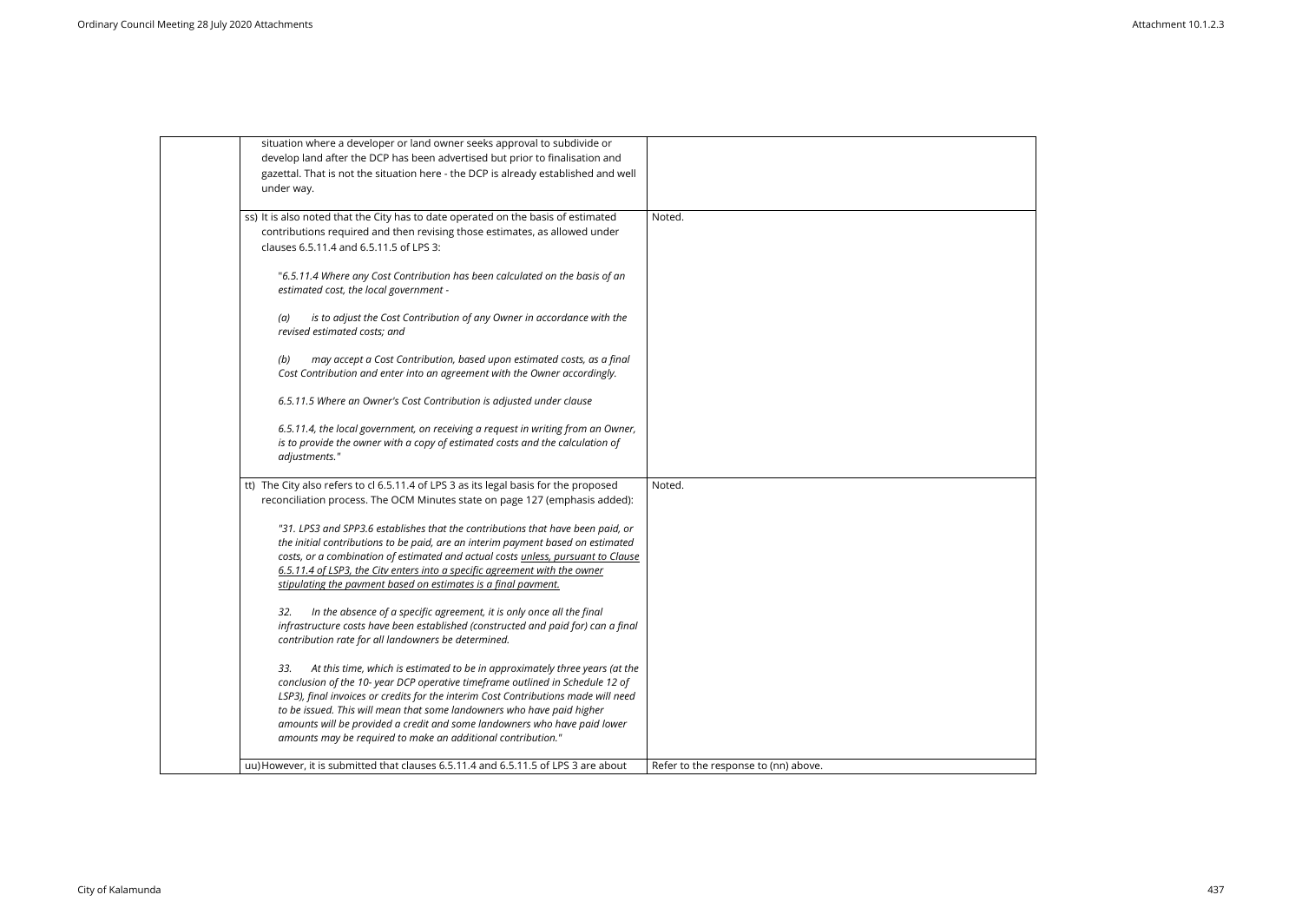| situation where a developer or land owner seeks approval to subdivide or<br>develop land after the DCP has been advertised but prior to finalisation and<br>gazettal. That is not the situation here - the DCP is already established and well<br>under way.<br>ss) It is also noted that the City has to date operated on the basis of estimated<br>Noted.<br>contributions required and then revising those estimates, as allowed under<br>clauses 6.5.11.4 and 6.5.11.5 of LPS 3:<br>"6.5.11.4 Where any Cost Contribution has been calculated on the basis of an<br>estimated cost, the local government -<br>is to adjust the Cost Contribution of any Owner in accordance with the<br>(a)<br>revised estimated costs; and<br>may accept a Cost Contribution, based upon estimated costs, as a final<br>(b)<br>Cost Contribution and enter into an agreement with the Owner accordingly.<br>6.5.11.5 Where an Owner's Cost Contribution is adjusted under clause<br>6.5.11.4, the local government, on receiving a request in writing from an Owner,<br>is to provide the owner with a copy of estimated costs and the calculation of<br>adjustments."<br>tt) The City also refers to cl 6.5.11.4 of LPS 3 as its legal basis for the proposed<br>Noted.<br>reconciliation process. The OCM Minutes state on page 127 (emphasis added):<br>"31. LPS3 and SPP3.6 establishes that the contributions that have been paid, or<br>the initial contributions to be paid, are an interim payment based on estimated<br>costs, or a combination of estimated and actual costs unless, pursuant to Clause<br>6.5.11.4 of LSP3, the Citv enters into a specific agreement with the owner<br>stipulating the pavment based on estimates is a final pavment.<br>32.<br>In the absence of a specific agreement, it is only once all the final<br>infrastructure costs have been established (constructed and paid for) can a final<br>contribution rate for all landowners be determined.<br>At this time, which is estimated to be in approximately three years (at the<br>33.<br>conclusion of the 10- year DCP operative timeframe outlined in Schedule 12 of<br>LSP3), final invoices or credits for the interim Cost Contributions made will need<br>to be issued. This will mean that some landowners who have paid higher<br>amounts will be provided a credit and some landowners who have paid lower<br>amounts may be required to make an additional contribution." |                                                                                    |                                      |
|------------------------------------------------------------------------------------------------------------------------------------------------------------------------------------------------------------------------------------------------------------------------------------------------------------------------------------------------------------------------------------------------------------------------------------------------------------------------------------------------------------------------------------------------------------------------------------------------------------------------------------------------------------------------------------------------------------------------------------------------------------------------------------------------------------------------------------------------------------------------------------------------------------------------------------------------------------------------------------------------------------------------------------------------------------------------------------------------------------------------------------------------------------------------------------------------------------------------------------------------------------------------------------------------------------------------------------------------------------------------------------------------------------------------------------------------------------------------------------------------------------------------------------------------------------------------------------------------------------------------------------------------------------------------------------------------------------------------------------------------------------------------------------------------------------------------------------------------------------------------------------------------------------------------------------------------------------------------------------------------------------------------------------------------------------------------------------------------------------------------------------------------------------------------------------------------------------------------------------------------------------------------------------------------------------------------------------------------------------------------------------------------------------------------------------------------------------------------|------------------------------------------------------------------------------------|--------------------------------------|
|                                                                                                                                                                                                                                                                                                                                                                                                                                                                                                                                                                                                                                                                                                                                                                                                                                                                                                                                                                                                                                                                                                                                                                                                                                                                                                                                                                                                                                                                                                                                                                                                                                                                                                                                                                                                                                                                                                                                                                                                                                                                                                                                                                                                                                                                                                                                                                                                                                                                        |                                                                                    |                                      |
|                                                                                                                                                                                                                                                                                                                                                                                                                                                                                                                                                                                                                                                                                                                                                                                                                                                                                                                                                                                                                                                                                                                                                                                                                                                                                                                                                                                                                                                                                                                                                                                                                                                                                                                                                                                                                                                                                                                                                                                                                                                                                                                                                                                                                                                                                                                                                                                                                                                                        |                                                                                    |                                      |
|                                                                                                                                                                                                                                                                                                                                                                                                                                                                                                                                                                                                                                                                                                                                                                                                                                                                                                                                                                                                                                                                                                                                                                                                                                                                                                                                                                                                                                                                                                                                                                                                                                                                                                                                                                                                                                                                                                                                                                                                                                                                                                                                                                                                                                                                                                                                                                                                                                                                        |                                                                                    |                                      |
|                                                                                                                                                                                                                                                                                                                                                                                                                                                                                                                                                                                                                                                                                                                                                                                                                                                                                                                                                                                                                                                                                                                                                                                                                                                                                                                                                                                                                                                                                                                                                                                                                                                                                                                                                                                                                                                                                                                                                                                                                                                                                                                                                                                                                                                                                                                                                                                                                                                                        |                                                                                    |                                      |
|                                                                                                                                                                                                                                                                                                                                                                                                                                                                                                                                                                                                                                                                                                                                                                                                                                                                                                                                                                                                                                                                                                                                                                                                                                                                                                                                                                                                                                                                                                                                                                                                                                                                                                                                                                                                                                                                                                                                                                                                                                                                                                                                                                                                                                                                                                                                                                                                                                                                        |                                                                                    |                                      |
|                                                                                                                                                                                                                                                                                                                                                                                                                                                                                                                                                                                                                                                                                                                                                                                                                                                                                                                                                                                                                                                                                                                                                                                                                                                                                                                                                                                                                                                                                                                                                                                                                                                                                                                                                                                                                                                                                                                                                                                                                                                                                                                                                                                                                                                                                                                                                                                                                                                                        |                                                                                    |                                      |
|                                                                                                                                                                                                                                                                                                                                                                                                                                                                                                                                                                                                                                                                                                                                                                                                                                                                                                                                                                                                                                                                                                                                                                                                                                                                                                                                                                                                                                                                                                                                                                                                                                                                                                                                                                                                                                                                                                                                                                                                                                                                                                                                                                                                                                                                                                                                                                                                                                                                        |                                                                                    |                                      |
|                                                                                                                                                                                                                                                                                                                                                                                                                                                                                                                                                                                                                                                                                                                                                                                                                                                                                                                                                                                                                                                                                                                                                                                                                                                                                                                                                                                                                                                                                                                                                                                                                                                                                                                                                                                                                                                                                                                                                                                                                                                                                                                                                                                                                                                                                                                                                                                                                                                                        |                                                                                    |                                      |
|                                                                                                                                                                                                                                                                                                                                                                                                                                                                                                                                                                                                                                                                                                                                                                                                                                                                                                                                                                                                                                                                                                                                                                                                                                                                                                                                                                                                                                                                                                                                                                                                                                                                                                                                                                                                                                                                                                                                                                                                                                                                                                                                                                                                                                                                                                                                                                                                                                                                        |                                                                                    |                                      |
|                                                                                                                                                                                                                                                                                                                                                                                                                                                                                                                                                                                                                                                                                                                                                                                                                                                                                                                                                                                                                                                                                                                                                                                                                                                                                                                                                                                                                                                                                                                                                                                                                                                                                                                                                                                                                                                                                                                                                                                                                                                                                                                                                                                                                                                                                                                                                                                                                                                                        |                                                                                    |                                      |
|                                                                                                                                                                                                                                                                                                                                                                                                                                                                                                                                                                                                                                                                                                                                                                                                                                                                                                                                                                                                                                                                                                                                                                                                                                                                                                                                                                                                                                                                                                                                                                                                                                                                                                                                                                                                                                                                                                                                                                                                                                                                                                                                                                                                                                                                                                                                                                                                                                                                        |                                                                                    |                                      |
|                                                                                                                                                                                                                                                                                                                                                                                                                                                                                                                                                                                                                                                                                                                                                                                                                                                                                                                                                                                                                                                                                                                                                                                                                                                                                                                                                                                                                                                                                                                                                                                                                                                                                                                                                                                                                                                                                                                                                                                                                                                                                                                                                                                                                                                                                                                                                                                                                                                                        | uu) However, it is submitted that clauses 6.5.11.4 and 6.5.11.5 of LPS 3 are about | Refer to the response to (nn) above. |

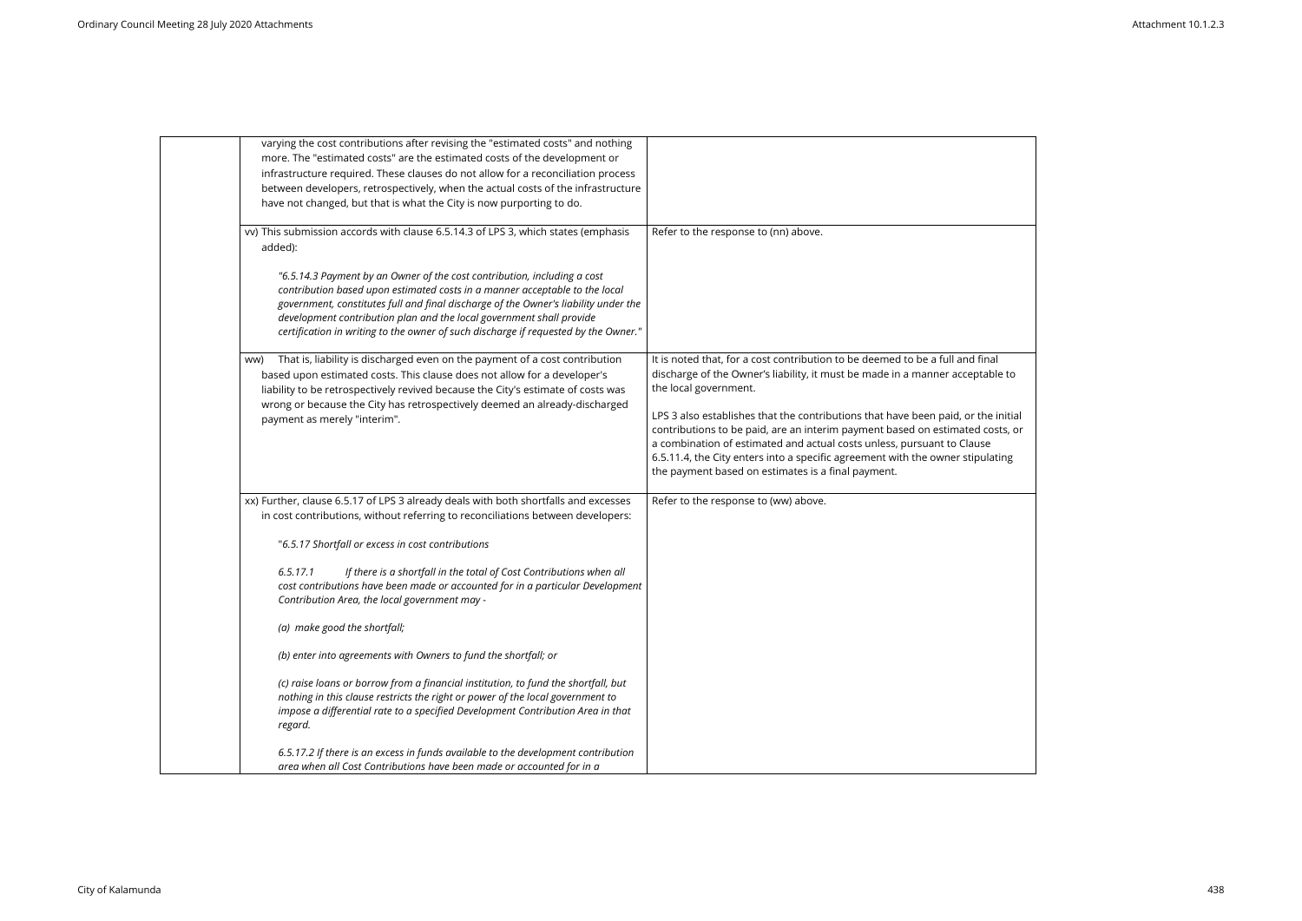| varying the cost contributions after revising the "estimated costs" and nothing<br>more. The "estimated costs" are the estimated costs of the development or<br>infrastructure required. These clauses do not allow for a reconciliation process<br>between developers, retrospectively, when the actual costs of the infrastructure<br>have not changed, but that is what the City is now purporting to do.  |                                                                                                                                                                                                                                                                                                                                                                          |
|---------------------------------------------------------------------------------------------------------------------------------------------------------------------------------------------------------------------------------------------------------------------------------------------------------------------------------------------------------------------------------------------------------------|--------------------------------------------------------------------------------------------------------------------------------------------------------------------------------------------------------------------------------------------------------------------------------------------------------------------------------------------------------------------------|
| vv) This submission accords with clause 6.5.14.3 of LPS 3, which states (emphasis<br>added):                                                                                                                                                                                                                                                                                                                  | Refer to the response to (nn) above.                                                                                                                                                                                                                                                                                                                                     |
| "6.5.14.3 Payment by an Owner of the cost contribution, including a cost<br>contribution based upon estimated costs in a manner acceptable to the local<br>government, constitutes full and final discharge of the Owner's liability under the<br>development contribution plan and the local government shall provide<br>certification in writing to the owner of such discharge if requested by the Owner." |                                                                                                                                                                                                                                                                                                                                                                          |
| That is, liability is discharged even on the payment of a cost contribution<br>ww)<br>based upon estimated costs. This clause does not allow for a developer's<br>liability to be retrospectively revived because the City's estimate of costs was<br>wrong or because the City has retrospectively deemed an already-discharged                                                                              | It is noted that, for a cost contribution to be deemed to be a full and final<br>discharge of the Owner's liability, it must be made in a manner acceptable<br>the local government.                                                                                                                                                                                     |
| payment as merely "interim".                                                                                                                                                                                                                                                                                                                                                                                  | LPS 3 also establishes that the contributions that have been paid, or the in<br>contributions to be paid, are an interim payment based on estimated cost<br>a combination of estimated and actual costs unless, pursuant to Clause<br>6.5.11.4, the City enters into a specific agreement with the owner stipulati<br>the payment based on estimates is a final payment. |
| xx) Further, clause 6.5.17 of LPS 3 already deals with both shortfalls and excesses<br>in cost contributions, without referring to reconciliations between developers:                                                                                                                                                                                                                                        | Refer to the response to (ww) above.                                                                                                                                                                                                                                                                                                                                     |
| "6.5.17 Shortfall or excess in cost contributions                                                                                                                                                                                                                                                                                                                                                             |                                                                                                                                                                                                                                                                                                                                                                          |
| If there is a shortfall in the total of Cost Contributions when all<br>6.5.17.1<br>cost contributions have been made or accounted for in a particular Development<br>Contribution Area, the local government may -                                                                                                                                                                                            |                                                                                                                                                                                                                                                                                                                                                                          |
| (a) make good the shortfall;                                                                                                                                                                                                                                                                                                                                                                                  |                                                                                                                                                                                                                                                                                                                                                                          |
| (b) enter into agreements with Owners to fund the shortfall; or                                                                                                                                                                                                                                                                                                                                               |                                                                                                                                                                                                                                                                                                                                                                          |
| (c) raise loans or borrow from a financial institution, to fund the shortfall, but<br>nothing in this clause restricts the right or power of the local government to<br>impose a differential rate to a specified Development Contribution Area in that<br>regard.                                                                                                                                            |                                                                                                                                                                                                                                                                                                                                                                          |
| 6.5.17.2 If there is an excess in funds available to the development contribution<br>area when all Cost Contributions have been made or accounted for in a                                                                                                                                                                                                                                                    |                                                                                                                                                                                                                                                                                                                                                                          |

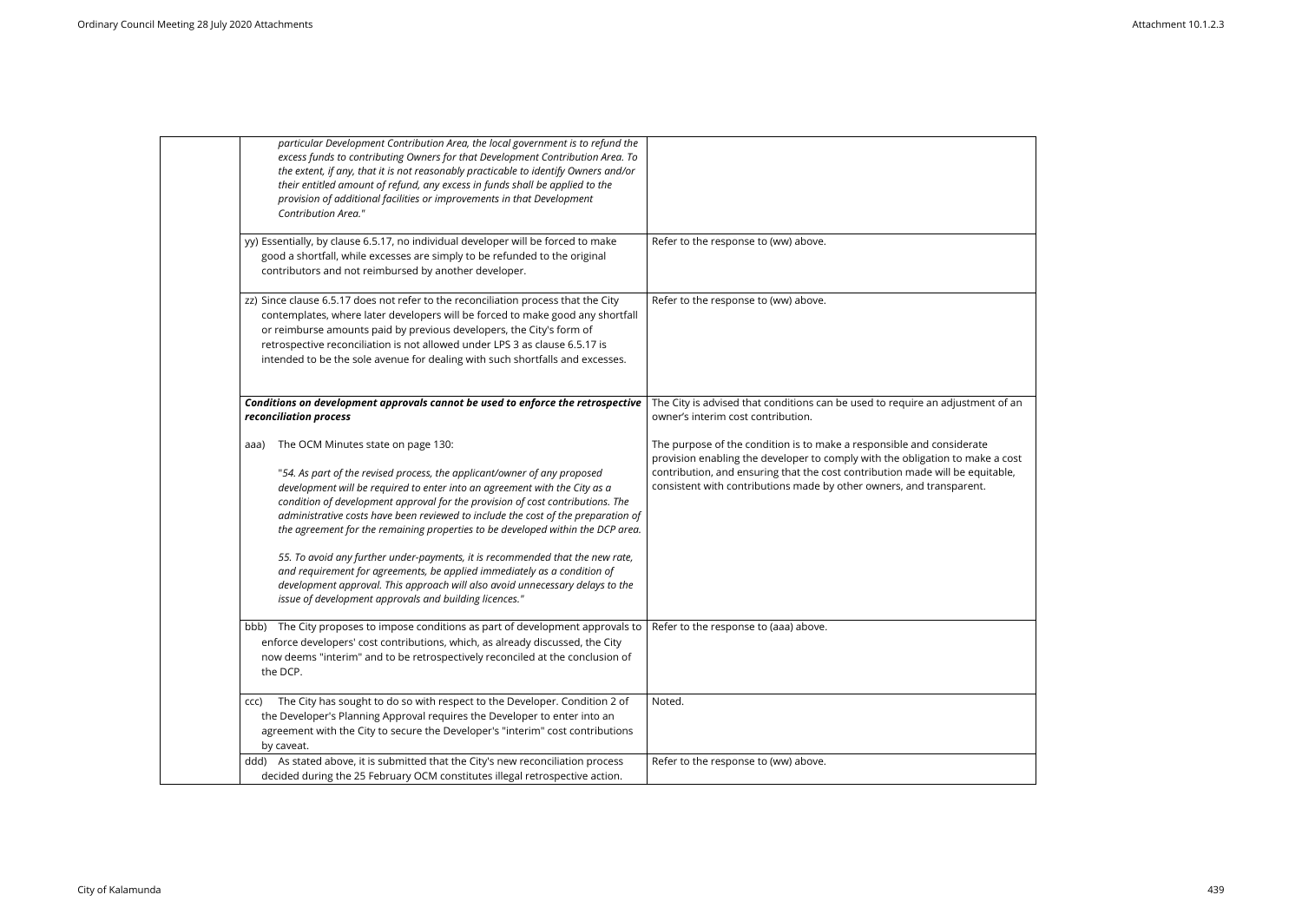| particular Development Contribution Area, the local government is to refund the<br>excess funds to contributing Owners for that Development Contribution Area. To<br>the extent, if any, that it is not reasonably practicable to identify Owners and/or<br>their entitled amount of refund, any excess in funds shall be applied to the<br>provision of additional facilities or improvements in that Development<br>Contribution Area."                                                                                                                                                                                                                                                                    |                                                                                                                                                                                                                                                                                                     |
|--------------------------------------------------------------------------------------------------------------------------------------------------------------------------------------------------------------------------------------------------------------------------------------------------------------------------------------------------------------------------------------------------------------------------------------------------------------------------------------------------------------------------------------------------------------------------------------------------------------------------------------------------------------------------------------------------------------|-----------------------------------------------------------------------------------------------------------------------------------------------------------------------------------------------------------------------------------------------------------------------------------------------------|
| yy) Essentially, by clause 6.5.17, no individual developer will be forced to make<br>good a shortfall, while excesses are simply to be refunded to the original<br>contributors and not reimbursed by another developer.                                                                                                                                                                                                                                                                                                                                                                                                                                                                                     | Refer to the response to (ww) above.                                                                                                                                                                                                                                                                |
| zz) Since clause 6.5.17 does not refer to the reconciliation process that the City<br>contemplates, where later developers will be forced to make good any shortfall<br>or reimburse amounts paid by previous developers, the City's form of<br>retrospective reconciliation is not allowed under LPS 3 as clause 6.5.17 is<br>intended to be the sole avenue for dealing with such shortfalls and excesses.                                                                                                                                                                                                                                                                                                 | Refer to the response to (ww) above.                                                                                                                                                                                                                                                                |
| Conditions on development approvals cannot be used to enforce the retrospective<br>reconciliation process                                                                                                                                                                                                                                                                                                                                                                                                                                                                                                                                                                                                    | The City is advised that conditions can be used to require an adjustmen<br>owner's interim cost contribution.                                                                                                                                                                                       |
| The OCM Minutes state on page 130:<br>aaa)<br>"54. As part of the revised process, the applicant/owner of any proposed<br>development will be required to enter into an agreement with the City as a<br>condition of development approval for the provision of cost contributions. The<br>administrative costs have been reviewed to include the cost of the preparation of<br>the agreement for the remaining properties to be developed within the DCP area.<br>55. To avoid any further under-payments, it is recommended that the new rate,<br>and requirement for agreements, be applied immediately as a condition of<br>development approval. This approach will also avoid unnecessary delays to the | The purpose of the condition is to make a responsible and considerate<br>provision enabling the developer to comply with the obligation to make<br>contribution, and ensuring that the cost contribution made will be equit<br>consistent with contributions made by other owners, and transparent. |
| issue of development approvals and building licences."                                                                                                                                                                                                                                                                                                                                                                                                                                                                                                                                                                                                                                                       |                                                                                                                                                                                                                                                                                                     |
| bbb) The City proposes to impose conditions as part of development approvals to<br>enforce developers' cost contributions, which, as already discussed, the City<br>now deems "interim" and to be retrospectively reconciled at the conclusion of<br>the DCP.                                                                                                                                                                                                                                                                                                                                                                                                                                                | Refer to the response to (aaa) above.                                                                                                                                                                                                                                                               |
| The City has sought to do so with respect to the Developer. Condition 2 of<br>CCC)<br>the Developer's Planning Approval requires the Developer to enter into an<br>agreement with the City to secure the Developer's "interim" cost contributions<br>by caveat.                                                                                                                                                                                                                                                                                                                                                                                                                                              | Noted.                                                                                                                                                                                                                                                                                              |
| ddd) As stated above, it is submitted that the City's new reconciliation process<br>decided during the 25 February OCM constitutes illegal retrospective action.                                                                                                                                                                                                                                                                                                                                                                                                                                                                                                                                             | Refer to the response to (ww) above.                                                                                                                                                                                                                                                                |
|                                                                                                                                                                                                                                                                                                                                                                                                                                                                                                                                                                                                                                                                                                              |                                                                                                                                                                                                                                                                                                     |

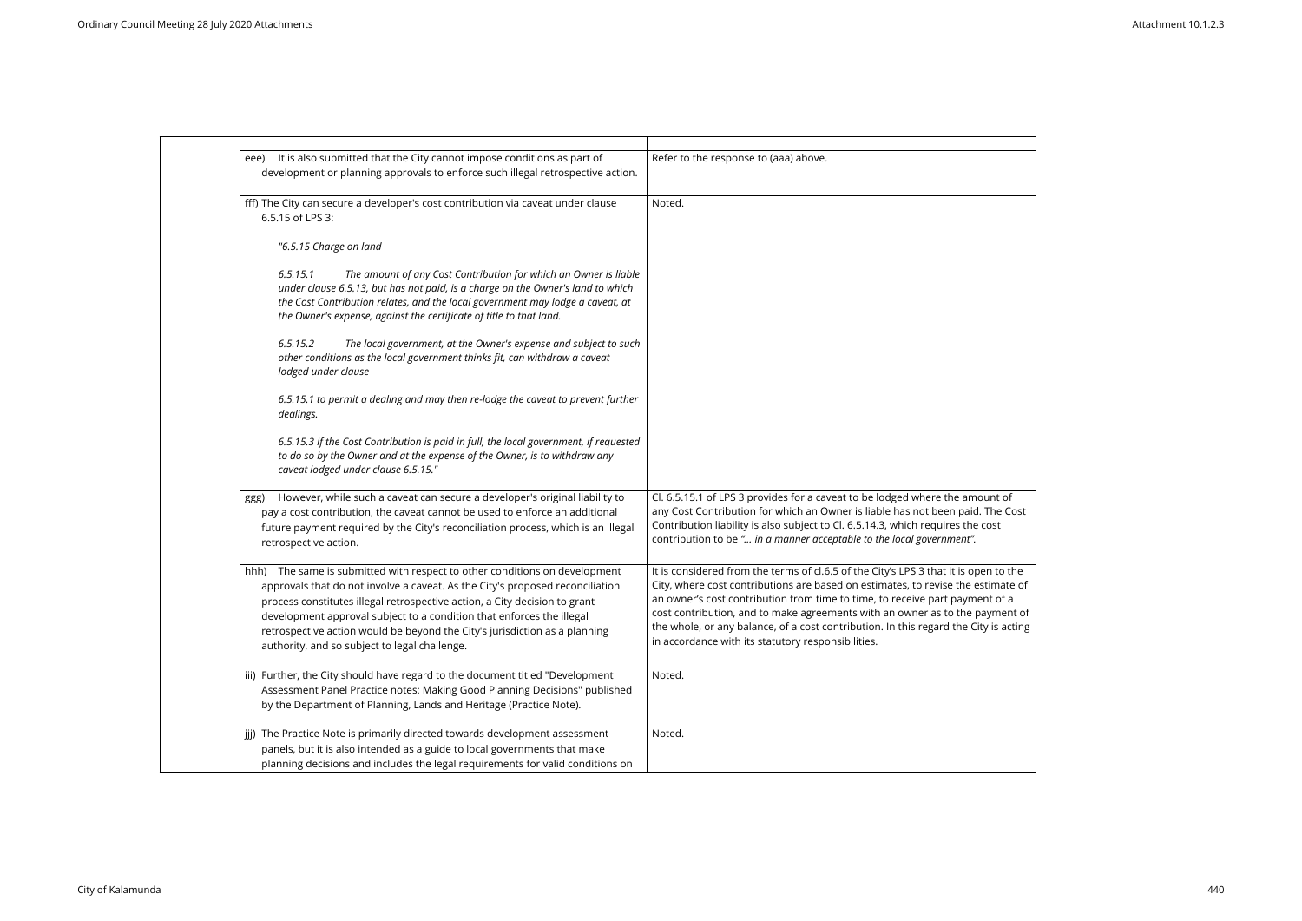| eee) | It is also submitted that the City cannot impose conditions as part of<br>development or planning approvals to enforce such illegal retrospective action.                                                                                                                                                                                                                                                                                    | Refer to the response to (aaa) above.                                                                                                                                                                                                                                                                                                                                                                                                                             |
|------|----------------------------------------------------------------------------------------------------------------------------------------------------------------------------------------------------------------------------------------------------------------------------------------------------------------------------------------------------------------------------------------------------------------------------------------------|-------------------------------------------------------------------------------------------------------------------------------------------------------------------------------------------------------------------------------------------------------------------------------------------------------------------------------------------------------------------------------------------------------------------------------------------------------------------|
|      | fff) The City can secure a developer's cost contribution via caveat under clause<br>6.5.15 of LPS 3:                                                                                                                                                                                                                                                                                                                                         | Noted.                                                                                                                                                                                                                                                                                                                                                                                                                                                            |
|      | "6.5.15 Charge on land                                                                                                                                                                                                                                                                                                                                                                                                                       |                                                                                                                                                                                                                                                                                                                                                                                                                                                                   |
|      | 6.5.15.1<br>The amount of any Cost Contribution for which an Owner is liable<br>under clause 6.5.13, but has not paid, is a charge on the Owner's land to which<br>the Cost Contribution relates, and the local government may lodge a caveat, at<br>the Owner's expense, against the certificate of title to that land.                                                                                                                     |                                                                                                                                                                                                                                                                                                                                                                                                                                                                   |
|      | The local government, at the Owner's expense and subject to such<br>6.5.15.2<br>other conditions as the local government thinks fit, can withdraw a caveat<br>lodged under clause                                                                                                                                                                                                                                                            |                                                                                                                                                                                                                                                                                                                                                                                                                                                                   |
|      | 6.5.15.1 to permit a dealing and may then re-lodge the caveat to prevent further<br>dealings.                                                                                                                                                                                                                                                                                                                                                |                                                                                                                                                                                                                                                                                                                                                                                                                                                                   |
|      | 6.5.15.3 If the Cost Contribution is paid in full, the local government, if requested<br>to do so by the Owner and at the expense of the Owner, is to withdraw any<br>caveat lodged under clause 6.5.15."                                                                                                                                                                                                                                    |                                                                                                                                                                                                                                                                                                                                                                                                                                                                   |
| ggg) | However, while such a caveat can secure a developer's original liability to<br>pay a cost contribution, the caveat cannot be used to enforce an additional<br>future payment required by the City's reconciliation process, which is an illegal<br>retrospective action.                                                                                                                                                                     | Cl. 6.5.15.1 of LPS 3 provides for a caveat to be lodged where the amount<br>any Cost Contribution for which an Owner is liable has not been paid. The<br>Contribution liability is also subject to Cl. 6.5.14.3, which requires the cost<br>contribution to be " in a manner acceptable to the local government".                                                                                                                                                |
| hhh) | The same is submitted with respect to other conditions on development<br>approvals that do not involve a caveat. As the City's proposed reconciliation<br>process constitutes illegal retrospective action, a City decision to grant<br>development approval subject to a condition that enforces the illegal<br>retrospective action would be beyond the City's jurisdiction as a planning<br>authority, and so subject to legal challenge. | It is considered from the terms of cl.6.5 of the City's LPS 3 that it is open to<br>City, where cost contributions are based on estimates, to revise the estima<br>an owner's cost contribution from time to time, to receive part payment of<br>cost contribution, and to make agreements with an owner as to the payme<br>the whole, or any balance, of a cost contribution. In this regard the City is a<br>in accordance with its statutory responsibilities. |
|      | iii) Further, the City should have regard to the document titled "Development<br>Assessment Panel Practice notes: Making Good Planning Decisions" published<br>by the Department of Planning, Lands and Heritage (Practice Note).                                                                                                                                                                                                            | Noted.                                                                                                                                                                                                                                                                                                                                                                                                                                                            |
|      | jij) The Practice Note is primarily directed towards development assessment<br>panels, but it is also intended as a guide to local governments that make<br>planning decisions and includes the legal requirements for valid conditions on                                                                                                                                                                                                   | Noted.                                                                                                                                                                                                                                                                                                                                                                                                                                                            |

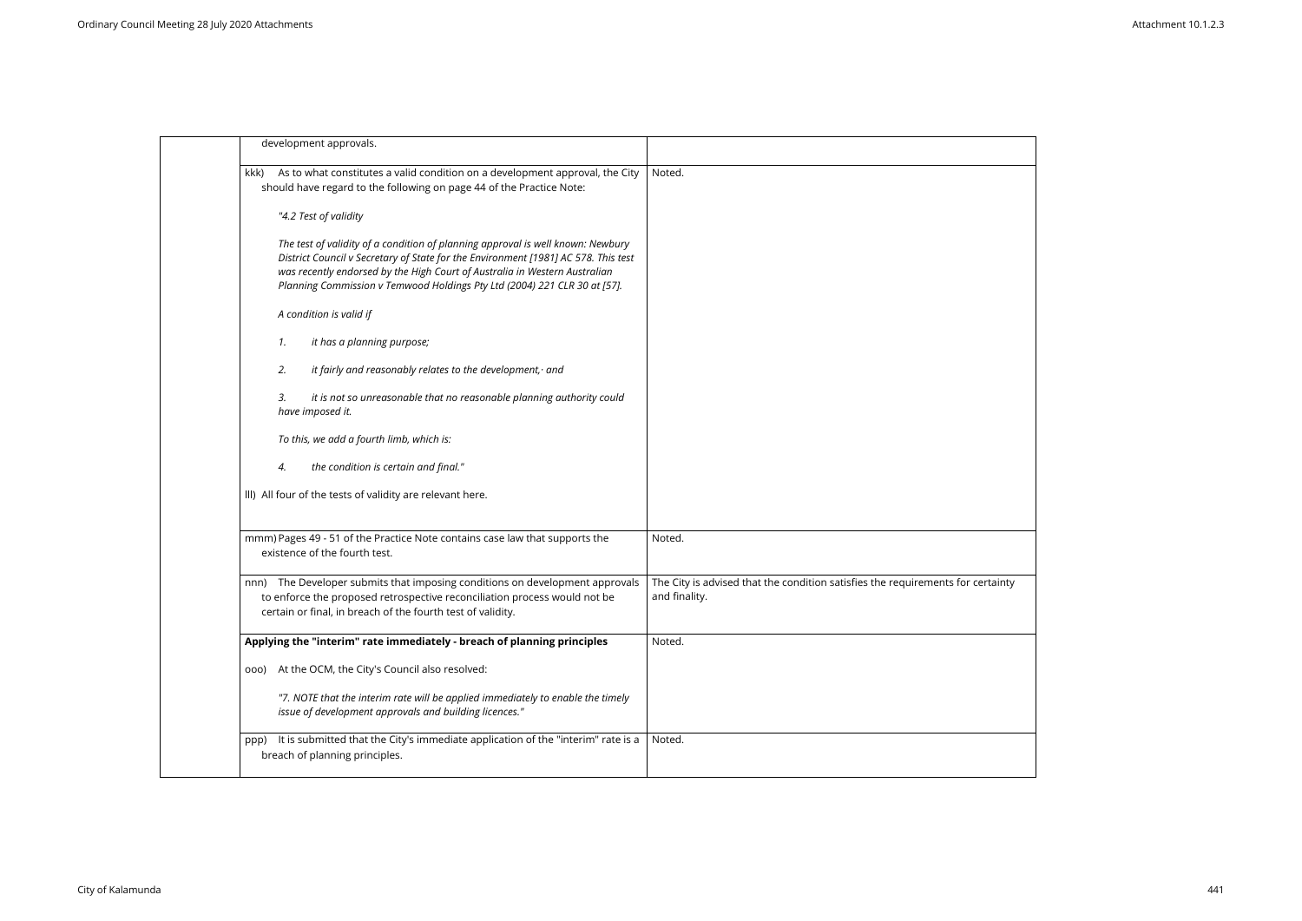|      | development approvals.                                                                                                                                                                                                                                                                                                           |                                                                                          |
|------|----------------------------------------------------------------------------------------------------------------------------------------------------------------------------------------------------------------------------------------------------------------------------------------------------------------------------------|------------------------------------------------------------------------------------------|
| kkk) | As to what constitutes a valid condition on a development approval, the City<br>should have regard to the following on page 44 of the Practice Note:                                                                                                                                                                             | Noted.                                                                                   |
|      | "4.2 Test of validity                                                                                                                                                                                                                                                                                                            |                                                                                          |
|      | The test of validity of a condition of planning approval is well known: Newbury<br>District Council v Secretary of State for the Environment [1981] AC 578. This test<br>was recently endorsed by the High Court of Australia in Western Australian<br>Planning Commission v Temwood Holdings Pty Ltd (2004) 221 CLR 30 at [57]. |                                                                                          |
|      | A condition is valid if                                                                                                                                                                                                                                                                                                          |                                                                                          |
|      | it has a planning purpose;<br>1.                                                                                                                                                                                                                                                                                                 |                                                                                          |
|      | 2.<br>it fairly and reasonably relates to the development, and                                                                                                                                                                                                                                                                   |                                                                                          |
|      | it is not so unreasonable that no reasonable planning authority could<br>3.<br>have imposed it.                                                                                                                                                                                                                                  |                                                                                          |
|      | To this, we add a fourth limb, which is:                                                                                                                                                                                                                                                                                         |                                                                                          |
|      | the condition is certain and final."<br>4.                                                                                                                                                                                                                                                                                       |                                                                                          |
|      | III) All four of the tests of validity are relevant here.                                                                                                                                                                                                                                                                        |                                                                                          |
|      | mmm) Pages 49 - 51 of the Practice Note contains case law that supports the<br>existence of the fourth test.                                                                                                                                                                                                                     | Noted.                                                                                   |
| nnn) | The Developer submits that imposing conditions on development approvals<br>to enforce the proposed retrospective reconciliation process would not be<br>certain or final, in breach of the fourth test of validity.                                                                                                              | The City is advised that the condition satisfies the requirements for o<br>and finality. |
|      | Applying the "interim" rate immediately - breach of planning principles                                                                                                                                                                                                                                                          | Noted.                                                                                   |
|      | ooo) At the OCM, the City's Council also resolved:                                                                                                                                                                                                                                                                               |                                                                                          |
|      | "7. NOTE that the interim rate will be applied immediately to enable the timely<br>issue of development approvals and building licences."                                                                                                                                                                                        |                                                                                          |
| ppp) | It is submitted that the City's immediate application of the "interim" rate is a<br>breach of planning principles.                                                                                                                                                                                                               | Noted.                                                                                   |

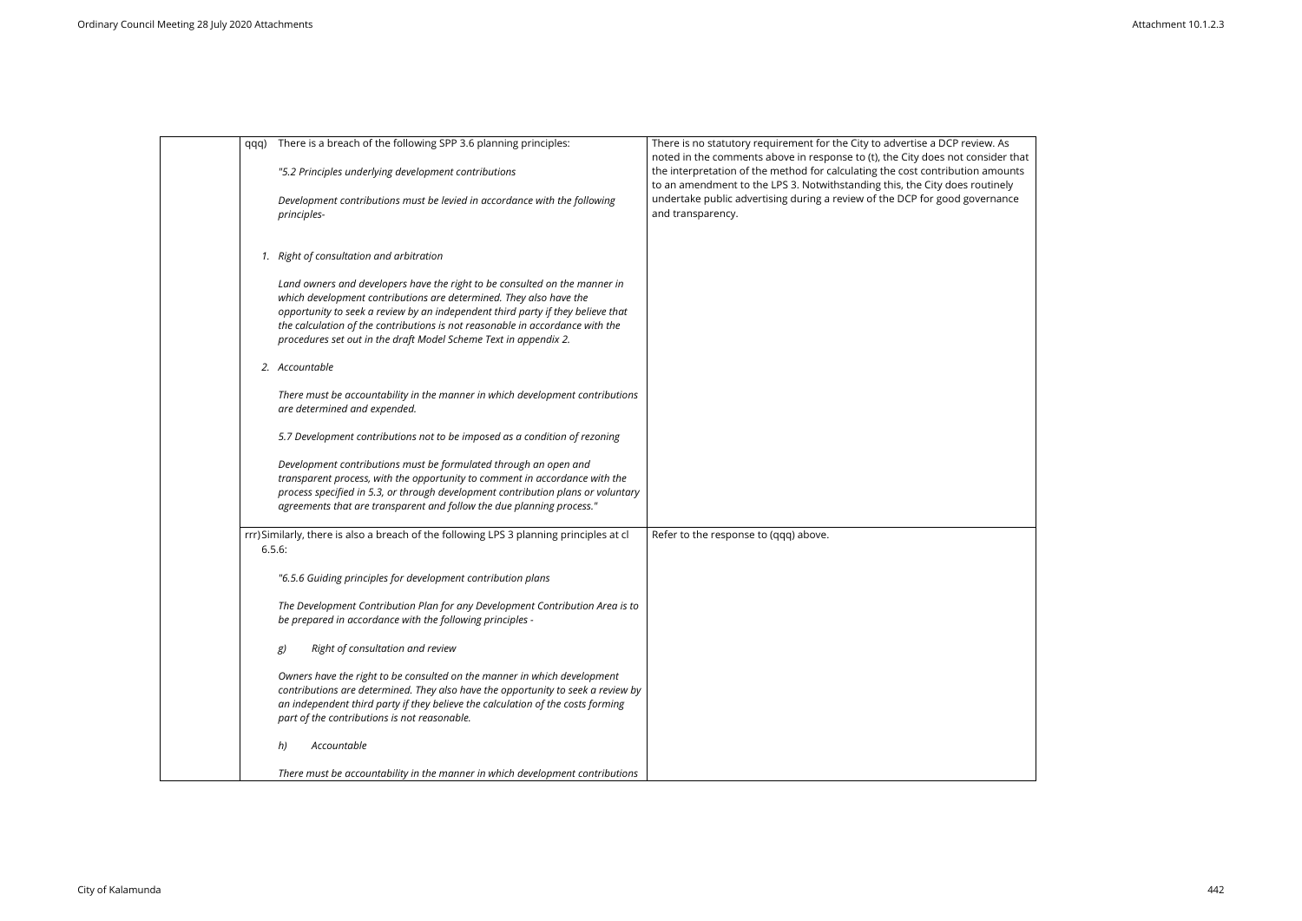| qqq) | There is a breach of the following SPP 3.6 planning principles:                                                                                                                                                                                                                                                                                                                          | There is no statutory requirement for the City to advertise a DCP review. As<br>noted in the comments above in response to (t), the City does not consider that |
|------|------------------------------------------------------------------------------------------------------------------------------------------------------------------------------------------------------------------------------------------------------------------------------------------------------------------------------------------------------------------------------------------|-----------------------------------------------------------------------------------------------------------------------------------------------------------------|
|      | "5.2 Principles underlying development contributions                                                                                                                                                                                                                                                                                                                                     | the interpretation of the method for calculating the cost contribution amounts<br>to an amendment to the LPS 3. Notwithstanding this, the City does routinely   |
|      | Development contributions must be levied in accordance with the following<br>principles-                                                                                                                                                                                                                                                                                                 | undertake public advertising during a review of the DCP for good governance<br>and transparency.                                                                |
|      | 1. Right of consultation and arbitration                                                                                                                                                                                                                                                                                                                                                 |                                                                                                                                                                 |
|      | Land owners and developers have the right to be consulted on the manner in<br>which development contributions are determined. They also have the<br>opportunity to seek a review by an independent third party if they believe that<br>the calculation of the contributions is not reasonable in accordance with the<br>procedures set out in the draft Model Scheme Text in appendix 2. |                                                                                                                                                                 |
|      | 2. Accountable                                                                                                                                                                                                                                                                                                                                                                           |                                                                                                                                                                 |
|      | There must be accountability in the manner in which development contributions<br>are determined and expended.                                                                                                                                                                                                                                                                            |                                                                                                                                                                 |
|      | 5.7 Development contributions not to be imposed as a condition of rezoning                                                                                                                                                                                                                                                                                                               |                                                                                                                                                                 |
|      | Development contributions must be formulated through an open and<br>transparent process, with the opportunity to comment in accordance with the<br>process specified in 5.3, or through development contribution plans or voluntary<br>agreements that are transparent and follow the due planning process."                                                                             |                                                                                                                                                                 |
|      | rrr)Similarly, there is also a breach of the following LPS 3 planning principles at cl<br>6.5.6:                                                                                                                                                                                                                                                                                         | Refer to the response to (qqq) above.                                                                                                                           |
|      | "6.5.6 Guiding principles for development contribution plans                                                                                                                                                                                                                                                                                                                             |                                                                                                                                                                 |
|      | The Development Contribution Plan for any Development Contribution Area is to<br>be prepared in accordance with the following principles -                                                                                                                                                                                                                                               |                                                                                                                                                                 |
|      | Right of consultation and review<br>g)                                                                                                                                                                                                                                                                                                                                                   |                                                                                                                                                                 |
|      | Owners have the right to be consulted on the manner in which development<br>contributions are determined. They also have the opportunity to seek a review by<br>an independent third party if they believe the calculation of the costs forming<br>part of the contributions is not reasonable.                                                                                          |                                                                                                                                                                 |
|      | Accountable<br>h)                                                                                                                                                                                                                                                                                                                                                                        |                                                                                                                                                                 |
|      | There must be accountability in the manner in which development contributions                                                                                                                                                                                                                                                                                                            |                                                                                                                                                                 |

| าsider that |  |
|-------------|--|
| amounts     |  |
| utinely     |  |
| ernance     |  |
|             |  |
|             |  |
|             |  |
|             |  |
|             |  |
|             |  |
|             |  |
|             |  |
|             |  |
|             |  |
|             |  |
|             |  |
|             |  |
|             |  |
|             |  |
|             |  |
|             |  |
|             |  |
|             |  |
|             |  |
|             |  |
|             |  |
|             |  |
|             |  |
|             |  |
|             |  |
|             |  |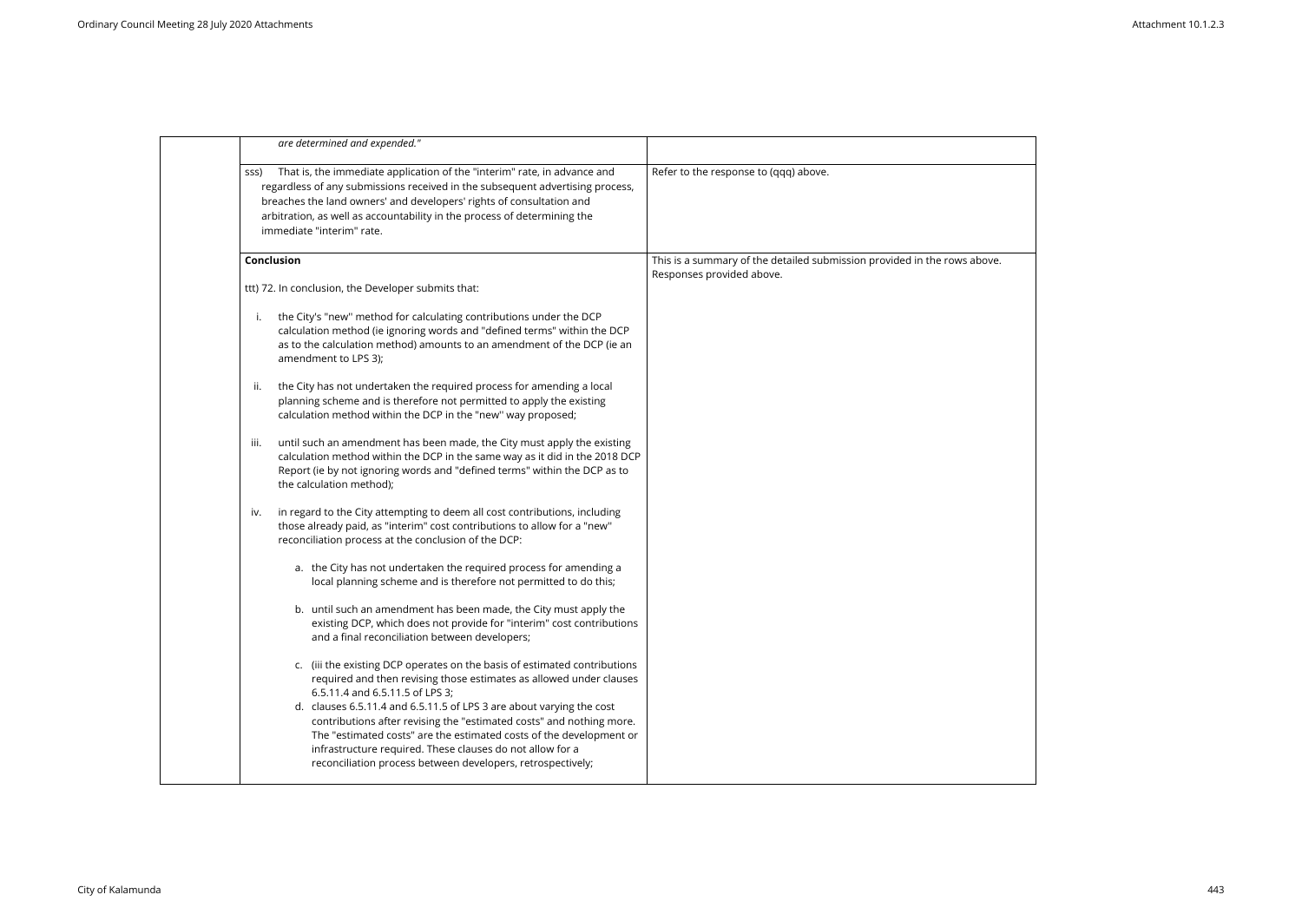| are determined and expended."                                                                                                                                                                                                                                                                                                                      |                                                                                                       |
|----------------------------------------------------------------------------------------------------------------------------------------------------------------------------------------------------------------------------------------------------------------------------------------------------------------------------------------------------|-------------------------------------------------------------------------------------------------------|
| That is, the immediate application of the "interim" rate, in advance and<br>SSS)<br>regardless of any submissions received in the subsequent advertising process,<br>breaches the land owners' and developers' rights of consultation and<br>arbitration, as well as accountability in the process of determining the<br>immediate "interim" rate. | Refer to the response to (qqq) above.                                                                 |
| Conclusion                                                                                                                                                                                                                                                                                                                                         | This is a summary of the detailed submission provided in the rows above.<br>Responses provided above. |
| ttt) 72. In conclusion, the Developer submits that:                                                                                                                                                                                                                                                                                                |                                                                                                       |
| the City's "new" method for calculating contributions under the DCP<br>i.<br>calculation method (ie ignoring words and "defined terms" within the DCP<br>as to the calculation method) amounts to an amendment of the DCP (ie an<br>amendment to LPS 3);                                                                                           |                                                                                                       |
| the City has not undertaken the required process for amending a local<br>ii.<br>planning scheme and is therefore not permitted to apply the existing<br>calculation method within the DCP in the "new" way proposed;                                                                                                                               |                                                                                                       |
| until such an amendment has been made, the City must apply the existing<br>III.<br>calculation method within the DCP in the same way as it did in the 2018 DCP<br>Report (ie by not ignoring words and "defined terms" within the DCP as to<br>the calculation method);                                                                            |                                                                                                       |
| in regard to the City attempting to deem all cost contributions, including<br>IV.<br>those already paid, as "interim" cost contributions to allow for a "new"<br>reconciliation process at the conclusion of the DCP:                                                                                                                              |                                                                                                       |
| a. the City has not undertaken the required process for amending a<br>local planning scheme and is therefore not permitted to do this;                                                                                                                                                                                                             |                                                                                                       |
| b. until such an amendment has been made, the City must apply the<br>existing DCP, which does not provide for "interim" cost contributions<br>and a final reconciliation between developers;                                                                                                                                                       |                                                                                                       |
| c. (iii the existing DCP operates on the basis of estimated contributions<br>required and then revising those estimates as allowed under clauses<br>6.5.11.4 and 6.5.11.5 of LPS 3;                                                                                                                                                                |                                                                                                       |
| d. clauses 6.5.11.4 and 6.5.11.5 of LPS 3 are about varying the cost<br>contributions after revising the "estimated costs" and nothing more.<br>The "estimated costs" are the estimated costs of the development or<br>infrastructure required. These clauses do not allow for a<br>reconciliation process between developers, retrospectively;    |                                                                                                       |

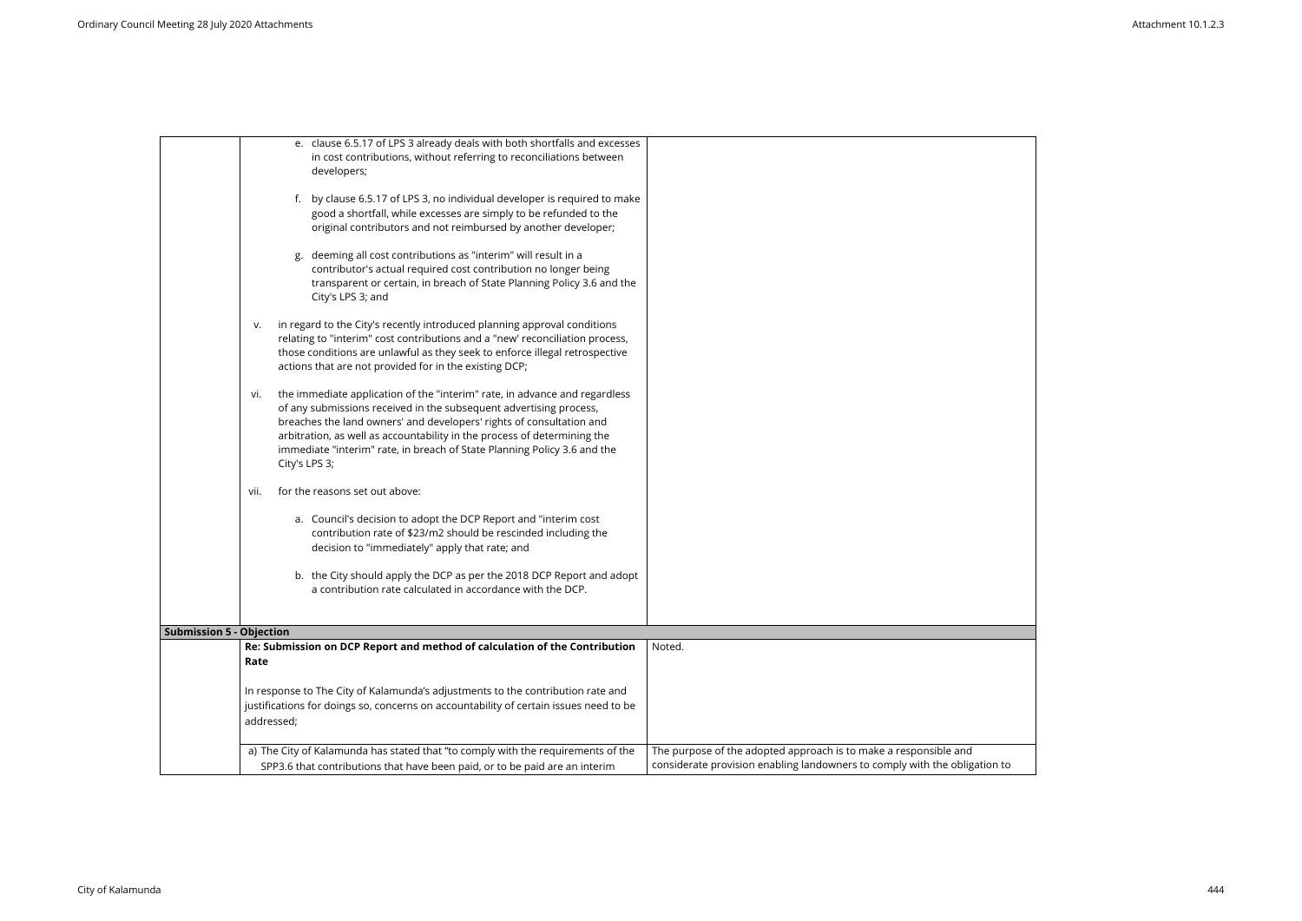|                                 | e. clause 6.5.17 of LPS 3 already deals with both shortfalls and excesses<br>in cost contributions, without referring to reconciliations between<br>developers;                                                                                                                                                                                                                                          |                                                                                                                                                |
|---------------------------------|----------------------------------------------------------------------------------------------------------------------------------------------------------------------------------------------------------------------------------------------------------------------------------------------------------------------------------------------------------------------------------------------------------|------------------------------------------------------------------------------------------------------------------------------------------------|
|                                 | f. by clause 6.5.17 of LPS 3, no individual developer is required to make<br>good a shortfall, while excesses are simply to be refunded to the<br>original contributors and not reimbursed by another developer;                                                                                                                                                                                         |                                                                                                                                                |
|                                 | deeming all cost contributions as "interim" will result in a<br>contributor's actual required cost contribution no longer being<br>transparent or certain, in breach of State Planning Policy 3.6 and the<br>City's LPS 3; and                                                                                                                                                                           |                                                                                                                                                |
|                                 | in regard to the City's recently introduced planning approval conditions<br>v.<br>relating to "interim" cost contributions and a "new' reconciliation process,<br>those conditions are unlawful as they seek to enforce illegal retrospective<br>actions that are not provided for in the existing DCP;                                                                                                  |                                                                                                                                                |
|                                 | the immediate application of the "interim" rate, in advance and regardless<br>Vi.<br>of any submissions received in the subsequent advertising process,<br>breaches the land owners' and developers' rights of consultation and<br>arbitration, as well as accountability in the process of determining the<br>immediate "interim" rate, in breach of State Planning Policy 3.6 and the<br>City's LPS 3; |                                                                                                                                                |
|                                 | for the reasons set out above:<br>vii.                                                                                                                                                                                                                                                                                                                                                                   |                                                                                                                                                |
|                                 | a. Council's decision to adopt the DCP Report and "interim cost<br>contribution rate of \$23/m2 should be rescinded including the<br>decision to "immediately" apply that rate; and                                                                                                                                                                                                                      |                                                                                                                                                |
|                                 | b. the City should apply the DCP as per the 2018 DCP Report and adopt<br>a contribution rate calculated in accordance with the DCP.                                                                                                                                                                                                                                                                      |                                                                                                                                                |
| <b>Submission 5 - Objection</b> |                                                                                                                                                                                                                                                                                                                                                                                                          |                                                                                                                                                |
|                                 | Re: Submission on DCP Report and method of calculation of the Contribution<br>Rate                                                                                                                                                                                                                                                                                                                       | Noted.                                                                                                                                         |
|                                 | In response to The City of Kalamunda's adjustments to the contribution rate and<br>justifications for doings so, concerns on accountability of certain issues need to be<br>addressed;                                                                                                                                                                                                                   |                                                                                                                                                |
|                                 | a) The City of Kalamunda has stated that "to comply with the requirements of the<br>SPP3.6 that contributions that have been paid, or to be paid are an interim                                                                                                                                                                                                                                          | The purpose of the adopted approach is to make a responsible and<br>considerate provision enabling landowners to comply with the obligation to |

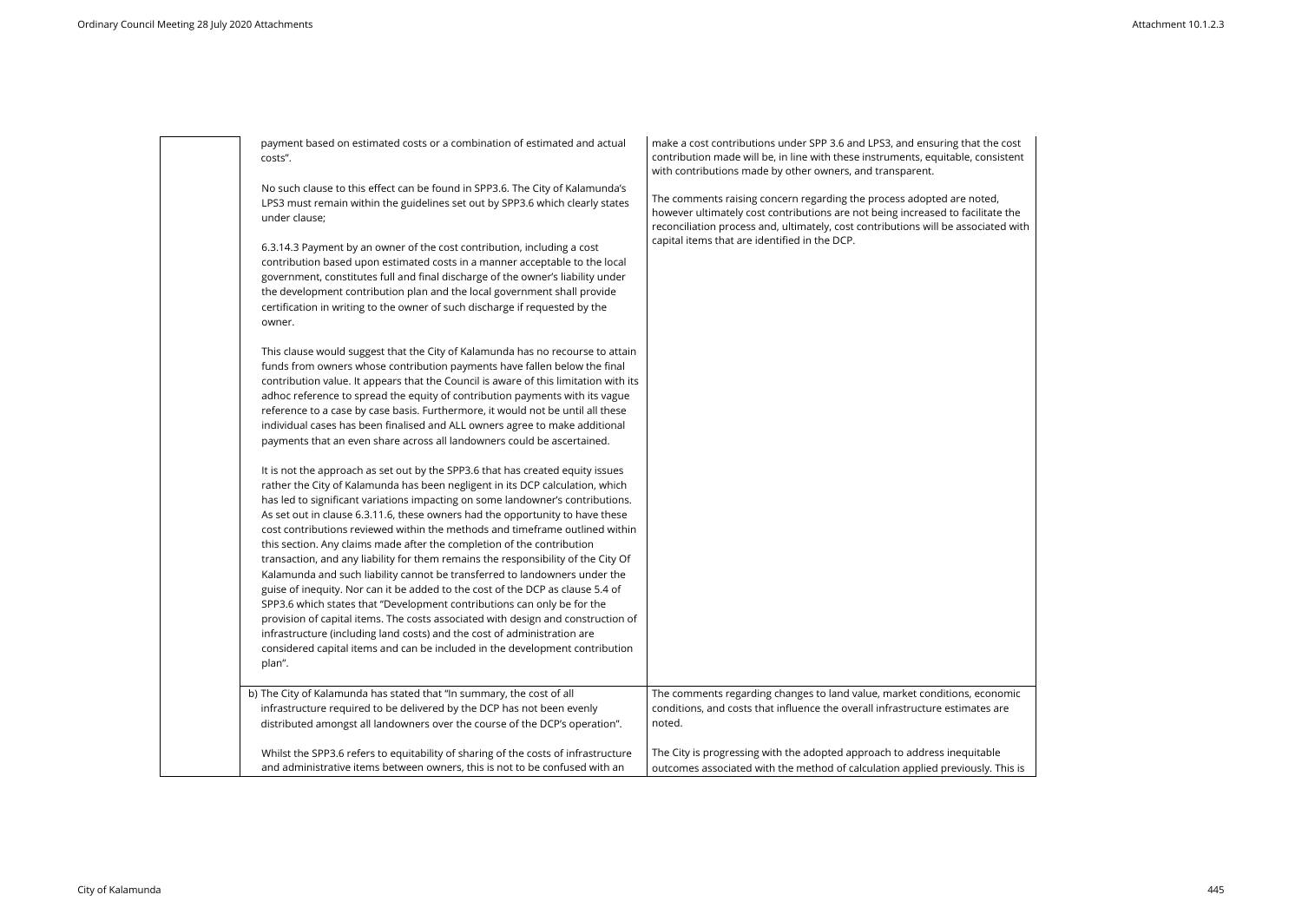payment based on estimated costs or a combination of estimated and actual costs".

No such clause to this effect can be found in SPP3.6. The City of Kalamunda's LPS3 must remain within the guidelines set out by SPP3.6 which clearly states under clause;

6.3.14.3 Payment by an owner of the cost contribution, including a cost contribution based upon estimated costs in a manner acceptable to the local government, constitutes full and final discharge of the owner's liability under the development contribution plan and the local government shall provide certification in writing to the owner of such discharge if requested by the owner.

This clause would suggest that the City of Kalamunda has no recourse to attain funds from owners whose contribution payments have fallen below the final contribution value. It appears that the Council is aware of this limitation with its adhoc reference to spread the equity of contribution payments with its vague reference to a case by case basis. Furthermore, it would not be until all these individual cases has been finalised and ALL owners agree to make additional payments that an even share across all landowners could be ascertained.

make a cost contributions under SPP 3.6 and LPS3, and ensuring that contribution made will be, in line with these instruments, equitable, with contributions made by other owners, and transparent.

The comments raising concern regarding the process adopted are not however ultimately cost contributions are not being increased to fac reconciliation process and, ultimately, cost contributions will be asso capital items that are identified in the DCP.

It is not the approach as set out by the SPP3.6 that has created equity issues rather the City of Kalamunda has been negligent in its DCP calculation, which has led to significant variations impacting on some landowner's contributions. As set out in clause 6.3.11.6, these owners had the opportunity to have these cost contributions reviewed within the methods and timeframe outlined within this section. Any claims made after the completion of the contribution transaction, and any liability for them remains the responsibility of the City Of Kalamunda and such liability cannot be transferred to landowners under the guise of inequity. Nor can it be added to the cost of the DCP as clause 5.4 of SPP3.6 which states that "Development contributions can only be for the provision of capital items. The costs associated with design and construction of infrastructure (including land costs) and the cost of administration are considered capital items and can be included in the development contribution plan".

| this section. Any claims made after the completion of the contribution<br>transaction, and any liability for them remains the responsibility of the City Of<br>Kalamunda and such liability cannot be transferred to landowners under the<br>guise of inequity. Nor can it be added to the cost of the DCP as clause 5.4 of<br>SPP3.6 which states that "Development contributions can only be for the<br>provision of capital items. The costs associated with design and construction of<br>infrastructure (including land costs) and the cost of administration are<br>considered capital items and can be included in the development contribution<br>plan". |                                                                                                                                                                      |
|------------------------------------------------------------------------------------------------------------------------------------------------------------------------------------------------------------------------------------------------------------------------------------------------------------------------------------------------------------------------------------------------------------------------------------------------------------------------------------------------------------------------------------------------------------------------------------------------------------------------------------------------------------------|----------------------------------------------------------------------------------------------------------------------------------------------------------------------|
| b) The City of Kalamunda has stated that "In summary, the cost of all<br>infrastructure required to be delivered by the DCP has not been evenly<br>distributed amongst all landowners over the course of the DCP's operation".                                                                                                                                                                                                                                                                                                                                                                                                                                   | The comments regarding changes to land value, market conditions, economic<br>conditions, and costs that influence the overall infrastructure estimates are<br>noted. |
| Whilst the SPP3.6 refers to equitability of sharing of the costs of infrastructure<br>and administrative items between owners, this is not to be confused with an                                                                                                                                                                                                                                                                                                                                                                                                                                                                                                | The City is progressing with the adopted approach to address inequitable<br>outcomes associated with the method of calculation applied previously. This is           |

| at the cost<br>consistent             |  |
|---------------------------------------|--|
| oted,<br>cilitate the<br>ociated with |  |
|                                       |  |
|                                       |  |
|                                       |  |
|                                       |  |
|                                       |  |
|                                       |  |
| economic<br>ates are                  |  |
|                                       |  |

sly. This is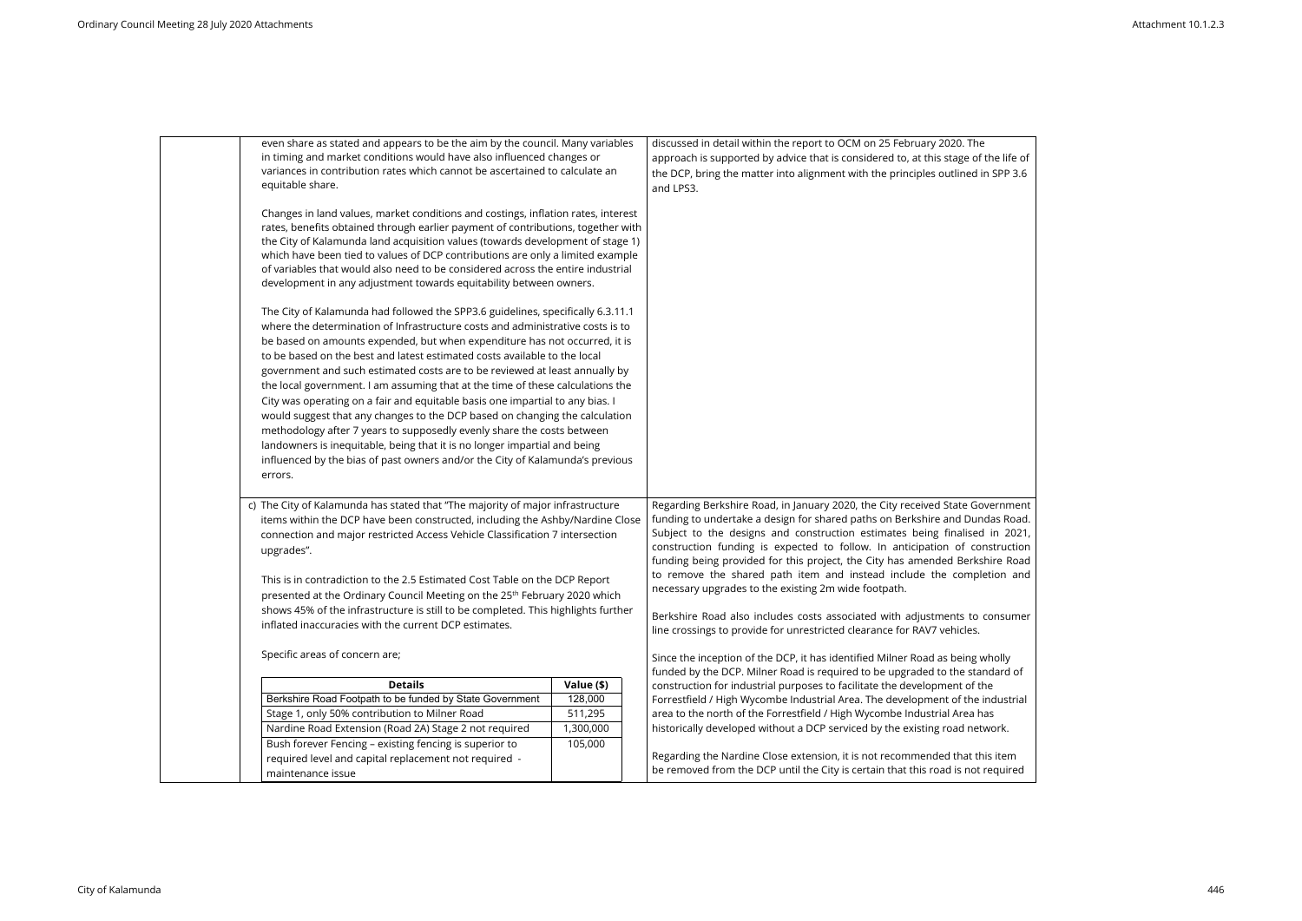| even share as stated and appears to be the aim by the council. Many variables<br>in timing and market conditions would have also influenced changes or |            | discussed in detail within the report to OCM on 25 February 2020. The<br>approach is supported by advice that is considered to, at this stage of the life of |
|--------------------------------------------------------------------------------------------------------------------------------------------------------|------------|--------------------------------------------------------------------------------------------------------------------------------------------------------------|
| variances in contribution rates which cannot be ascertained to calculate an                                                                            |            | the DCP, bring the matter into alignment with the principles outlined in SPP 3.6                                                                             |
| equitable share.                                                                                                                                       |            | and LPS3.                                                                                                                                                    |
|                                                                                                                                                        |            |                                                                                                                                                              |
| Changes in land values, market conditions and costings, inflation rates, interest                                                                      |            |                                                                                                                                                              |
| rates, benefits obtained through earlier payment of contributions, together with                                                                       |            |                                                                                                                                                              |
| the City of Kalamunda land acquisition values (towards development of stage 1)                                                                         |            |                                                                                                                                                              |
| which have been tied to values of DCP contributions are only a limited example                                                                         |            |                                                                                                                                                              |
| of variables that would also need to be considered across the entire industrial                                                                        |            |                                                                                                                                                              |
| development in any adjustment towards equitability between owners.                                                                                     |            |                                                                                                                                                              |
| The City of Kalamunda had followed the SPP3.6 guidelines, specifically 6.3.11.1                                                                        |            |                                                                                                                                                              |
| where the determination of Infrastructure costs and administrative costs is to                                                                         |            |                                                                                                                                                              |
| be based on amounts expended, but when expenditure has not occurred, it is                                                                             |            |                                                                                                                                                              |
| to be based on the best and latest estimated costs available to the local                                                                              |            |                                                                                                                                                              |
| government and such estimated costs are to be reviewed at least annually by                                                                            |            |                                                                                                                                                              |
| the local government. I am assuming that at the time of these calculations the                                                                         |            |                                                                                                                                                              |
| City was operating on a fair and equitable basis one impartial to any bias. I                                                                          |            |                                                                                                                                                              |
| would suggest that any changes to the DCP based on changing the calculation                                                                            |            |                                                                                                                                                              |
| methodology after 7 years to supposedly evenly share the costs between                                                                                 |            |                                                                                                                                                              |
| landowners is inequitable, being that it is no longer impartial and being                                                                              |            |                                                                                                                                                              |
| influenced by the bias of past owners and/or the City of Kalamunda's previous                                                                          |            |                                                                                                                                                              |
| errors.                                                                                                                                                |            |                                                                                                                                                              |
|                                                                                                                                                        |            |                                                                                                                                                              |
| c) The City of Kalamunda has stated that "The majority of major infrastructure                                                                         |            | Regarding Berkshire Road, in January 2020, the City received State Government                                                                                |
| items within the DCP have been constructed, including the Ashby/Nardine Close                                                                          |            | funding to undertake a design for shared paths on Berkshire and Dundas Road.                                                                                 |
| connection and major restricted Access Vehicle Classification 7 intersection                                                                           |            | Subject to the designs and construction estimates being finalised in 2021,                                                                                   |
| upgrades".                                                                                                                                             |            | construction funding is expected to follow. In anticipation of construction                                                                                  |
|                                                                                                                                                        |            | funding being provided for this project, the City has amended Berkshire Road                                                                                 |
| This is in contradiction to the 2.5 Estimated Cost Table on the DCP Report                                                                             |            | to remove the shared path item and instead include the completion and                                                                                        |
| presented at the Ordinary Council Meeting on the 25 <sup>th</sup> February 2020 which                                                                  |            | necessary upgrades to the existing 2m wide footpath.                                                                                                         |
| shows 45% of the infrastructure is still to be completed. This highlights further                                                                      |            |                                                                                                                                                              |
| inflated inaccuracies with the current DCP estimates.                                                                                                  |            | Berkshire Road also includes costs associated with adjustments to consumer<br>line crossings to provide for unrestricted clearance for RAV7 vehicles.        |
|                                                                                                                                                        |            |                                                                                                                                                              |
| Specific areas of concern are;                                                                                                                         |            | Since the inception of the DCP, it has identified Milner Road as being wholly                                                                                |
|                                                                                                                                                        |            | funded by the DCP. Milner Road is required to be upgraded to the standard of                                                                                 |
| <b>Details</b>                                                                                                                                         | Value (\$) | construction for industrial purposes to facilitate the development of the                                                                                    |
| Berkshire Road Footpath to be funded by State Government                                                                                               | 128,000    | Forrestfield / High Wycombe Industrial Area. The development of the industrial                                                                               |
| Stage 1, only 50% contribution to Milner Road                                                                                                          | 511,295    | area to the north of the Forrestfield / High Wycombe Industrial Area has                                                                                     |
| Nardine Road Extension (Road 2A) Stage 2 not required                                                                                                  | 1,300,000  | historically developed without a DCP serviced by the existing road network.                                                                                  |
| Bush forever Fencing - existing fencing is superior to                                                                                                 | 105,000    |                                                                                                                                                              |
| required level and capital replacement not required -                                                                                                  |            | Regarding the Nardine Close extension, it is not recommended that this item                                                                                  |
| maintenance issue                                                                                                                                      |            | be removed from the DCP until the City is certain that this road is not required                                                                             |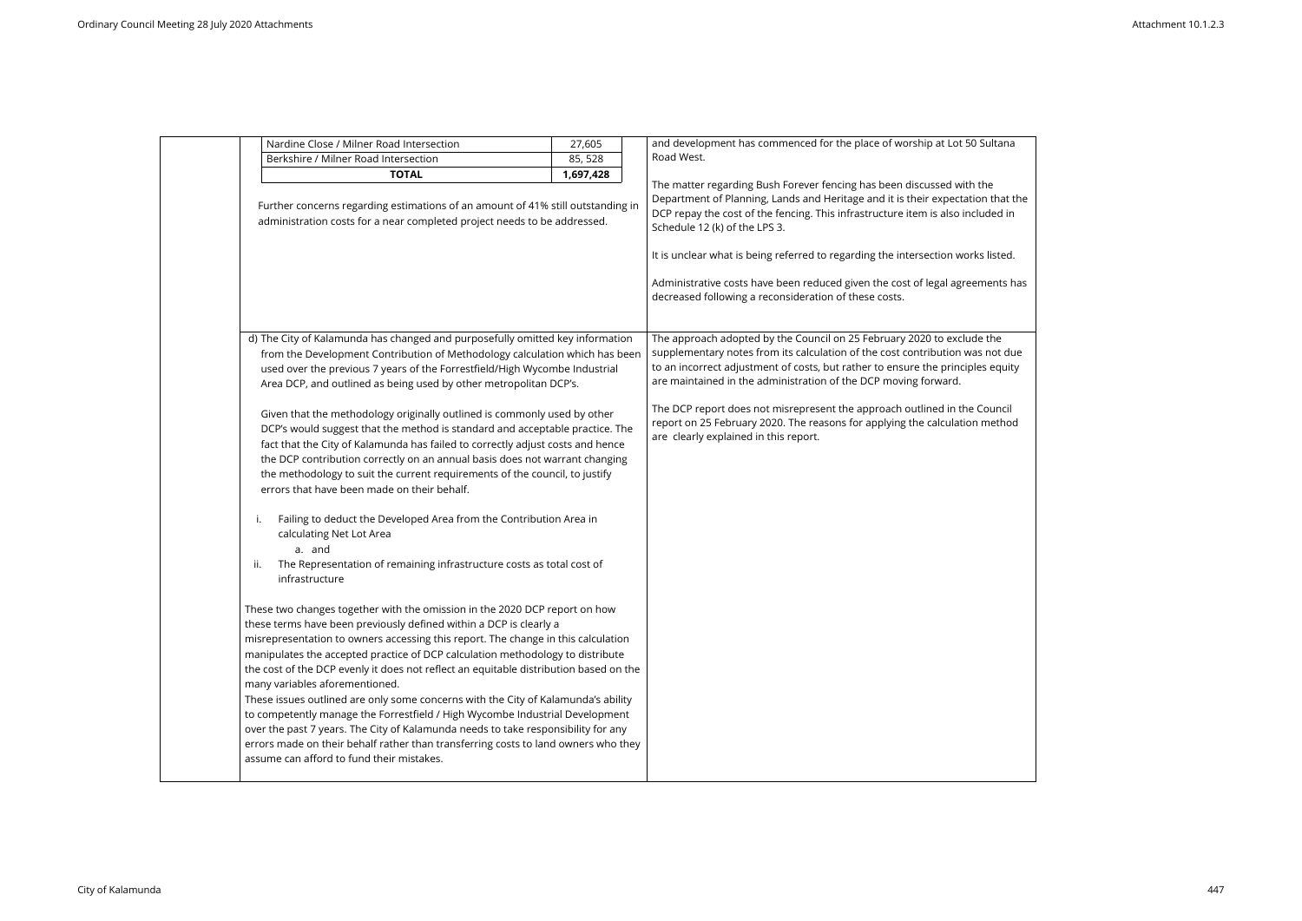|           | Nardine Close / Milner Road Intersection                                                                                                                                                                                                                                                                                                                                                                                                                                                                                                                                                                                                                                                                                                                                                                                                                                                                                                                                                                                                                                                                                                                                                                                                                                                                                                                                                                                                                                                                                                                                                                                                                                                                                                                                                                                             | 27,605    | and development has commenced for the place of worship at Lot 50 Sultana                                                                                                                                                                                                                                                                                                                                                                                                                                           |
|-----------|--------------------------------------------------------------------------------------------------------------------------------------------------------------------------------------------------------------------------------------------------------------------------------------------------------------------------------------------------------------------------------------------------------------------------------------------------------------------------------------------------------------------------------------------------------------------------------------------------------------------------------------------------------------------------------------------------------------------------------------------------------------------------------------------------------------------------------------------------------------------------------------------------------------------------------------------------------------------------------------------------------------------------------------------------------------------------------------------------------------------------------------------------------------------------------------------------------------------------------------------------------------------------------------------------------------------------------------------------------------------------------------------------------------------------------------------------------------------------------------------------------------------------------------------------------------------------------------------------------------------------------------------------------------------------------------------------------------------------------------------------------------------------------------------------------------------------------------|-----------|--------------------------------------------------------------------------------------------------------------------------------------------------------------------------------------------------------------------------------------------------------------------------------------------------------------------------------------------------------------------------------------------------------------------------------------------------------------------------------------------------------------------|
|           | Berkshire / Milner Road Intersection                                                                                                                                                                                                                                                                                                                                                                                                                                                                                                                                                                                                                                                                                                                                                                                                                                                                                                                                                                                                                                                                                                                                                                                                                                                                                                                                                                                                                                                                                                                                                                                                                                                                                                                                                                                                 | 85, 528   | Road West.                                                                                                                                                                                                                                                                                                                                                                                                                                                                                                         |
|           | <b>TOTAL</b><br>Further concerns regarding estimations of an amount of 41% still outstanding in<br>administration costs for a near completed project needs to be addressed.                                                                                                                                                                                                                                                                                                                                                                                                                                                                                                                                                                                                                                                                                                                                                                                                                                                                                                                                                                                                                                                                                                                                                                                                                                                                                                                                                                                                                                                                                                                                                                                                                                                          | 1,697,428 | The matter regarding Bush Forever fencing has been discussed with the<br>Department of Planning, Lands and Heritage and it is their expectation that the<br>DCP repay the cost of the fencing. This infrastructure item is also included in<br>Schedule 12 (k) of the LPS 3.<br>It is unclear what is being referred to regarding the intersection works listed.<br>Administrative costs have been reduced given the cost of legal agreements has<br>decreased following a reconsideration of these costs.         |
| Ι.<br>ii. | d) The City of Kalamunda has changed and purposefully omitted key information<br>from the Development Contribution of Methodology calculation which has been<br>used over the previous 7 years of the Forrestfield/High Wycombe Industrial<br>Area DCP, and outlined as being used by other metropolitan DCP's.<br>Given that the methodology originally outlined is commonly used by other<br>DCP's would suggest that the method is standard and acceptable practice. The<br>fact that the City of Kalamunda has failed to correctly adjust costs and hence<br>the DCP contribution correctly on an annual basis does not warrant changing<br>the methodology to suit the current requirements of the council, to justify<br>errors that have been made on their behalf.<br>Failing to deduct the Developed Area from the Contribution Area in<br>calculating Net Lot Area<br>a. and<br>The Representation of remaining infrastructure costs as total cost of<br>infrastructure<br>These two changes together with the omission in the 2020 DCP report on how<br>these terms have been previously defined within a DCP is clearly a<br>misrepresentation to owners accessing this report. The change in this calculation<br>manipulates the accepted practice of DCP calculation methodology to distribute<br>the cost of the DCP evenly it does not reflect an equitable distribution based on the<br>many variables aforementioned.<br>These issues outlined are only some concerns with the City of Kalamunda's ability<br>to competently manage the Forrestfield / High Wycombe Industrial Development<br>over the past 7 years. The City of Kalamunda needs to take responsibility for any<br>errors made on their behalf rather than transferring costs to land owners who they<br>assume can afford to fund their mistakes. |           | The approach adopted by the Council on 25 February 2020 to exclude the<br>supplementary notes from its calculation of the cost contribution was not due<br>to an incorrect adjustment of costs, but rather to ensure the principles equity<br>are maintained in the administration of the DCP moving forward.<br>The DCP report does not misrepresent the approach outlined in the Council<br>report on 25 February 2020. The reasons for applying the calculation method<br>are clearly explained in this report. |

| 0 Sultana                           |  |
|-------------------------------------|--|
| h the<br>tion that the<br>cluded in |  |
| rks listed.                         |  |
| ements has                          |  |
|                                     |  |
| de the<br>as not due<br>bles equity |  |
| e Council<br>n method               |  |
|                                     |  |
|                                     |  |
|                                     |  |
|                                     |  |
|                                     |  |
|                                     |  |
|                                     |  |
|                                     |  |
|                                     |  |
|                                     |  |
|                                     |  |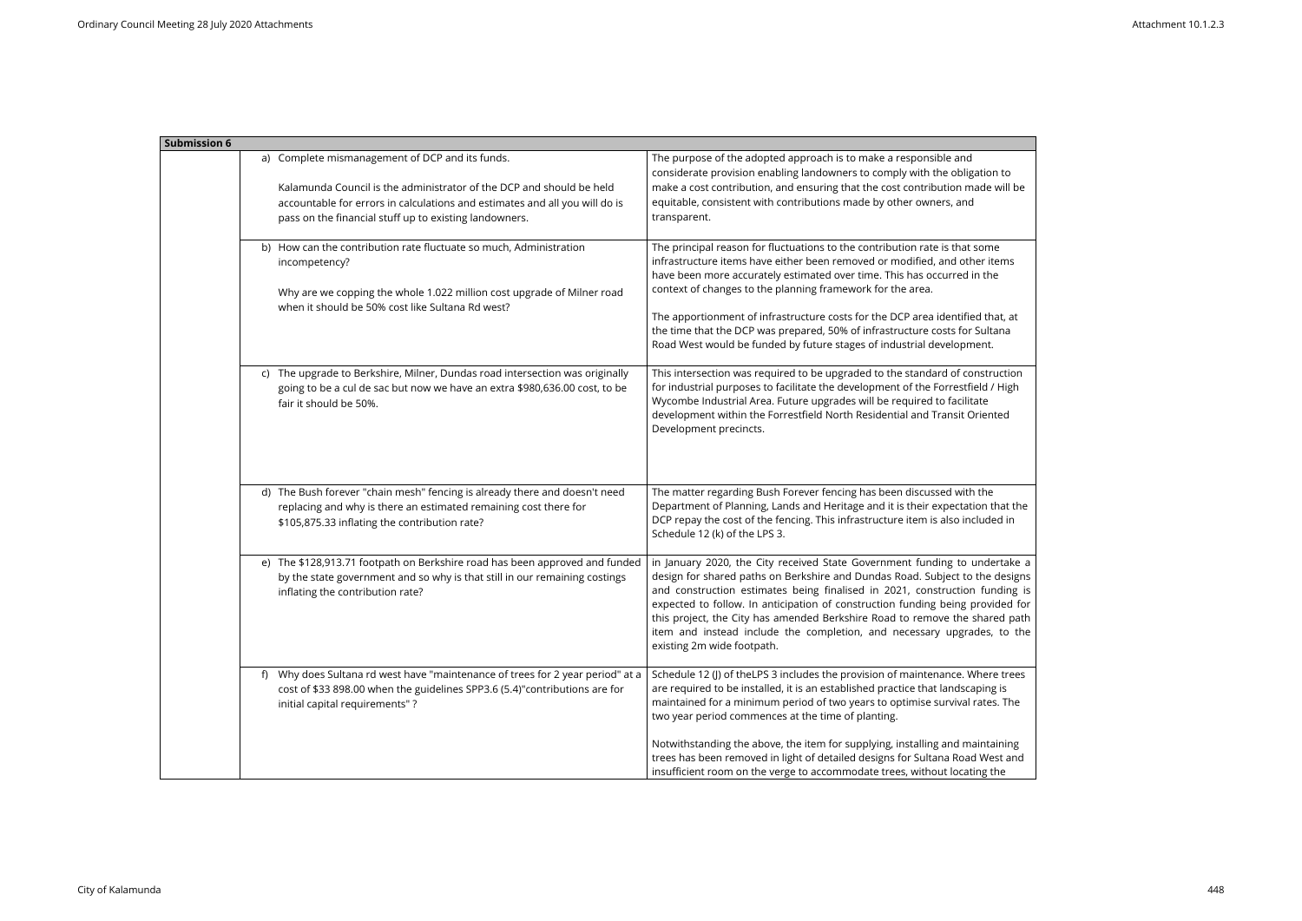| <b>Submission 6</b>                                                                                                                                                                                                                                              |                                                                                                                                                                                                                                                                                                                                                                                                                                                                                                                                                         |
|------------------------------------------------------------------------------------------------------------------------------------------------------------------------------------------------------------------------------------------------------------------|---------------------------------------------------------------------------------------------------------------------------------------------------------------------------------------------------------------------------------------------------------------------------------------------------------------------------------------------------------------------------------------------------------------------------------------------------------------------------------------------------------------------------------------------------------|
| a) Complete mismanagement of DCP and its funds.<br>Kalamunda Council is the administrator of the DCP and should be held<br>accountable for errors in calculations and estimates and all you will do is<br>pass on the financial stuff up to existing landowners. | The purpose of the adopted approach is to make a responsible and<br>considerate provision enabling landowners to comply with the obligation to<br>make a cost contribution, and ensuring that the cost contribution made will be<br>equitable, consistent with contributions made by other owners, and<br>transparent.                                                                                                                                                                                                                                  |
| b) How can the contribution rate fluctuate so much, Administration<br>incompetency?<br>Why are we copping the whole 1.022 million cost upgrade of Milner road<br>when it should be 50% cost like Sultana Rd west?                                                | The principal reason for fluctuations to the contribution rate is that some<br>infrastructure items have either been removed or modified, and other items<br>have been more accurately estimated over time. This has occurred in the<br>context of changes to the planning framework for the area.<br>The apportionment of infrastructure costs for the DCP area identified that, at<br>the time that the DCP was prepared, 50% of infrastructure costs for Sultana<br>Road West would be funded by future stages of industrial development.            |
| c) The upgrade to Berkshire, Milner, Dundas road intersection was originally<br>going to be a cul de sac but now we have an extra \$980,636.00 cost, to be<br>fair it should be 50%.                                                                             | This intersection was required to be upgraded to the standard of construction<br>for industrial purposes to facilitate the development of the Forrestfield / High<br>Wycombe Industrial Area. Future upgrades will be required to facilitate<br>development within the Forrestfield North Residential and Transit Oriented<br>Development precincts.                                                                                                                                                                                                    |
| d) The Bush forever "chain mesh" fencing is already there and doesn't need<br>replacing and why is there an estimated remaining cost there for<br>\$105,875.33 inflating the contribution rate?                                                                  | The matter regarding Bush Forever fencing has been discussed with the<br>Department of Planning, Lands and Heritage and it is their expectation that the<br>DCP repay the cost of the fencing. This infrastructure item is also included in<br>Schedule 12 (k) of the LPS 3.                                                                                                                                                                                                                                                                            |
| e) The \$128,913.71 footpath on Berkshire road has been approved and funded<br>by the state government and so why is that still in our remaining costings<br>inflating the contribution rate?                                                                    | in January 2020, the City received State Government funding to undertake a<br>design for shared paths on Berkshire and Dundas Road. Subject to the designs<br>and construction estimates being finalised in 2021, construction funding is<br>expected to follow. In anticipation of construction funding being provided for<br>this project, the City has amended Berkshire Road to remove the shared path<br>item and instead include the completion, and necessary upgrades, to the<br>existing 2m wide footpath.                                     |
| f) Why does Sultana rd west have "maintenance of trees for 2 year period" at a<br>cost of \$33 898.00 when the guidelines SPP3.6 (5.4)"contributions are for<br>initial capital requirements"?                                                                   | Schedule 12 (J) of the LPS 3 includes the provision of maintenance. Where trees<br>are required to be installed, it is an established practice that landscaping is<br>maintained for a minimum period of two years to optimise survival rates. The<br>two year period commences at the time of planting.<br>Notwithstanding the above, the item for supplying, installing and maintaining<br>trees has been removed in light of detailed designs for Sultana Road West and<br>insufficient room on the verge to accommodate trees, without locating the |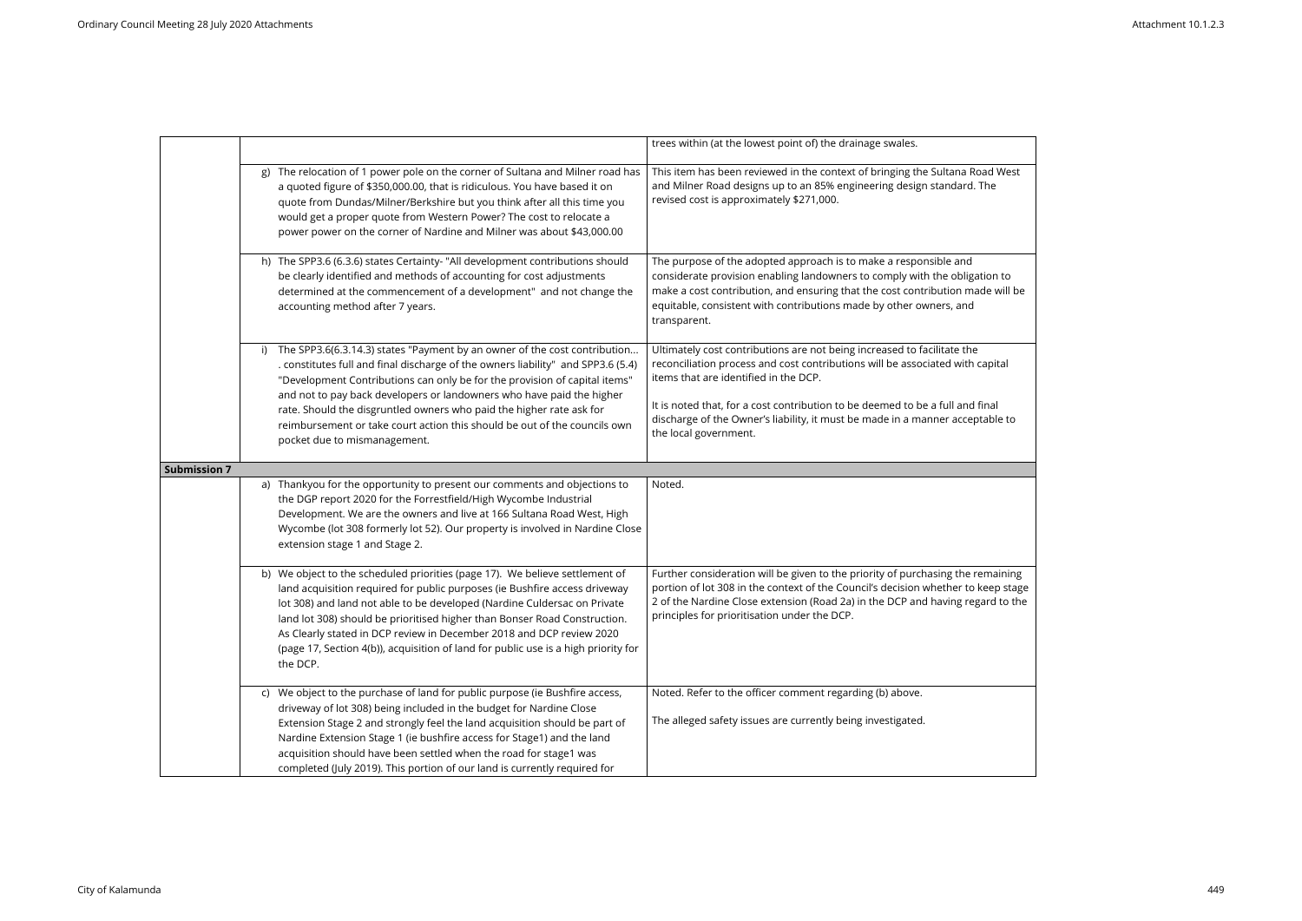|                     |                                                                                                                                                                                                                                                                                                                                                                                                                                                                                               | trees within (at the lowest point of) the drainage swales.                                                                                                                                                                                                                                                             |
|---------------------|-----------------------------------------------------------------------------------------------------------------------------------------------------------------------------------------------------------------------------------------------------------------------------------------------------------------------------------------------------------------------------------------------------------------------------------------------------------------------------------------------|------------------------------------------------------------------------------------------------------------------------------------------------------------------------------------------------------------------------------------------------------------------------------------------------------------------------|
|                     | The relocation of 1 power pole on the corner of Sultana and Milner road has<br>g)<br>a quoted figure of \$350,000.00, that is ridiculous. You have based it on<br>quote from Dundas/Milner/Berkshire but you think after all this time you<br>would get a proper quote from Western Power? The cost to relocate a<br>power power on the corner of Nardine and Milner was about \$43,000.00                                                                                                    | This item has been reviewed in the context of bringing the Sultana Road West<br>and Milner Road designs up to an 85% engineering design standard. The<br>revised cost is approximately \$271,000.                                                                                                                      |
|                     | h) The SPP3.6 (6.3.6) states Certainty- "All development contributions should<br>be clearly identified and methods of accounting for cost adjustments<br>determined at the commencement of a development" and not change the<br>accounting method after 7 years.                                                                                                                                                                                                                              | The purpose of the adopted approach is to make a responsible and<br>considerate provision enabling landowners to comply with the obligation to<br>make a cost contribution, and ensuring that the cost contribution made will be<br>equitable, consistent with contributions made by other owners, and<br>transparent. |
|                     | The SPP3.6(6.3.14.3) states "Payment by an owner of the cost contribution<br>i)<br>. constitutes full and final discharge of the owners liability" and SPP3.6 (5.4)<br>"Development Contributions can only be for the provision of capital items"                                                                                                                                                                                                                                             | Ultimately cost contributions are not being increased to facilitate the<br>reconciliation process and cost contributions will be associated with capital<br>items that are identified in the DCP.                                                                                                                      |
|                     | and not to pay back developers or landowners who have paid the higher<br>rate. Should the disgruntled owners who paid the higher rate ask for<br>reimbursement or take court action this should be out of the councils own<br>pocket due to mismanagement.                                                                                                                                                                                                                                    | It is noted that, for a cost contribution to be deemed to be a full and final<br>discharge of the Owner's liability, it must be made in a manner acceptable to<br>the local government.                                                                                                                                |
| <b>Submission 7</b> |                                                                                                                                                                                                                                                                                                                                                                                                                                                                                               |                                                                                                                                                                                                                                                                                                                        |
|                     | a) Thankyou for the opportunity to present our comments and objections to<br>the DGP report 2020 for the Forrestfield/High Wycombe Industrial<br>Development. We are the owners and live at 166 Sultana Road West, High<br>Wycombe (lot 308 formerly lot 52). Our property is involved in Nardine Close<br>extension stage 1 and Stage 2.                                                                                                                                                     | Noted.                                                                                                                                                                                                                                                                                                                 |
|                     | b) We object to the scheduled priorities (page 17). We believe settlement of<br>land acquisition required for public purposes (ie Bushfire access driveway<br>lot 308) and land not able to be developed (Nardine Culdersac on Private<br>land lot 308) should be prioritised higher than Bonser Road Construction.<br>As Clearly stated in DCP review in December 2018 and DCP review 2020<br>(page 17, Section 4(b)), acquisition of land for public use is a high priority for<br>the DCP. | Further consideration will be given to the priority of purchasing the remaining<br>portion of lot 308 in the context of the Council's decision whether to keep stage<br>2 of the Nardine Close extension (Road 2a) in the DCP and having regard to the<br>principles for prioritisation under the DCP.                 |
|                     | c) We object to the purchase of land for public purpose (ie Bushfire access,<br>driveway of lot 308) being included in the budget for Nardine Close<br>Extension Stage 2 and strongly feel the land acquisition should be part of                                                                                                                                                                                                                                                             | Noted. Refer to the officer comment regarding (b) above.<br>The alleged safety issues are currently being investigated.                                                                                                                                                                                                |
|                     | Nardine Extension Stage 1 (ie bushfire access for Stage1) and the land<br>acquisition should have been settled when the road for stage1 was<br>completed (July 2019). This portion of our land is currently required for                                                                                                                                                                                                                                                                      |                                                                                                                                                                                                                                                                                                                        |

| ad West<br>he                                    |
|--------------------------------------------------|
| ion to<br>le will be                             |
| apital                                           |
| nal<br>able to                                   |
|                                                  |
|                                                  |
| maining<br>eep stag <mark>e</mark><br>ird to the |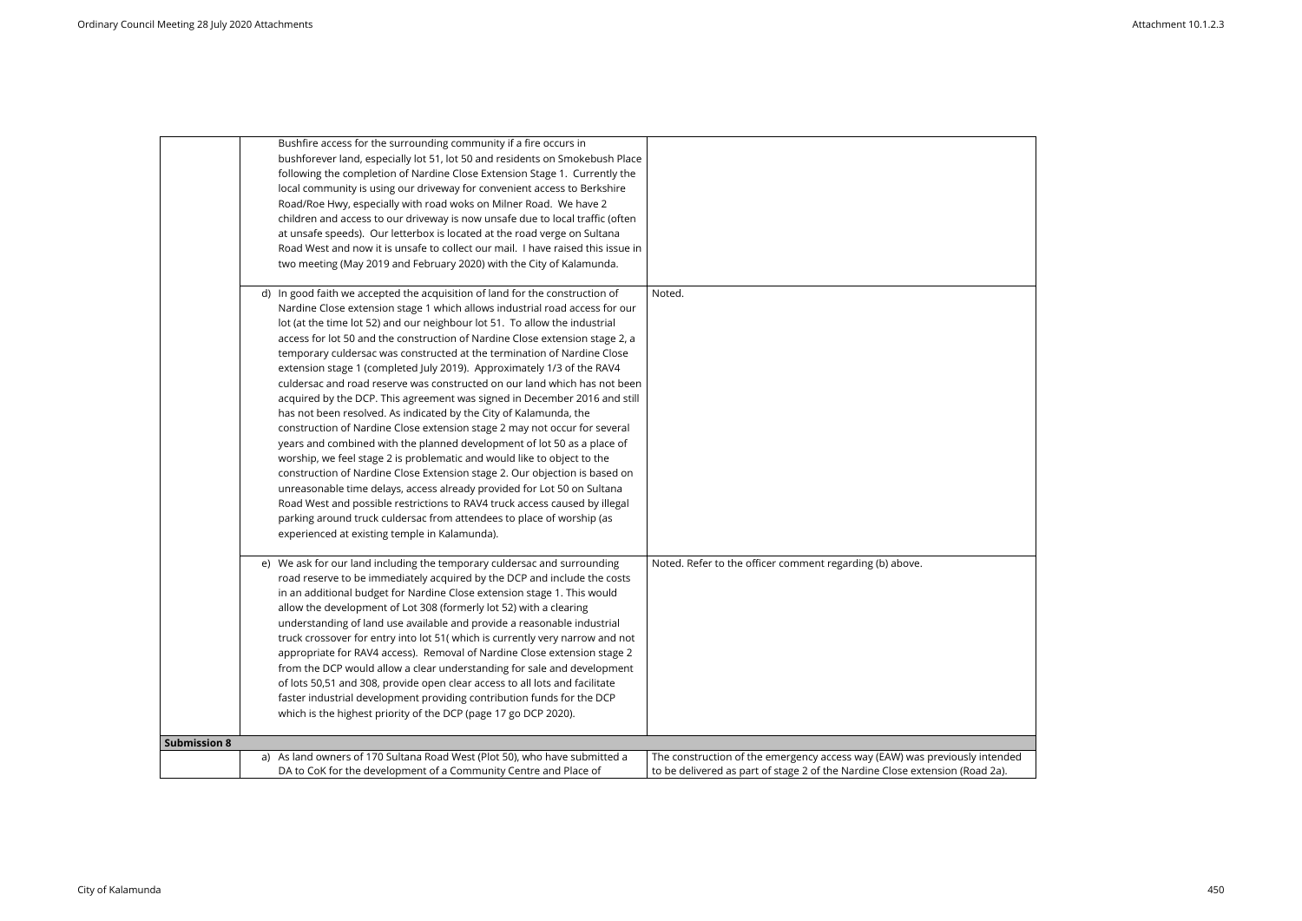|                     | Bushfire access for the surrounding community if a fire occurs in               |                                                                       |
|---------------------|---------------------------------------------------------------------------------|-----------------------------------------------------------------------|
|                     | bushforever land, especially lot 51, lot 50 and residents on Smokebush Place    |                                                                       |
|                     | following the completion of Nardine Close Extension Stage 1. Currently the      |                                                                       |
|                     | local community is using our driveway for convenient access to Berkshire        |                                                                       |
|                     | Road/Roe Hwy, especially with road woks on Milner Road. We have 2               |                                                                       |
|                     | children and access to our driveway is now unsafe due to local traffic (often   |                                                                       |
|                     | at unsafe speeds). Our letterbox is located at the road verge on Sultana        |                                                                       |
|                     | Road West and now it is unsafe to collect our mail. I have raised this issue in |                                                                       |
|                     | two meeting (May 2019 and February 2020) with the City of Kalamunda.            |                                                                       |
|                     | d) In good faith we accepted the acquisition of land for the construction of    | Noted.                                                                |
|                     | Nardine Close extension stage 1 which allows industrial road access for our     |                                                                       |
|                     | lot (at the time lot 52) and our neighbour lot 51. To allow the industrial      |                                                                       |
|                     | access for lot 50 and the construction of Nardine Close extension stage 2, a    |                                                                       |
|                     | temporary culdersac was constructed at the termination of Nardine Close         |                                                                       |
|                     | extension stage 1 (completed July 2019). Approximately 1/3 of the RAV4          |                                                                       |
|                     | culdersac and road reserve was constructed on our land which has not been       |                                                                       |
|                     | acquired by the DCP. This agreement was signed in December 2016 and still       |                                                                       |
|                     | has not been resolved. As indicated by the City of Kalamunda, the               |                                                                       |
|                     | construction of Nardine Close extension stage 2 may not occur for several       |                                                                       |
|                     | years and combined with the planned development of lot 50 as a place of         |                                                                       |
|                     | worship, we feel stage 2 is problematic and would like to object to the         |                                                                       |
|                     | construction of Nardine Close Extension stage 2. Our objection is based on      |                                                                       |
|                     | unreasonable time delays, access already provided for Lot 50 on Sultana         |                                                                       |
|                     | Road West and possible restrictions to RAV4 truck access caused by illegal      |                                                                       |
|                     | parking around truck culdersac from attendees to place of worship (as           |                                                                       |
|                     | experienced at existing temple in Kalamunda).                                   |                                                                       |
|                     | e) We ask for our land including the temporary culdersac and surrounding        | Noted. Refer to the officer comment regarding (b) above.              |
|                     | road reserve to be immediately acquired by the DCP and include the costs        |                                                                       |
|                     | in an additional budget for Nardine Close extension stage 1. This would         |                                                                       |
|                     | allow the development of Lot 308 (formerly lot 52) with a clearing              |                                                                       |
|                     | understanding of land use available and provide a reasonable industrial         |                                                                       |
|                     | truck crossover for entry into lot 51( which is currently very narrow and not   |                                                                       |
|                     | appropriate for RAV4 access). Removal of Nardine Close extension stage 2        |                                                                       |
|                     | from the DCP would allow a clear understanding for sale and development         |                                                                       |
|                     | of lots 50,51 and 308, provide open clear access to all lots and facilitate     |                                                                       |
|                     | faster industrial development providing contribution funds for the DCP          |                                                                       |
|                     | which is the highest priority of the DCP (page 17 go DCP 2020).                 |                                                                       |
| <b>Submission 8</b> |                                                                                 |                                                                       |
|                     | a) As land owners of 170 Sultana Road West (Plot 50), who have submitted a      | The construction of the emergency access way (EAW) was previously     |
|                     | DA to CoK for the development of a Community Centre and Place of                | to be delivered as part of stage 2 of the Nardine Close extension (Ro |